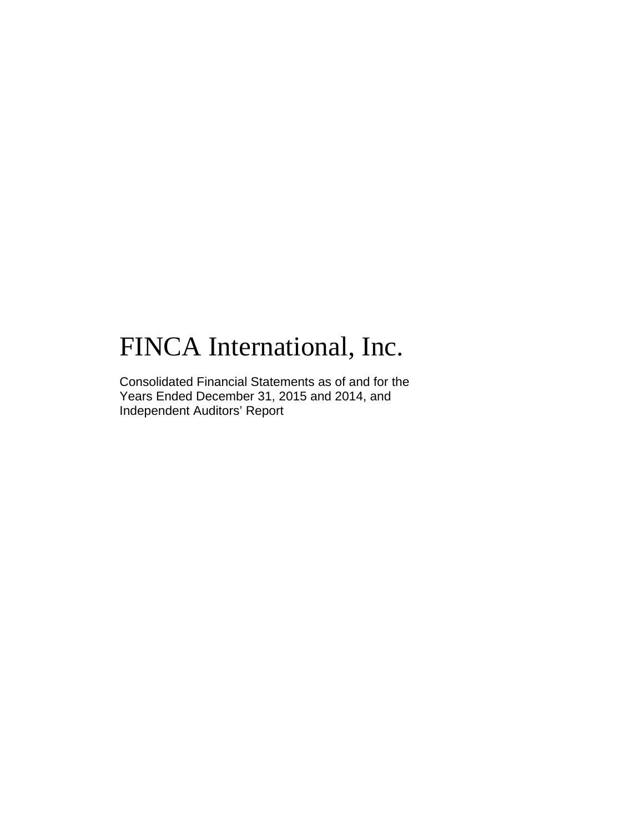# FINCA International, Inc.

Consolidated Financial Statements as of and for the Years Ended December 31, 2015 and 2014, and Independent Auditors' Report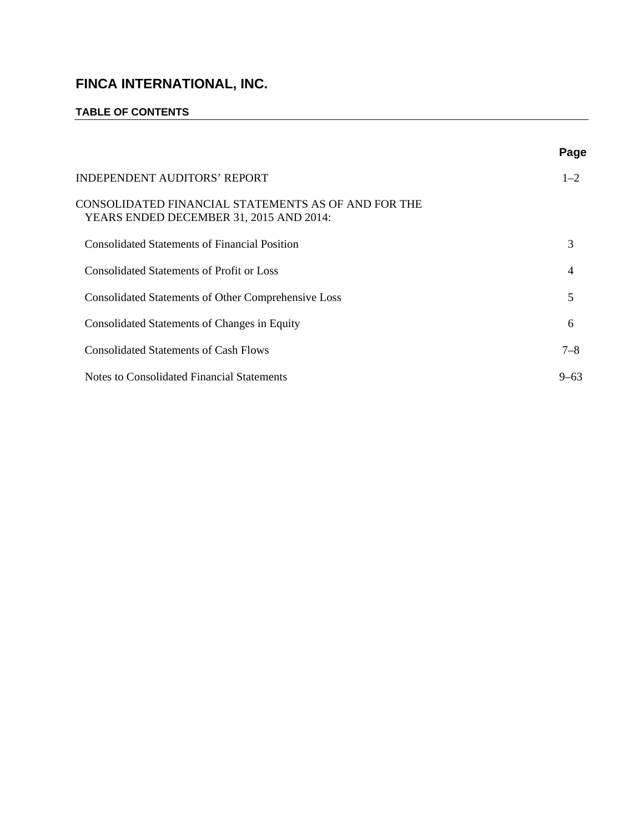# **TABLE OF CONTENTS**

|                                                                                                | Page           |
|------------------------------------------------------------------------------------------------|----------------|
| INDEPENDENT AUDITORS' REPORT                                                                   | $1 - 2$        |
| CONSOLIDATED FINANCIAL STATEMENTS AS OF AND FOR THE<br>YEARS ENDED DECEMBER 31, 2015 AND 2014: |                |
| <b>Consolidated Statements of Financial Position</b>                                           | 3              |
| <b>Consolidated Statements of Profit or Loss</b>                                               | $\overline{4}$ |
| <b>Consolidated Statements of Other Comprehensive Loss</b>                                     | 5              |
| <b>Consolidated Statements of Changes in Equity</b>                                            | 6              |
| <b>Consolidated Statements of Cash Flows</b>                                                   | $7 - 8$        |
| Notes to Consolidated Financial Statements                                                     | $9 - 63$       |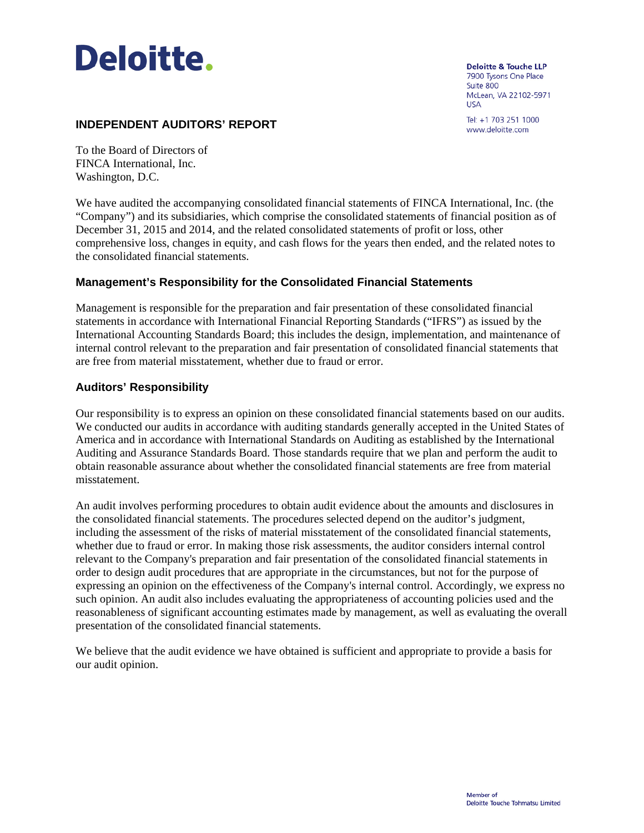

**Deloitte & Touche LLP** 7900 Tysons One Place Suite 800 McLean, VA 22102-5971 **USA** 

Tel: +1 703 251 1000 www.deloitte.com

### **INDEPENDENT AUDITORS' REPORT**

To the Board of Directors of FINCA International, Inc. Washington, D.C.

We have audited the accompanying consolidated financial statements of FINCA International, Inc. (the "Company") and its subsidiaries, which comprise the consolidated statements of financial position as of December 31, 2015 and 2014, and the related consolidated statements of profit or loss, other comprehensive loss, changes in equity, and cash flows for the years then ended, and the related notes to the consolidated financial statements.

# **Management's Responsibility for the Consolidated Financial Statements**

Management is responsible for the preparation and fair presentation of these consolidated financial statements in accordance with International Financial Reporting Standards ("IFRS") as issued by the International Accounting Standards Board; this includes the design, implementation, and maintenance of internal control relevant to the preparation and fair presentation of consolidated financial statements that are free from material misstatement, whether due to fraud or error.

#### **Auditors' Responsibility**

Our responsibility is to express an opinion on these consolidated financial statements based on our audits. We conducted our audits in accordance with auditing standards generally accepted in the United States of America and in accordance with International Standards on Auditing as established by the International Auditing and Assurance Standards Board. Those standards require that we plan and perform the audit to obtain reasonable assurance about whether the consolidated financial statements are free from material misstatement.

An audit involves performing procedures to obtain audit evidence about the amounts and disclosures in the consolidated financial statements. The procedures selected depend on the auditor's judgment, including the assessment of the risks of material misstatement of the consolidated financial statements, whether due to fraud or error. In making those risk assessments, the auditor considers internal control relevant to the Company's preparation and fair presentation of the consolidated financial statements in order to design audit procedures that are appropriate in the circumstances, but not for the purpose of expressing an opinion on the effectiveness of the Company's internal control. Accordingly, we express no such opinion. An audit also includes evaluating the appropriateness of accounting policies used and the reasonableness of significant accounting estimates made by management, as well as evaluating the overall presentation of the consolidated financial statements.

We believe that the audit evidence we have obtained is sufficient and appropriate to provide a basis for our audit opinion.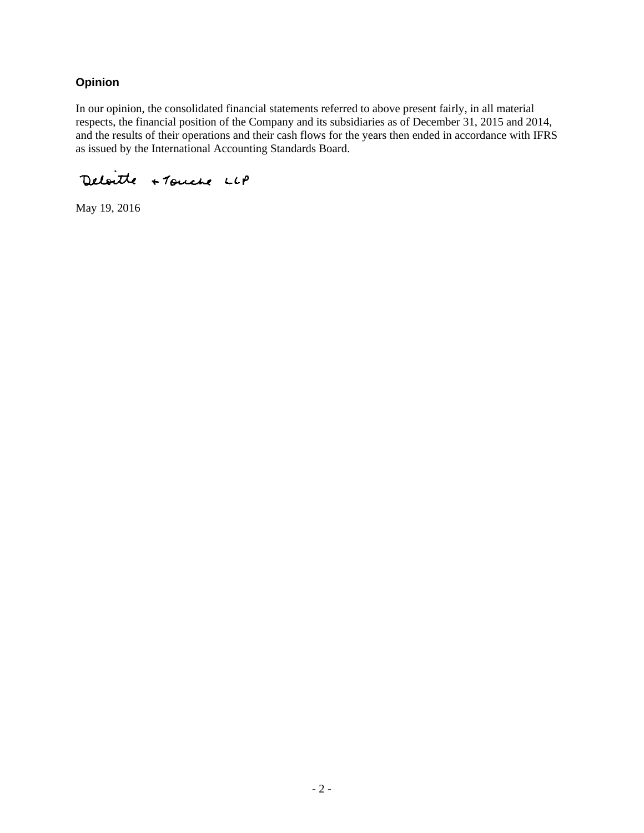# **Opinion**

In our opinion, the consolidated financial statements referred to above present fairly, in all material respects, the financial position of the Company and its subsidiaries as of December 31, 2015 and 2014, and the results of their operations and their cash flows for the years then ended in accordance with IFRS as issued by the International Accounting Standards Board.

Deloitte + Touche LLP

May 19, 2016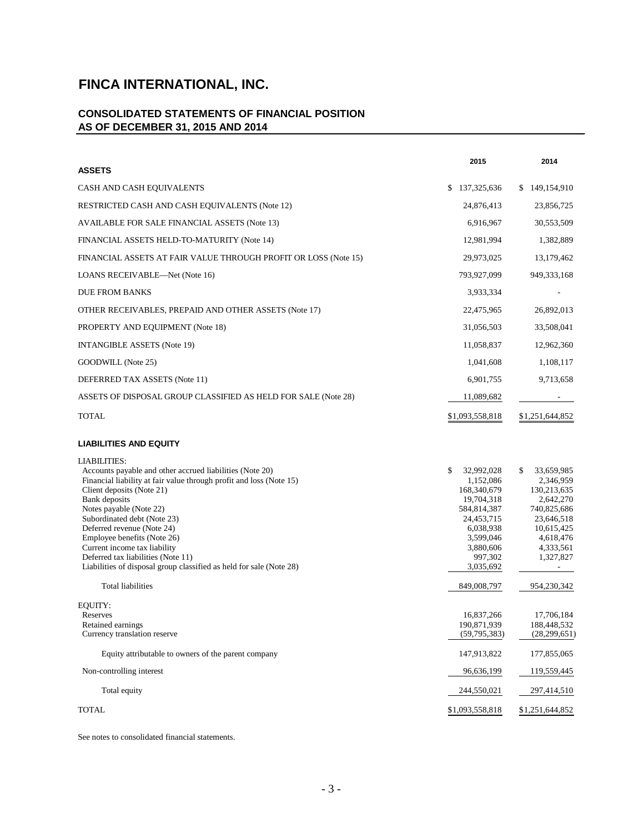# **CONSOLIDATED STATEMENTS OF FINANCIAL POSITION AS OF DECEMBER 31, 2015 AND 2014**

|                                                                                                                                                                                                                                                                                                                                                                                                                                                                                                      | 2015                                                                                                                                                                  | 2014                                                                                                                                                       |
|------------------------------------------------------------------------------------------------------------------------------------------------------------------------------------------------------------------------------------------------------------------------------------------------------------------------------------------------------------------------------------------------------------------------------------------------------------------------------------------------------|-----------------------------------------------------------------------------------------------------------------------------------------------------------------------|------------------------------------------------------------------------------------------------------------------------------------------------------------|
| <b>ASSETS</b>                                                                                                                                                                                                                                                                                                                                                                                                                                                                                        |                                                                                                                                                                       |                                                                                                                                                            |
| CASH AND CASH EQUIVALENTS                                                                                                                                                                                                                                                                                                                                                                                                                                                                            | 137, 325, 636<br>\$                                                                                                                                                   | 149,154,910<br>S.                                                                                                                                          |
| RESTRICTED CASH AND CASH EQUIVALENTS (Note 12)                                                                                                                                                                                                                                                                                                                                                                                                                                                       | 24,876,413                                                                                                                                                            | 23,856,725                                                                                                                                                 |
| AVAILABLE FOR SALE FINANCIAL ASSETS (Note 13)                                                                                                                                                                                                                                                                                                                                                                                                                                                        | 6,916,967                                                                                                                                                             | 30,553,509                                                                                                                                                 |
| FINANCIAL ASSETS HELD-TO-MATURITY (Note 14)                                                                                                                                                                                                                                                                                                                                                                                                                                                          | 12,981,994                                                                                                                                                            | 1,382,889                                                                                                                                                  |
| FINANCIAL ASSETS AT FAIR VALUE THROUGH PROFIT OR LOSS (Note 15)                                                                                                                                                                                                                                                                                                                                                                                                                                      | 29,973,025                                                                                                                                                            | 13,179,462                                                                                                                                                 |
| LOANS RECEIVABLE-Net (Note 16)                                                                                                                                                                                                                                                                                                                                                                                                                                                                       | 793,927,099                                                                                                                                                           | 949, 333, 168                                                                                                                                              |
| <b>DUE FROM BANKS</b>                                                                                                                                                                                                                                                                                                                                                                                                                                                                                | 3,933,334                                                                                                                                                             |                                                                                                                                                            |
| OTHER RECEIVABLES, PREPAID AND OTHER ASSETS (Note 17)                                                                                                                                                                                                                                                                                                                                                                                                                                                | 22,475,965                                                                                                                                                            | 26,892,013                                                                                                                                                 |
| PROPERTY AND EQUIPMENT (Note 18)                                                                                                                                                                                                                                                                                                                                                                                                                                                                     | 31,056,503                                                                                                                                                            | 33,508,041                                                                                                                                                 |
| <b>INTANGIBLE ASSETS (Note 19)</b>                                                                                                                                                                                                                                                                                                                                                                                                                                                                   | 11,058,837                                                                                                                                                            | 12,962,360                                                                                                                                                 |
| GOODWILL (Note 25)                                                                                                                                                                                                                                                                                                                                                                                                                                                                                   | 1,041,608                                                                                                                                                             | 1,108,117                                                                                                                                                  |
| DEFERRED TAX ASSETS (Note 11)                                                                                                                                                                                                                                                                                                                                                                                                                                                                        | 6,901,755                                                                                                                                                             | 9,713,658                                                                                                                                                  |
| ASSETS OF DISPOSAL GROUP CLASSIFIED AS HELD FOR SALE (Note 28)                                                                                                                                                                                                                                                                                                                                                                                                                                       | 11,089,682                                                                                                                                                            |                                                                                                                                                            |
| <b>TOTAL</b>                                                                                                                                                                                                                                                                                                                                                                                                                                                                                         | \$1,093,558,818                                                                                                                                                       | \$1,251,644,852                                                                                                                                            |
| <b>LIABILITIES AND EQUITY</b>                                                                                                                                                                                                                                                                                                                                                                                                                                                                        |                                                                                                                                                                       |                                                                                                                                                            |
| <b>LIABILITIES:</b><br>Accounts payable and other accrued liabilities (Note 20)<br>Financial liability at fair value through profit and loss (Note 15)<br>Client deposits (Note 21)<br>Bank deposits<br>Notes payable (Note 22)<br>Subordinated debt (Note 23)<br>Deferred revenue (Note 24)<br>Employee benefits (Note 26)<br>Current income tax liability<br>Deferred tax liabilities (Note 11)<br>Liabilities of disposal group classified as held for sale (Note 28)<br><b>Total liabilities</b> | \$<br>32,992,028<br>1,152,086<br>168,340,679<br>19,704,318<br>584,814,387<br>24,453,715<br>6,038,938<br>3,599,046<br>3,880,606<br>997,302<br>3,035,692<br>849,008,797 | \$<br>33,659,985<br>2,346,959<br>130,213,635<br>2,642,270<br>740,825,686<br>23,646,518<br>10,615,425<br>4,618,476<br>4,333,561<br>1,327,827<br>954,230,342 |
| EQUITY:                                                                                                                                                                                                                                                                                                                                                                                                                                                                                              |                                                                                                                                                                       |                                                                                                                                                            |
| Reserves<br>Retained earnings                                                                                                                                                                                                                                                                                                                                                                                                                                                                        | 16,837,266<br>190,871,939                                                                                                                                             | 17,706,184<br>188,448,532                                                                                                                                  |
| Currency translation reserve                                                                                                                                                                                                                                                                                                                                                                                                                                                                         | (59, 795, 383)                                                                                                                                                        | (28, 299, 651)                                                                                                                                             |
| Equity attributable to owners of the parent company                                                                                                                                                                                                                                                                                                                                                                                                                                                  | 147,913,822                                                                                                                                                           | 177,855,065                                                                                                                                                |
| Non-controlling interest                                                                                                                                                                                                                                                                                                                                                                                                                                                                             | 96,636,199                                                                                                                                                            | 119,559,445                                                                                                                                                |
| Total equity                                                                                                                                                                                                                                                                                                                                                                                                                                                                                         | 244,550,021                                                                                                                                                           | 297,414,510                                                                                                                                                |
| <b>TOTAL</b>                                                                                                                                                                                                                                                                                                                                                                                                                                                                                         | \$1,093,558,818                                                                                                                                                       | \$1,251,644,852                                                                                                                                            |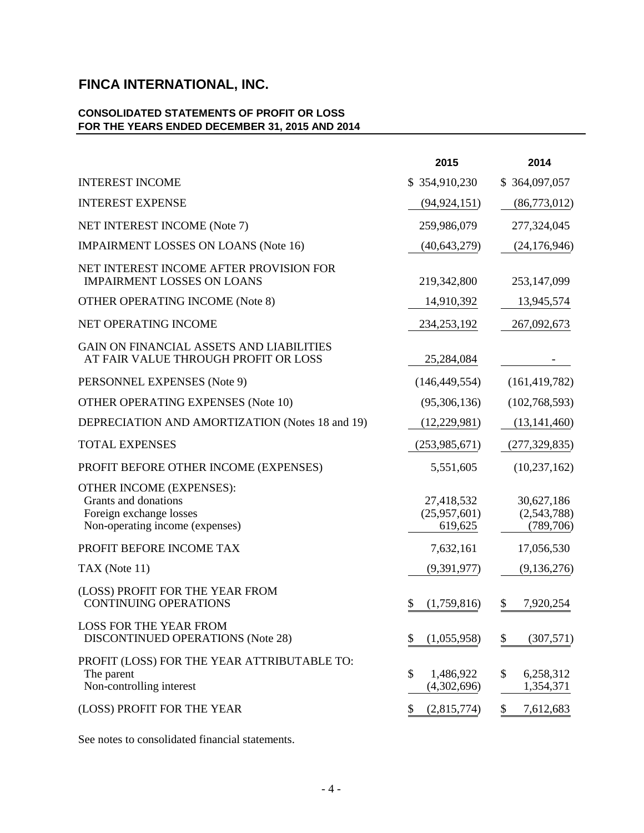# **CONSOLIDATED STATEMENTS OF PROFIT OR LOSS FOR THE YEARS ENDED DECEMBER 31, 2015 AND 2014**

|                                                                                                                       | 2015                                  | 2014                                    |
|-----------------------------------------------------------------------------------------------------------------------|---------------------------------------|-----------------------------------------|
| <b>INTEREST INCOME</b>                                                                                                | \$354,910,230                         | \$364,097,057                           |
| <b>INTEREST EXPENSE</b>                                                                                               | (94, 924, 151)                        | (86,773,012)                            |
| NET INTEREST INCOME (Note 7)                                                                                          | 259,986,079                           | 277,324,045                             |
| <b>IMPAIRMENT LOSSES ON LOANS (Note 16)</b>                                                                           | (40, 643, 279)                        | (24, 176, 946)                          |
| NET INTEREST INCOME AFTER PROVISION FOR<br><b>IMPAIRMENT LOSSES ON LOANS</b>                                          | 219,342,800                           | 253,147,099                             |
| <b>OTHER OPERATING INCOME (Note 8)</b>                                                                                | 14,910,392                            | 13,945,574                              |
| NET OPERATING INCOME                                                                                                  | 234, 253, 192                         | 267,092,673                             |
| GAIN ON FINANCIAL ASSETS AND LIABILITIES<br>AT FAIR VALUE THROUGH PROFIT OR LOSS                                      | 25,284,084                            |                                         |
| PERSONNEL EXPENSES (Note 9)                                                                                           | (146, 449, 554)                       | (161, 419, 782)                         |
| <b>OTHER OPERATING EXPENSES (Note 10)</b>                                                                             | (95,306,136)                          | (102,768,593)                           |
| DEPRECIATION AND AMORTIZATION (Notes 18 and 19)                                                                       | (12, 229, 981)                        | (13, 141, 460)                          |
| <b>TOTAL EXPENSES</b>                                                                                                 | (253, 985, 671)                       | (277, 329, 835)                         |
| PROFIT BEFORE OTHER INCOME (EXPENSES)                                                                                 | 5,551,605                             | (10, 237, 162)                          |
| <b>OTHER INCOME (EXPENSES):</b><br>Grants and donations<br>Foreign exchange losses<br>Non-operating income (expenses) | 27,418,532<br>(25,957,601)<br>619,625 | 30,627,186<br>(2,543,788)<br>(789, 706) |
| PROFIT BEFORE INCOME TAX                                                                                              | 7,632,161                             | 17,056,530                              |
| TAX (Note 11)                                                                                                         | (9,391,977)                           | (9,136,276)                             |
| (LOSS) PROFIT FOR THE YEAR FROM<br><b>CONTINUING OPERATIONS</b>                                                       | (1,759,816)<br>S                      | \$<br>7,920,254                         |
| LOSS FOR THE YEAR FROM<br><b>DISCONTINUED OPERATIONS (Note 28)</b>                                                    | \$<br>(1,055,958)                     | \$<br>(307, 571)                        |
| PROFIT (LOSS) FOR THE YEAR ATTRIBUTABLE TO:<br>The parent<br>Non-controlling interest                                 | \$<br>1,486,922<br>(4,302,696)        | \$<br>6,258,312<br>1,354,371            |
| (LOSS) PROFIT FOR THE YEAR                                                                                            | (2,815,774)<br>\$                     | \$<br>7,612,683                         |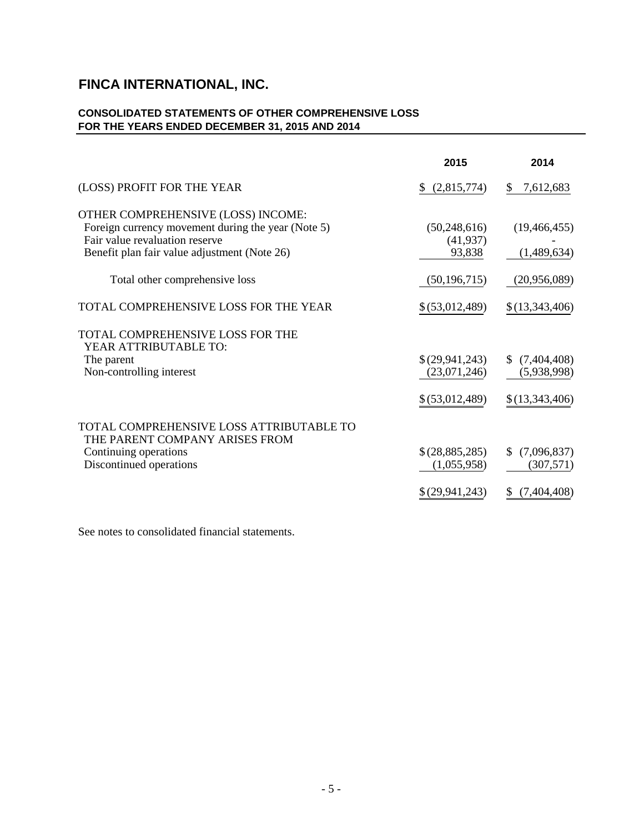# **CONSOLIDATED STATEMENTS OF OTHER COMPREHENSIVE LOSS FOR THE YEARS ENDED DECEMBER 31, 2015 AND 2014**

|                                                                                                                                                                            | 2015                                             | 2014                                           |
|----------------------------------------------------------------------------------------------------------------------------------------------------------------------------|--------------------------------------------------|------------------------------------------------|
| (LOSS) PROFIT FOR THE YEAR                                                                                                                                                 | (2,815,774)                                      | 7,612,683<br>S.                                |
| OTHER COMPREHENSIVE (LOSS) INCOME:<br>Foreign currency movement during the year (Note 5)<br>Fair value revaluation reserve<br>Benefit plan fair value adjustment (Note 26) | (50, 248, 616)<br>(41, 937)<br>93,838            | (19, 466, 455)<br>(1,489,634)                  |
| Total other comprehensive loss                                                                                                                                             | (50, 196, 715)                                   | (20,956,089)                                   |
| TOTAL COMPREHENSIVE LOSS FOR THE YEAR                                                                                                                                      | \$(53,012,489)                                   | \$(13,343,406)                                 |
| TOTAL COMPREHENSIVE LOSS FOR THE<br>YEAR ATTRIBUTABLE TO:<br>The parent<br>Non-controlling interest                                                                        | \$(29,941,243)<br>(23,071,246)<br>\$(53,012,489) | \$(7,404,408)<br>(5,938,998)<br>\$(13,343,406) |
| TOTAL COMPREHENSIVE LOSS ATTRIBUTABLE TO<br>THE PARENT COMPANY ARISES FROM<br>Continuing operations<br>Discontinued operations                                             | \$(28,885,285)<br>(1,055,958)<br>\$(29,941,243)  | (7,096,837)<br>S.<br>(307, 571)<br>(7,404,408) |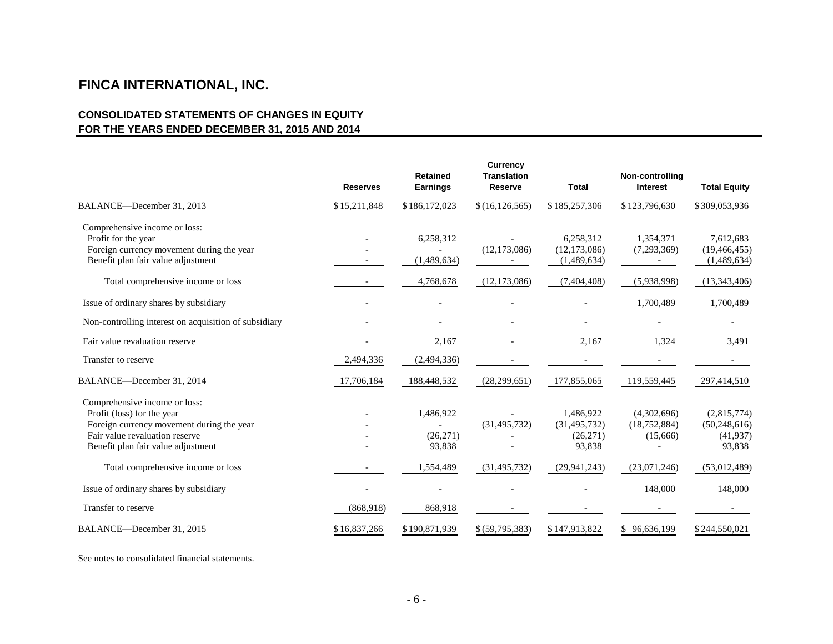# **CONSOLIDATED STATEMENTS OF CHANGES IN EQUITY FOR THE YEARS ENDED DECEMBER 31, 2015 AND 2014**

|                                                                                                                                                                                  | <b>Reserves</b> | <b>Retained</b><br><b>Earnings</b> | <b>Currency</b><br><b>Translation</b><br>Reserve | <b>Total</b>                                      | Non-controlling<br><b>Interest</b>        | <b>Total Equity</b>                                  |
|----------------------------------------------------------------------------------------------------------------------------------------------------------------------------------|-----------------|------------------------------------|--------------------------------------------------|---------------------------------------------------|-------------------------------------------|------------------------------------------------------|
| BALANCE-December 31, 2013                                                                                                                                                        | \$15,211,848    | \$186,172,023                      | \$(16, 126, 565)                                 | \$185,257,306                                     | \$123,796,630                             | \$309,053,936                                        |
| Comprehensive income or loss:<br>Profit for the year<br>Foreign currency movement during the year<br>Benefit plan fair value adjustment                                          |                 | 6,258,312<br>(1,489,634)           | (12, 173, 086)                                   | 6,258,312<br>(12, 173, 086)<br>(1,489,634)        | 1,354,371<br>(7,293,369)                  | 7,612,683<br>(19, 466, 455)<br>(1,489,634)           |
| Total comprehensive income or loss                                                                                                                                               |                 | 4,768,678                          | (12, 173, 086)                                   | (7,404,408)                                       | (5,938,998)                               | (13,343,406)                                         |
| Issue of ordinary shares by subsidiary                                                                                                                                           |                 |                                    |                                                  |                                                   | 1,700,489                                 | 1,700,489                                            |
| Non-controlling interest on acquisition of subsidiary                                                                                                                            |                 |                                    |                                                  |                                                   |                                           |                                                      |
| Fair value revaluation reserve                                                                                                                                                   |                 | 2,167                              |                                                  | 2,167                                             | 1,324                                     | 3,491                                                |
| Transfer to reserve                                                                                                                                                              | 2,494,336       | (2,494,336)                        |                                                  |                                                   |                                           | $\sim$                                               |
| BALANCE-December 31, 2014                                                                                                                                                        | 17,706,184      | 188,448,532                        | (28, 299, 651)                                   | 177,855,065                                       | 119,559,445                               | 297,414,510                                          |
| Comprehensive income or loss:<br>Profit (loss) for the year<br>Foreign currency movement during the year<br>Fair value revaluation reserve<br>Benefit plan fair value adjustment |                 | 1,486,922<br>(26,271)<br>93,838    | (31, 495, 732)                                   | 1.486.922<br>(31, 495, 732)<br>(26,271)<br>93,838 | (4,302,696)<br>(18, 752, 884)<br>(15,666) | (2,815,774)<br>(50, 248, 616)<br>(41, 937)<br>93,838 |
| Total comprehensive income or loss                                                                                                                                               |                 | 1,554,489                          | (31, 495, 732)                                   | (29, 941, 243)                                    | (23,071,246)                              | (53,012,489)                                         |
| Issue of ordinary shares by subsidiary                                                                                                                                           |                 |                                    |                                                  |                                                   | 148,000                                   | 148,000                                              |
| Transfer to reserve                                                                                                                                                              | (868,918)       | 868,918                            |                                                  |                                                   |                                           |                                                      |
| BALANCE—December 31, 2015                                                                                                                                                        | \$16,837,266    | \$190,871,939                      | \$ (59,795,383)                                  | \$147,913,822                                     | \$96,636,199                              | \$244,550,021                                        |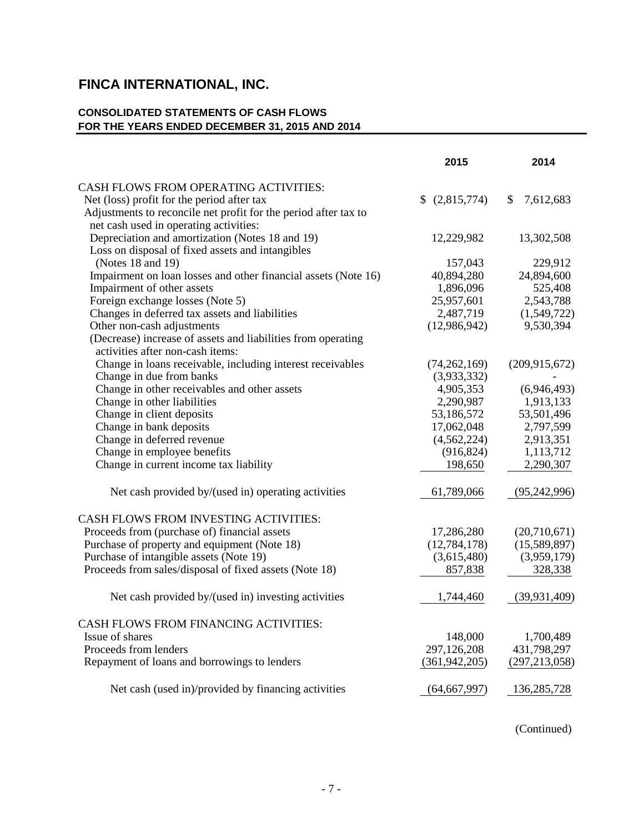# **CONSOLIDATED STATEMENTS OF CASH FLOWS FOR THE YEARS ENDED DECEMBER 31, 2015 AND 2014**

|                                                                 | 2015            | 2014            |
|-----------------------------------------------------------------|-----------------|-----------------|
| <b>CASH FLOWS FROM OPERATING ACTIVITIES:</b>                    |                 |                 |
| Net (loss) profit for the period after tax                      | (2,815,774)     | 7,612,683<br>\$ |
| Adjustments to reconcile net profit for the period after tax to |                 |                 |
| net cash used in operating activities:                          |                 |                 |
| Depreciation and amortization (Notes 18 and 19)                 | 12,229,982      | 13,302,508      |
| Loss on disposal of fixed assets and intangibles                |                 |                 |
| (Notes 18 and 19)                                               | 157,043         | 229,912         |
| Impairment on loan losses and other financial assets (Note 16)  | 40,894,280      | 24,894,600      |
| Impairment of other assets                                      | 1,896,096       | 525,408         |
| Foreign exchange losses (Note 5)                                | 25,957,601      | 2,543,788       |
| Changes in deferred tax assets and liabilities                  | 2,487,719       | (1,549,722)     |
| Other non-cash adjustments                                      | (12,986,942)    | 9,530,394       |
| (Decrease) increase of assets and liabilities from operating    |                 |                 |
| activities after non-cash items:                                |                 |                 |
| Change in loans receivable, including interest receivables      | (74, 262, 169)  | (209, 915, 672) |
| Change in due from banks                                        | (3,933,332)     |                 |
| Change in other receivables and other assets                    | 4,905,353       | (6,946,493)     |
| Change in other liabilities                                     | 2,290,987       | 1,913,133       |
| Change in client deposits                                       | 53,186,572      | 53,501,496      |
| Change in bank deposits                                         | 17,062,048      | 2,797,599       |
| Change in deferred revenue                                      | (4, 562, 224)   | 2,913,351       |
| Change in employee benefits                                     | (916, 824)      | 1,113,712       |
| Change in current income tax liability                          | 198,650         | 2,290,307       |
| Net cash provided by/(used in) operating activities             | 61,789,066      | (95, 242, 996)  |
| CASH FLOWS FROM INVESTING ACTIVITIES:                           |                 |                 |
| Proceeds from (purchase of) financial assets                    | 17,286,280      | (20,710,671)    |
| Purchase of property and equipment (Note 18)                    | (12, 784, 178)  | (15,589,897)    |
| Purchase of intangible assets (Note 19)                         | (3,615,480)     | (3,959,179)     |
| Proceeds from sales/disposal of fixed assets (Note 18)          | 857,838         | 328,338         |
| Net cash provided by/(used in) investing activities             | 1,744,460       | (39, 931, 409)  |
|                                                                 |                 |                 |
| CASH FLOWS FROM FINANCING ACTIVITIES:                           |                 |                 |
| Issue of shares                                                 | 148,000         | 1,700,489       |
| Proceeds from lenders                                           | 297,126,208     | 431,798,297     |
| Repayment of loans and borrowings to lenders                    | (361, 942, 205) | (297, 213, 058) |
| Net cash (used in)/provided by financing activities             | (64, 667, 997)  | 136,285,728     |

(Continued)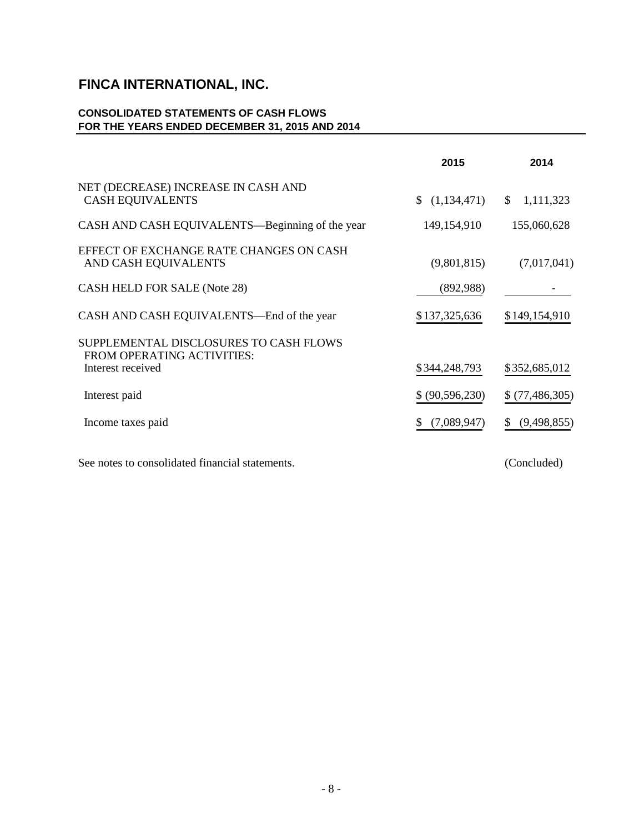# **CONSOLIDATED STATEMENTS OF CASH FLOWS FOR THE YEARS ENDED DECEMBER 31, 2015 AND 2014**

|                                                                                                  | 2015              | 2014                      |
|--------------------------------------------------------------------------------------------------|-------------------|---------------------------|
| NET (DECREASE) INCREASE IN CASH AND<br><b>CASH EQUIVALENTS</b>                                   | (1,134,471)<br>\$ | $\mathbb{S}$<br>1,111,323 |
| CASH AND CASH EQUIVALENTS—Beginning of the year                                                  | 149,154,910       | 155,060,628               |
| EFFECT OF EXCHANGE RATE CHANGES ON CASH<br>AND CASH EQUIVALENTS                                  | (9,801,815)       | (7,017,041)               |
| CASH HELD FOR SALE (Note 28)                                                                     | (892,988)         |                           |
| CASH AND CASH EQUIVALENTS—End of the year                                                        | \$137,325,636     | \$149,154,910             |
| SUPPLEMENTAL DISCLOSURES TO CASH FLOWS<br><b>FROM OPERATING ACTIVITIES:</b><br>Interest received | \$344,248,793     | \$352,685,012             |
|                                                                                                  |                   |                           |
| Interest paid                                                                                    | \$ (90, 596, 230) | $$$ (77,486,305)          |
| Income taxes paid                                                                                | (7,089,947)       | (9,498,855)<br>S          |
|                                                                                                  |                   |                           |

See notes to consolidated financial statements. (Concluded)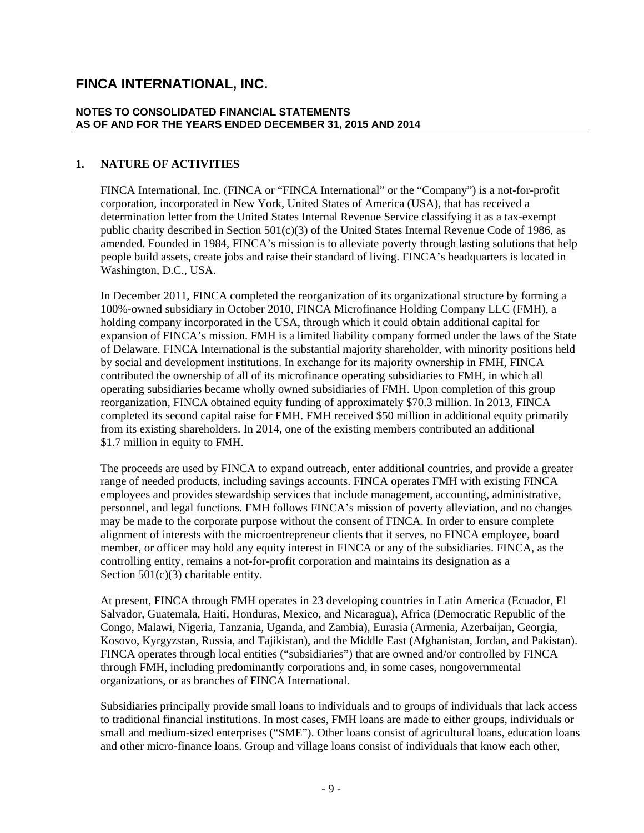#### **NOTES TO CONSOLIDATED FINANCIAL STATEMENTS AS OF AND FOR THE YEARS ENDED DECEMBER 31, 2015 AND 2014**

#### **1. NATURE OF ACTIVITIES**

FINCA International, Inc. (FINCA or "FINCA International" or the "Company") is a not-for-profit corporation, incorporated in New York, United States of America (USA), that has received a determination letter from the United States Internal Revenue Service classifying it as a tax-exempt public charity described in Section 501(c)(3) of the United States Internal Revenue Code of 1986, as amended. Founded in 1984, FINCA's mission is to alleviate poverty through lasting solutions that help people build assets, create jobs and raise their standard of living. FINCA's headquarters is located in Washington, D.C., USA.

In December 2011, FINCA completed the reorganization of its organizational structure by forming a 100%-owned subsidiary in October 2010, FINCA Microfinance Holding Company LLC (FMH), a holding company incorporated in the USA, through which it could obtain additional capital for expansion of FINCA's mission. FMH is a limited liability company formed under the laws of the State of Delaware. FINCA International is the substantial majority shareholder, with minority positions held by social and development institutions. In exchange for its majority ownership in FMH, FINCA contributed the ownership of all of its microfinance operating subsidiaries to FMH, in which all operating subsidiaries became wholly owned subsidiaries of FMH. Upon completion of this group reorganization, FINCA obtained equity funding of approximately \$70.3 million. In 2013, FINCA completed its second capital raise for FMH. FMH received \$50 million in additional equity primarily from its existing shareholders. In 2014, one of the existing members contributed an additional \$1.7 million in equity to FMH.

The proceeds are used by FINCA to expand outreach, enter additional countries, and provide a greater range of needed products, including savings accounts. FINCA operates FMH with existing FINCA employees and provides stewardship services that include management, accounting, administrative, personnel, and legal functions. FMH follows FINCA's mission of poverty alleviation, and no changes may be made to the corporate purpose without the consent of FINCA. In order to ensure complete alignment of interests with the microentrepreneur clients that it serves, no FINCA employee, board member, or officer may hold any equity interest in FINCA or any of the subsidiaries. FINCA, as the controlling entity, remains a not-for-profit corporation and maintains its designation as a Section 501(c)(3) charitable entity.

At present, FINCA through FMH operates in 23 developing countries in Latin America (Ecuador, El Salvador, Guatemala, Haiti, Honduras, Mexico, and Nicaragua), Africa (Democratic Republic of the Congo, Malawi, Nigeria, Tanzania, Uganda, and Zambia), Eurasia (Armenia, Azerbaijan, Georgia, Kosovo, Kyrgyzstan, Russia, and Tajikistan), and the Middle East (Afghanistan, Jordan, and Pakistan). FINCA operates through local entities ("subsidiaries") that are owned and/or controlled by FINCA through FMH, including predominantly corporations and, in some cases, nongovernmental organizations, or as branches of FINCA International.

Subsidiaries principally provide small loans to individuals and to groups of individuals that lack access to traditional financial institutions. In most cases, FMH loans are made to either groups, individuals or small and medium-sized enterprises ("SME"). Other loans consist of agricultural loans, education loans and other micro-finance loans. Group and village loans consist of individuals that know each other,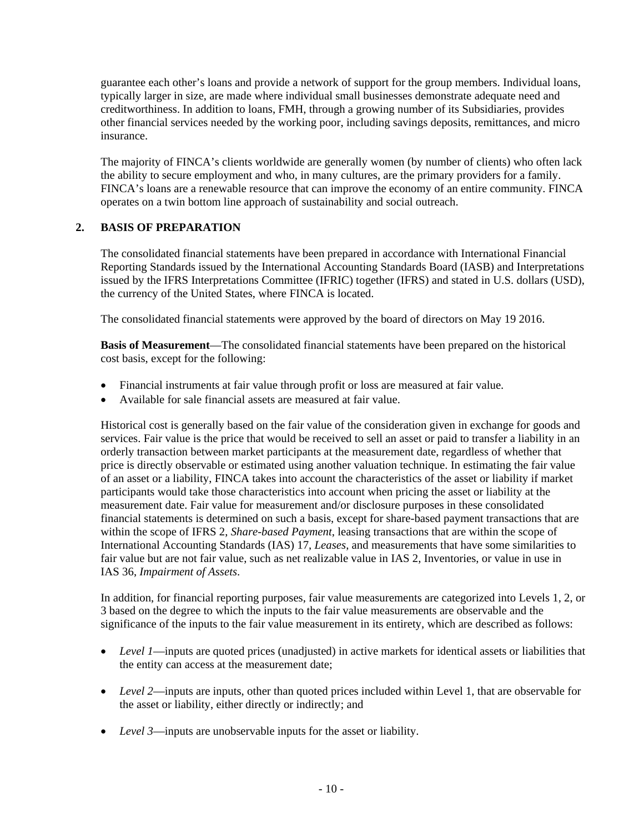guarantee each other's loans and provide a network of support for the group members. Individual loans, typically larger in size, are made where individual small businesses demonstrate adequate need and creditworthiness. In addition to loans, FMH, through a growing number of its Subsidiaries, provides other financial services needed by the working poor, including savings deposits, remittances, and micro insurance.

The majority of FINCA's clients worldwide are generally women (by number of clients) who often lack the ability to secure employment and who, in many cultures, are the primary providers for a family. FINCA's loans are a renewable resource that can improve the economy of an entire community. FINCA operates on a twin bottom line approach of sustainability and social outreach.

#### **2. BASIS OF PREPARATION**

The consolidated financial statements have been prepared in accordance with International Financial Reporting Standards issued by the International Accounting Standards Board (IASB) and Interpretations issued by the IFRS Interpretations Committee (IFRIC) together (IFRS) and stated in U.S. dollars (USD), the currency of the United States, where FINCA is located.

The consolidated financial statements were approved by the board of directors on May 19 2016.

**Basis of Measurement**—The consolidated financial statements have been prepared on the historical cost basis, except for the following:

- Financial instruments at fair value through profit or loss are measured at fair value.
- Available for sale financial assets are measured at fair value.

Historical cost is generally based on the fair value of the consideration given in exchange for goods and services. Fair value is the price that would be received to sell an asset or paid to transfer a liability in an orderly transaction between market participants at the measurement date, regardless of whether that price is directly observable or estimated using another valuation technique. In estimating the fair value of an asset or a liability, FINCA takes into account the characteristics of the asset or liability if market participants would take those characteristics into account when pricing the asset or liability at the measurement date. Fair value for measurement and/or disclosure purposes in these consolidated financial statements is determined on such a basis, except for share-based payment transactions that are within the scope of IFRS 2, *Share-based Payment*, leasing transactions that are within the scope of International Accounting Standards (IAS) 17, *Leases*, and measurements that have some similarities to fair value but are not fair value, such as net realizable value in IAS 2, Inventories, or value in use in IAS 36, *Impairment of Assets*.

In addition, for financial reporting purposes, fair value measurements are categorized into Levels 1, 2, or 3 based on the degree to which the inputs to the fair value measurements are observable and the significance of the inputs to the fair value measurement in its entirety, which are described as follows:

- *Level 1*—inputs are quoted prices (unadjusted) in active markets for identical assets or liabilities that the entity can access at the measurement date;
- *Level* 2—inputs are inputs, other than quoted prices included within Level 1, that are observable for the asset or liability, either directly or indirectly; and
- *Level 3*—inputs are unobservable inputs for the asset or liability.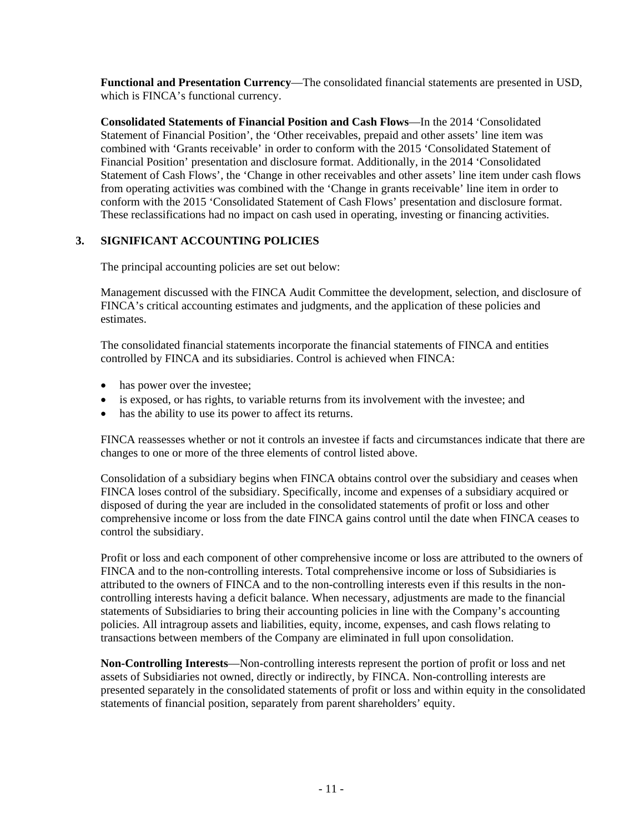**Functional and Presentation Currency**—The consolidated financial statements are presented in USD, which is FINCA's functional currency.

**Consolidated Statements of Financial Position and Cash Flows**—In the 2014 'Consolidated Statement of Financial Position', the 'Other receivables, prepaid and other assets' line item was combined with 'Grants receivable' in order to conform with the 2015 'Consolidated Statement of Financial Position' presentation and disclosure format. Additionally, in the 2014 'Consolidated Statement of Cash Flows', the 'Change in other receivables and other assets' line item under cash flows from operating activities was combined with the 'Change in grants receivable' line item in order to conform with the 2015 'Consolidated Statement of Cash Flows' presentation and disclosure format. These reclassifications had no impact on cash used in operating, investing or financing activities.

# **3. SIGNIFICANT ACCOUNTING POLICIES**

The principal accounting policies are set out below:

Management discussed with the FINCA Audit Committee the development, selection, and disclosure of FINCA's critical accounting estimates and judgments, and the application of these policies and estimates.

The consolidated financial statements incorporate the financial statements of FINCA and entities controlled by FINCA and its subsidiaries. Control is achieved when FINCA:

- has power over the investee;
- is exposed, or has rights, to variable returns from its involvement with the investee; and
- has the ability to use its power to affect its returns.

FINCA reassesses whether or not it controls an investee if facts and circumstances indicate that there are changes to one or more of the three elements of control listed above.

Consolidation of a subsidiary begins when FINCA obtains control over the subsidiary and ceases when FINCA loses control of the subsidiary. Specifically, income and expenses of a subsidiary acquired or disposed of during the year are included in the consolidated statements of profit or loss and other comprehensive income or loss from the date FINCA gains control until the date when FINCA ceases to control the subsidiary.

Profit or loss and each component of other comprehensive income or loss are attributed to the owners of FINCA and to the non-controlling interests. Total comprehensive income or loss of Subsidiaries is attributed to the owners of FINCA and to the non-controlling interests even if this results in the noncontrolling interests having a deficit balance. When necessary, adjustments are made to the financial statements of Subsidiaries to bring their accounting policies in line with the Company's accounting policies. All intragroup assets and liabilities, equity, income, expenses, and cash flows relating to transactions between members of the Company are eliminated in full upon consolidation.

**Non-Controlling Interests**—Non-controlling interests represent the portion of profit or loss and net assets of Subsidiaries not owned, directly or indirectly, by FINCA. Non-controlling interests are presented separately in the consolidated statements of profit or loss and within equity in the consolidated statements of financial position, separately from parent shareholders' equity.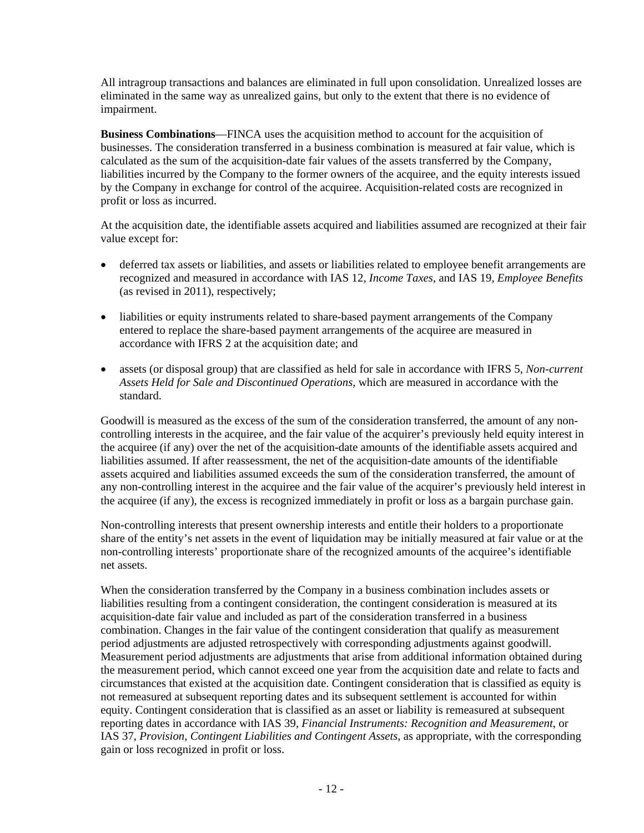All intragroup transactions and balances are eliminated in full upon consolidation. Unrealized losses are eliminated in the same way as unrealized gains, but only to the extent that there is no evidence of impairment.

**Business Combinations**—FINCA uses the acquisition method to account for the acquisition of businesses. The consideration transferred in a business combination is measured at fair value, which is calculated as the sum of the acquisition-date fair values of the assets transferred by the Company, liabilities incurred by the Company to the former owners of the acquiree, and the equity interests issued by the Company in exchange for control of the acquiree. Acquisition-related costs are recognized in profit or loss as incurred.

At the acquisition date, the identifiable assets acquired and liabilities assumed are recognized at their fair value except for:

- deferred tax assets or liabilities, and assets or liabilities related to employee benefit arrangements are recognized and measured in accordance with IAS 12, *Income Taxes*, and IAS 19, *Employee Benefits* (as revised in 2011), respectively;
- liabilities or equity instruments related to share-based payment arrangements of the Company entered to replace the share-based payment arrangements of the acquiree are measured in accordance with IFRS 2 at the acquisition date; and
- assets (or disposal group) that are classified as held for sale in accordance with IFRS 5, *Non-current Assets Held for Sale and Discontinued Operations*, which are measured in accordance with the standard.

Goodwill is measured as the excess of the sum of the consideration transferred, the amount of any noncontrolling interests in the acquiree, and the fair value of the acquirer's previously held equity interest in the acquiree (if any) over the net of the acquisition-date amounts of the identifiable assets acquired and liabilities assumed. If after reassessment, the net of the acquisition-date amounts of the identifiable assets acquired and liabilities assumed exceeds the sum of the consideration transferred, the amount of any non-controlling interest in the acquiree and the fair value of the acquirer's previously held interest in the acquiree (if any), the excess is recognized immediately in profit or loss as a bargain purchase gain.

Non-controlling interests that present ownership interests and entitle their holders to a proportionate share of the entity's net assets in the event of liquidation may be initially measured at fair value or at the non-controlling interests' proportionate share of the recognized amounts of the acquiree's identifiable net assets.

When the consideration transferred by the Company in a business combination includes assets or liabilities resulting from a contingent consideration, the contingent consideration is measured at its acquisition-date fair value and included as part of the consideration transferred in a business combination. Changes in the fair value of the contingent consideration that qualify as measurement period adjustments are adjusted retrospectively with corresponding adjustments against goodwill. Measurement period adjustments are adjustments that arise from additional information obtained during the measurement period, which cannot exceed one year from the acquisition date and relate to facts and circumstances that existed at the acquisition date. Contingent consideration that is classified as equity is not remeasured at subsequent reporting dates and its subsequent settlement is accounted for within equity. Contingent consideration that is classified as an asset or liability is remeasured at subsequent reporting dates in accordance with IAS 39, *Financial Instruments: Recognition and Measurement*, or IAS 37, *Provision, Contingent Liabilities and Contingent Assets*, as appropriate, with the corresponding gain or loss recognized in profit or loss.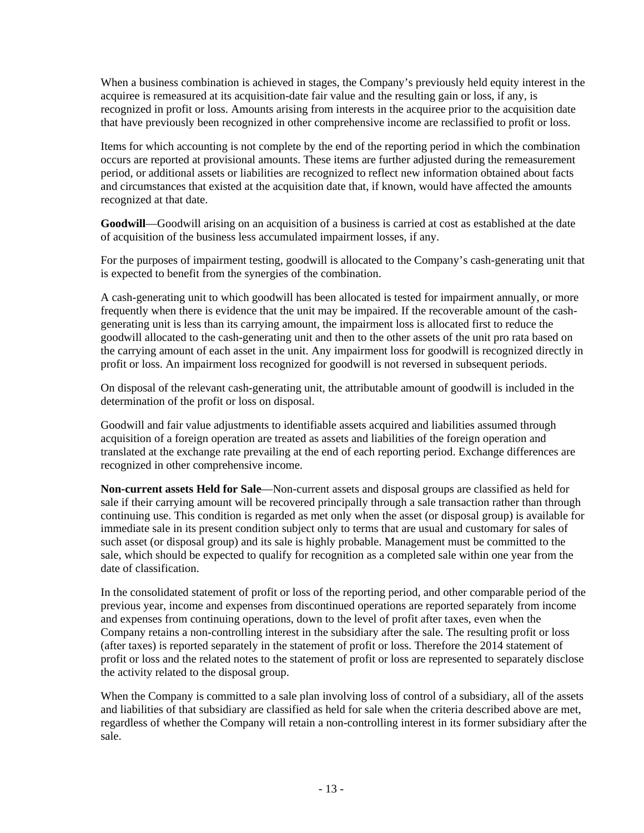When a business combination is achieved in stages, the Company's previously held equity interest in the acquiree is remeasured at its acquisition-date fair value and the resulting gain or loss, if any, is recognized in profit or loss. Amounts arising from interests in the acquiree prior to the acquisition date that have previously been recognized in other comprehensive income are reclassified to profit or loss.

Items for which accounting is not complete by the end of the reporting period in which the combination occurs are reported at provisional amounts. These items are further adjusted during the remeasurement period, or additional assets or liabilities are recognized to reflect new information obtained about facts and circumstances that existed at the acquisition date that, if known, would have affected the amounts recognized at that date.

**Goodwill**—Goodwill arising on an acquisition of a business is carried at cost as established at the date of acquisition of the business less accumulated impairment losses, if any.

For the purposes of impairment testing, goodwill is allocated to the Company's cash-generating unit that is expected to benefit from the synergies of the combination.

A cash-generating unit to which goodwill has been allocated is tested for impairment annually, or more frequently when there is evidence that the unit may be impaired. If the recoverable amount of the cashgenerating unit is less than its carrying amount, the impairment loss is allocated first to reduce the goodwill allocated to the cash-generating unit and then to the other assets of the unit pro rata based on the carrying amount of each asset in the unit. Any impairment loss for goodwill is recognized directly in profit or loss. An impairment loss recognized for goodwill is not reversed in subsequent periods.

On disposal of the relevant cash-generating unit, the attributable amount of goodwill is included in the determination of the profit or loss on disposal.

Goodwill and fair value adjustments to identifiable assets acquired and liabilities assumed through acquisition of a foreign operation are treated as assets and liabilities of the foreign operation and translated at the exchange rate prevailing at the end of each reporting period. Exchange differences are recognized in other comprehensive income.

**Non-current assets Held for Sale—Non-current assets and disposal groups are classified as held for** sale if their carrying amount will be recovered principally through a sale transaction rather than through continuing use. This condition is regarded as met only when the asset (or disposal group) is available for immediate sale in its present condition subject only to terms that are usual and customary for sales of such asset (or disposal group) and its sale is highly probable. Management must be committed to the sale, which should be expected to qualify for recognition as a completed sale within one year from the date of classification.

In the consolidated statement of profit or loss of the reporting period, and other comparable period of the previous year, income and expenses from discontinued operations are reported separately from income and expenses from continuing operations, down to the level of profit after taxes, even when the Company retains a non-controlling interest in the subsidiary after the sale. The resulting profit or loss (after taxes) is reported separately in the statement of profit or loss. Therefore the 2014 statement of profit or loss and the related notes to the statement of profit or loss are represented to separately disclose the activity related to the disposal group.

When the Company is committed to a sale plan involving loss of control of a subsidiary, all of the assets and liabilities of that subsidiary are classified as held for sale when the criteria described above are met, regardless of whether the Company will retain a non-controlling interest in its former subsidiary after the sale.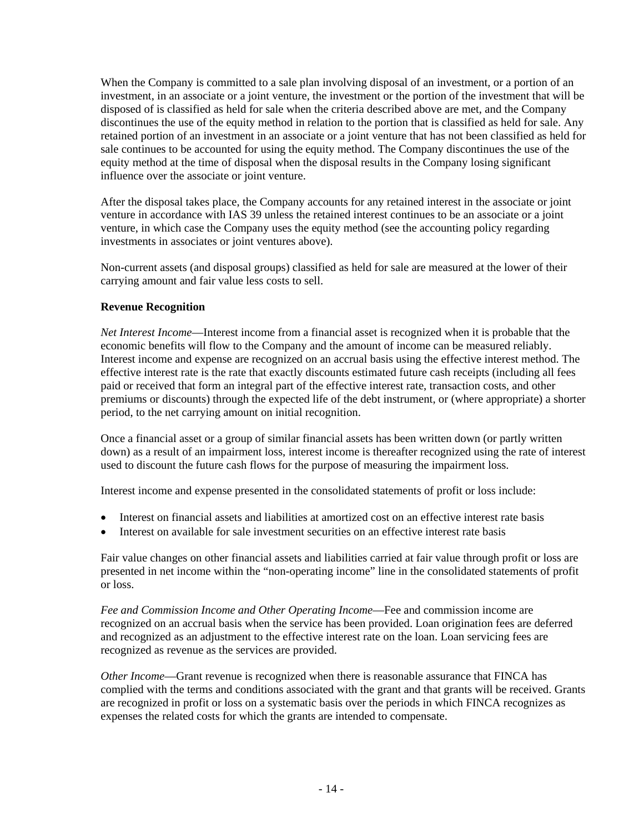When the Company is committed to a sale plan involving disposal of an investment, or a portion of an investment, in an associate or a joint venture, the investment or the portion of the investment that will be disposed of is classified as held for sale when the criteria described above are met, and the Company discontinues the use of the equity method in relation to the portion that is classified as held for sale. Any retained portion of an investment in an associate or a joint venture that has not been classified as held for sale continues to be accounted for using the equity method. The Company discontinues the use of the equity method at the time of disposal when the disposal results in the Company losing significant influence over the associate or joint venture.

After the disposal takes place, the Company accounts for any retained interest in the associate or joint venture in accordance with IAS 39 unless the retained interest continues to be an associate or a joint venture, in which case the Company uses the equity method (see the accounting policy regarding investments in associates or joint ventures above).

Non-current assets (and disposal groups) classified as held for sale are measured at the lower of their carrying amount and fair value less costs to sell.

### **Revenue Recognition**

*Net Interest Income*—Interest income from a financial asset is recognized when it is probable that the economic benefits will flow to the Company and the amount of income can be measured reliably. Interest income and expense are recognized on an accrual basis using the effective interest method. The effective interest rate is the rate that exactly discounts estimated future cash receipts (including all fees paid or received that form an integral part of the effective interest rate, transaction costs, and other premiums or discounts) through the expected life of the debt instrument, or (where appropriate) a shorter period, to the net carrying amount on initial recognition.

Once a financial asset or a group of similar financial assets has been written down (or partly written down) as a result of an impairment loss, interest income is thereafter recognized using the rate of interest used to discount the future cash flows for the purpose of measuring the impairment loss.

Interest income and expense presented in the consolidated statements of profit or loss include:

- Interest on financial assets and liabilities at amortized cost on an effective interest rate basis
- Interest on available for sale investment securities on an effective interest rate basis

Fair value changes on other financial assets and liabilities carried at fair value through profit or loss are presented in net income within the "non-operating income" line in the consolidated statements of profit or loss.

*Fee and Commission Income and Other Operating Income*—Fee and commission income are recognized on an accrual basis when the service has been provided. Loan origination fees are deferred and recognized as an adjustment to the effective interest rate on the loan. Loan servicing fees are recognized as revenue as the services are provided.

*Other Income*—Grant revenue is recognized when there is reasonable assurance that FINCA has complied with the terms and conditions associated with the grant and that grants will be received. Grants are recognized in profit or loss on a systematic basis over the periods in which FINCA recognizes as expenses the related costs for which the grants are intended to compensate.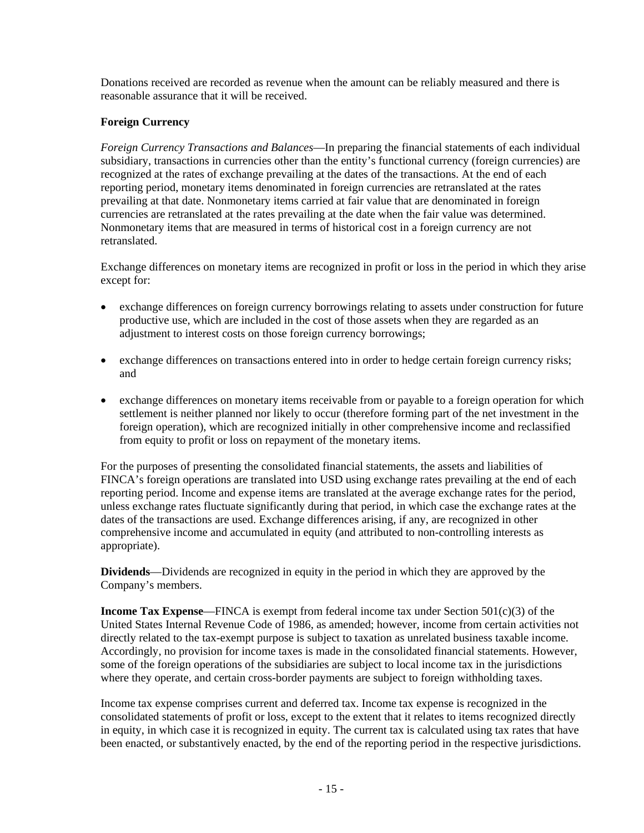Donations received are recorded as revenue when the amount can be reliably measured and there is reasonable assurance that it will be received.

### **Foreign Currency**

*Foreign Currency Transactions and Balances*—In preparing the financial statements of each individual subsidiary, transactions in currencies other than the entity's functional currency (foreign currencies) are recognized at the rates of exchange prevailing at the dates of the transactions. At the end of each reporting period, monetary items denominated in foreign currencies are retranslated at the rates prevailing at that date. Nonmonetary items carried at fair value that are denominated in foreign currencies are retranslated at the rates prevailing at the date when the fair value was determined. Nonmonetary items that are measured in terms of historical cost in a foreign currency are not retranslated.

Exchange differences on monetary items are recognized in profit or loss in the period in which they arise except for:

- exchange differences on foreign currency borrowings relating to assets under construction for future productive use, which are included in the cost of those assets when they are regarded as an adjustment to interest costs on those foreign currency borrowings;
- exchange differences on transactions entered into in order to hedge certain foreign currency risks; and
- exchange differences on monetary items receivable from or payable to a foreign operation for which settlement is neither planned nor likely to occur (therefore forming part of the net investment in the foreign operation), which are recognized initially in other comprehensive income and reclassified from equity to profit or loss on repayment of the monetary items.

For the purposes of presenting the consolidated financial statements, the assets and liabilities of FINCA's foreign operations are translated into USD using exchange rates prevailing at the end of each reporting period. Income and expense items are translated at the average exchange rates for the period, unless exchange rates fluctuate significantly during that period, in which case the exchange rates at the dates of the transactions are used. Exchange differences arising, if any, are recognized in other comprehensive income and accumulated in equity (and attributed to non-controlling interests as appropriate).

**Dividends**—Dividends are recognized in equity in the period in which they are approved by the Company's members.

**Income Tax Expense**—FINCA is exempt from federal income tax under Section 501(c)(3) of the United States Internal Revenue Code of 1986, as amended; however, income from certain activities not directly related to the tax-exempt purpose is subject to taxation as unrelated business taxable income. Accordingly, no provision for income taxes is made in the consolidated financial statements. However, some of the foreign operations of the subsidiaries are subject to local income tax in the jurisdictions where they operate, and certain cross-border payments are subject to foreign withholding taxes.

Income tax expense comprises current and deferred tax. Income tax expense is recognized in the consolidated statements of profit or loss, except to the extent that it relates to items recognized directly in equity, in which case it is recognized in equity. The current tax is calculated using tax rates that have been enacted, or substantively enacted, by the end of the reporting period in the respective jurisdictions.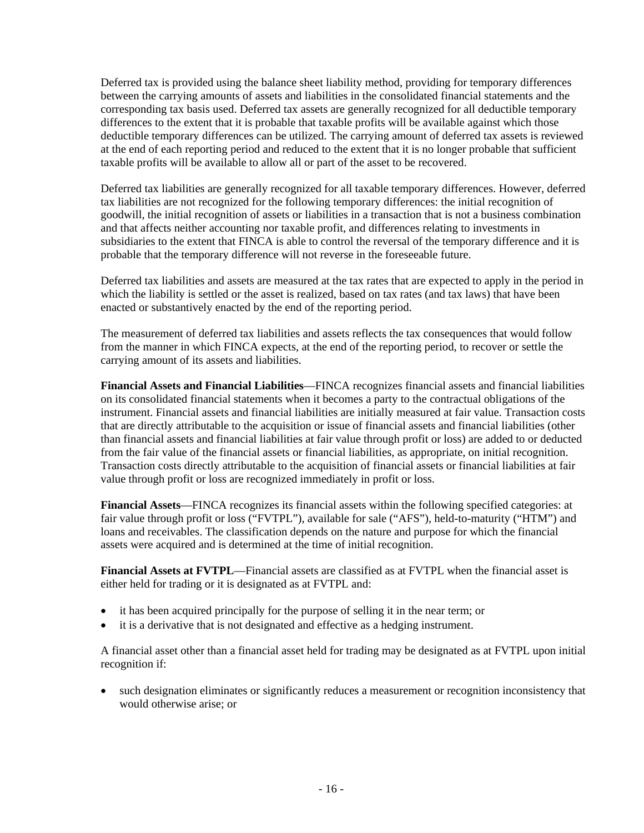Deferred tax is provided using the balance sheet liability method, providing for temporary differences between the carrying amounts of assets and liabilities in the consolidated financial statements and the corresponding tax basis used. Deferred tax assets are generally recognized for all deductible temporary differences to the extent that it is probable that taxable profits will be available against which those deductible temporary differences can be utilized. The carrying amount of deferred tax assets is reviewed at the end of each reporting period and reduced to the extent that it is no longer probable that sufficient taxable profits will be available to allow all or part of the asset to be recovered.

Deferred tax liabilities are generally recognized for all taxable temporary differences. However, deferred tax liabilities are not recognized for the following temporary differences: the initial recognition of goodwill, the initial recognition of assets or liabilities in a transaction that is not a business combination and that affects neither accounting nor taxable profit, and differences relating to investments in subsidiaries to the extent that FINCA is able to control the reversal of the temporary difference and it is probable that the temporary difference will not reverse in the foreseeable future.

Deferred tax liabilities and assets are measured at the tax rates that are expected to apply in the period in which the liability is settled or the asset is realized, based on tax rates (and tax laws) that have been enacted or substantively enacted by the end of the reporting period.

The measurement of deferred tax liabilities and assets reflects the tax consequences that would follow from the manner in which FINCA expects, at the end of the reporting period, to recover or settle the carrying amount of its assets and liabilities.

**Financial Assets and Financial Liabilities**—FINCA recognizes financial assets and financial liabilities on its consolidated financial statements when it becomes a party to the contractual obligations of the instrument. Financial assets and financial liabilities are initially measured at fair value. Transaction costs that are directly attributable to the acquisition or issue of financial assets and financial liabilities (other than financial assets and financial liabilities at fair value through profit or loss) are added to or deducted from the fair value of the financial assets or financial liabilities, as appropriate, on initial recognition. Transaction costs directly attributable to the acquisition of financial assets or financial liabilities at fair value through profit or loss are recognized immediately in profit or loss.

**Financial Assets**—FINCA recognizes its financial assets within the following specified categories: at fair value through profit or loss ("FVTPL"), available for sale ("AFS"), held-to-maturity ("HTM") and loans and receivables. The classification depends on the nature and purpose for which the financial assets were acquired and is determined at the time of initial recognition.

**Financial Assets at FVTPL**—Financial assets are classified as at FVTPL when the financial asset is either held for trading or it is designated as at FVTPL and:

- it has been acquired principally for the purpose of selling it in the near term; or
- it is a derivative that is not designated and effective as a hedging instrument.

A financial asset other than a financial asset held for trading may be designated as at FVTPL upon initial recognition if:

• such designation eliminates or significantly reduces a measurement or recognition inconsistency that would otherwise arise; or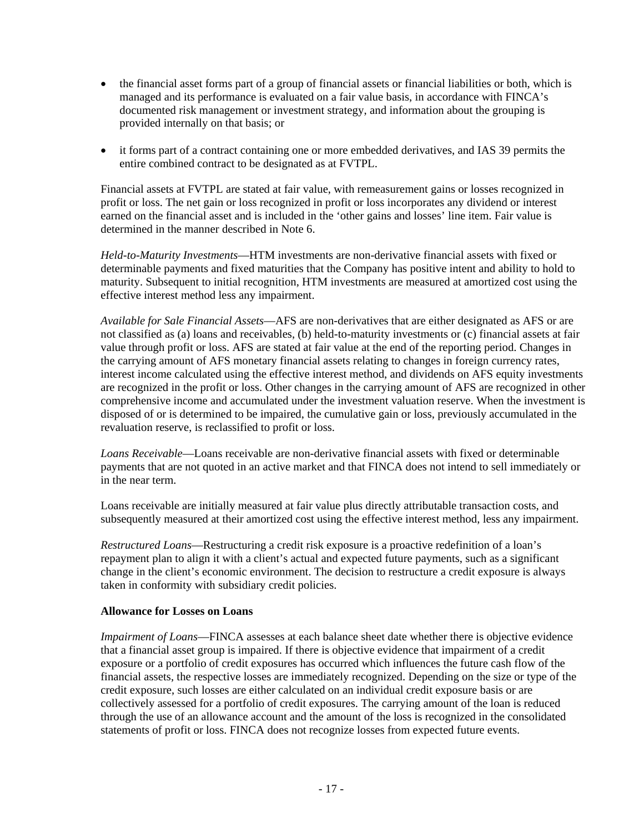- the financial asset forms part of a group of financial assets or financial liabilities or both, which is managed and its performance is evaluated on a fair value basis, in accordance with FINCA's documented risk management or investment strategy, and information about the grouping is provided internally on that basis; or
- it forms part of a contract containing one or more embedded derivatives, and IAS 39 permits the entire combined contract to be designated as at FVTPL.

Financial assets at FVTPL are stated at fair value, with remeasurement gains or losses recognized in profit or loss. The net gain or loss recognized in profit or loss incorporates any dividend or interest earned on the financial asset and is included in the 'other gains and losses' line item. Fair value is determined in the manner described in Note 6.

*Held-to-Maturity Investments*—HTM investments are non-derivative financial assets with fixed or determinable payments and fixed maturities that the Company has positive intent and ability to hold to maturity. Subsequent to initial recognition, HTM investments are measured at amortized cost using the effective interest method less any impairment.

*Available for Sale Financial Assets*—AFS are non-derivatives that are either designated as AFS or are not classified as (a) loans and receivables, (b) held-to-maturity investments or (c) financial assets at fair value through profit or loss. AFS are stated at fair value at the end of the reporting period. Changes in the carrying amount of AFS monetary financial assets relating to changes in foreign currency rates, interest income calculated using the effective interest method, and dividends on AFS equity investments are recognized in the profit or loss. Other changes in the carrying amount of AFS are recognized in other comprehensive income and accumulated under the investment valuation reserve. When the investment is disposed of or is determined to be impaired, the cumulative gain or loss, previously accumulated in the revaluation reserve, is reclassified to profit or loss.

*Loans Receivable*—Loans receivable are non-derivative financial assets with fixed or determinable payments that are not quoted in an active market and that FINCA does not intend to sell immediately or in the near term.

Loans receivable are initially measured at fair value plus directly attributable transaction costs, and subsequently measured at their amortized cost using the effective interest method, less any impairment.

*Restructured Loans*—Restructuring a credit risk exposure is a proactive redefinition of a loan's repayment plan to align it with a client's actual and expected future payments, such as a significant change in the client's economic environment. The decision to restructure a credit exposure is always taken in conformity with subsidiary credit policies.

#### **Allowance for Losses on Loans**

*Impairment of Loans*—FINCA assesses at each balance sheet date whether there is objective evidence that a financial asset group is impaired. If there is objective evidence that impairment of a credit exposure or a portfolio of credit exposures has occurred which influences the future cash flow of the financial assets, the respective losses are immediately recognized. Depending on the size or type of the credit exposure, such losses are either calculated on an individual credit exposure basis or are collectively assessed for a portfolio of credit exposures. The carrying amount of the loan is reduced through the use of an allowance account and the amount of the loss is recognized in the consolidated statements of profit or loss. FINCA does not recognize losses from expected future events.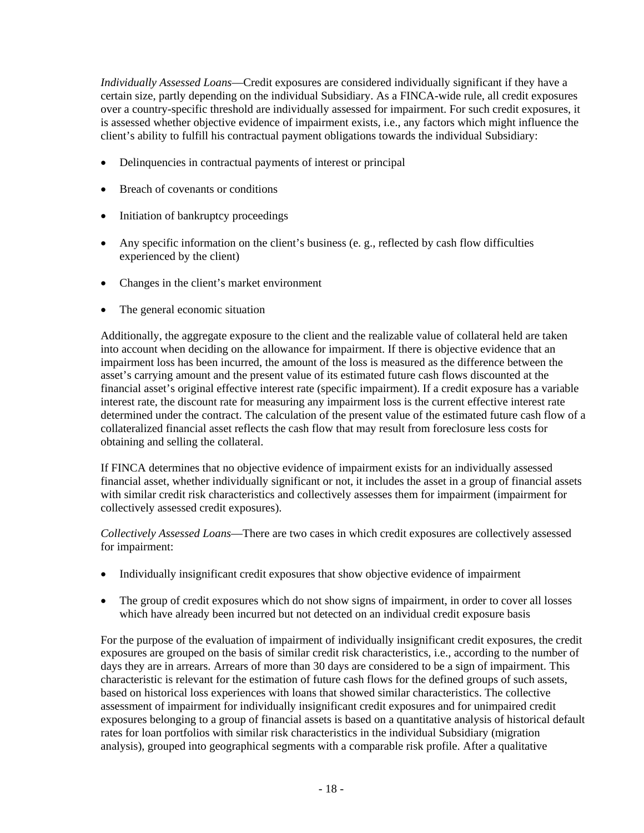*Individually Assessed Loans*—Credit exposures are considered individually significant if they have a certain size, partly depending on the individual Subsidiary. As a FINCA-wide rule, all credit exposures over a country-specific threshold are individually assessed for impairment. For such credit exposures, it is assessed whether objective evidence of impairment exists, i.e., any factors which might influence the client's ability to fulfill his contractual payment obligations towards the individual Subsidiary:

- Delinquencies in contractual payments of interest or principal
- Breach of covenants or conditions
- Initiation of bankruptcy proceedings
- Any specific information on the client's business (e. g., reflected by cash flow difficulties experienced by the client)
- Changes in the client's market environment
- The general economic situation

Additionally, the aggregate exposure to the client and the realizable value of collateral held are taken into account when deciding on the allowance for impairment. If there is objective evidence that an impairment loss has been incurred, the amount of the loss is measured as the difference between the asset's carrying amount and the present value of its estimated future cash flows discounted at the financial asset's original effective interest rate (specific impairment). If a credit exposure has a variable interest rate, the discount rate for measuring any impairment loss is the current effective interest rate determined under the contract. The calculation of the present value of the estimated future cash flow of a collateralized financial asset reflects the cash flow that may result from foreclosure less costs for obtaining and selling the collateral.

If FINCA determines that no objective evidence of impairment exists for an individually assessed financial asset, whether individually significant or not, it includes the asset in a group of financial assets with similar credit risk characteristics and collectively assesses them for impairment (impairment for collectively assessed credit exposures).

*Collectively Assessed Loans*—There are two cases in which credit exposures are collectively assessed for impairment:

- Individually insignificant credit exposures that show objective evidence of impairment
- The group of credit exposures which do not show signs of impairment, in order to cover all losses which have already been incurred but not detected on an individual credit exposure basis

For the purpose of the evaluation of impairment of individually insignificant credit exposures, the credit exposures are grouped on the basis of similar credit risk characteristics, i.e., according to the number of days they are in arrears. Arrears of more than 30 days are considered to be a sign of impairment. This characteristic is relevant for the estimation of future cash flows for the defined groups of such assets, based on historical loss experiences with loans that showed similar characteristics. The collective assessment of impairment for individually insignificant credit exposures and for unimpaired credit exposures belonging to a group of financial assets is based on a quantitative analysis of historical default rates for loan portfolios with similar risk characteristics in the individual Subsidiary (migration analysis), grouped into geographical segments with a comparable risk profile. After a qualitative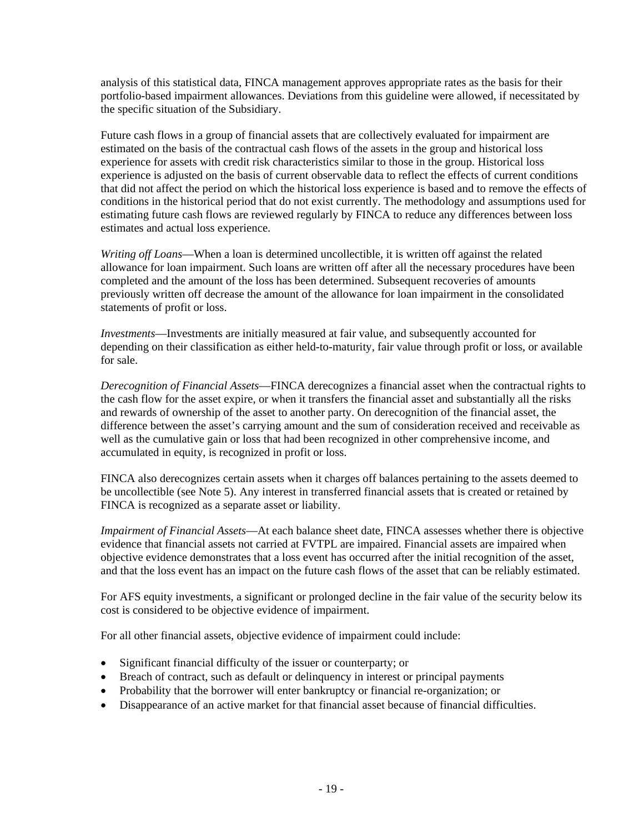analysis of this statistical data, FINCA management approves appropriate rates as the basis for their portfolio-based impairment allowances. Deviations from this guideline were allowed, if necessitated by the specific situation of the Subsidiary.

Future cash flows in a group of financial assets that are collectively evaluated for impairment are estimated on the basis of the contractual cash flows of the assets in the group and historical loss experience for assets with credit risk characteristics similar to those in the group. Historical loss experience is adjusted on the basis of current observable data to reflect the effects of current conditions that did not affect the period on which the historical loss experience is based and to remove the effects of conditions in the historical period that do not exist currently. The methodology and assumptions used for estimating future cash flows are reviewed regularly by FINCA to reduce any differences between loss estimates and actual loss experience.

*Writing off Loans*—When a loan is determined uncollectible, it is written off against the related allowance for loan impairment. Such loans are written off after all the necessary procedures have been completed and the amount of the loss has been determined. Subsequent recoveries of amounts previously written off decrease the amount of the allowance for loan impairment in the consolidated statements of profit or loss.

*Investments*—Investments are initially measured at fair value, and subsequently accounted for depending on their classification as either held-to-maturity, fair value through profit or loss, or available for sale.

*Derecognition of Financial Assets*—FINCA derecognizes a financial asset when the contractual rights to the cash flow for the asset expire, or when it transfers the financial asset and substantially all the risks and rewards of ownership of the asset to another party. On derecognition of the financial asset, the difference between the asset's carrying amount and the sum of consideration received and receivable as well as the cumulative gain or loss that had been recognized in other comprehensive income, and accumulated in equity, is recognized in profit or loss.

FINCA also derecognizes certain assets when it charges off balances pertaining to the assets deemed to be uncollectible (see Note 5). Any interest in transferred financial assets that is created or retained by FINCA is recognized as a separate asset or liability.

*Impairment of Financial Assets*—At each balance sheet date, FINCA assesses whether there is objective evidence that financial assets not carried at FVTPL are impaired. Financial assets are impaired when objective evidence demonstrates that a loss event has occurred after the initial recognition of the asset, and that the loss event has an impact on the future cash flows of the asset that can be reliably estimated.

For AFS equity investments, a significant or prolonged decline in the fair value of the security below its cost is considered to be objective evidence of impairment.

For all other financial assets, objective evidence of impairment could include:

- Significant financial difficulty of the issuer or counterparty; or
- Breach of contract, such as default or delinquency in interest or principal payments
- Probability that the borrower will enter bankruptcy or financial re-organization; or
- Disappearance of an active market for that financial asset because of financial difficulties.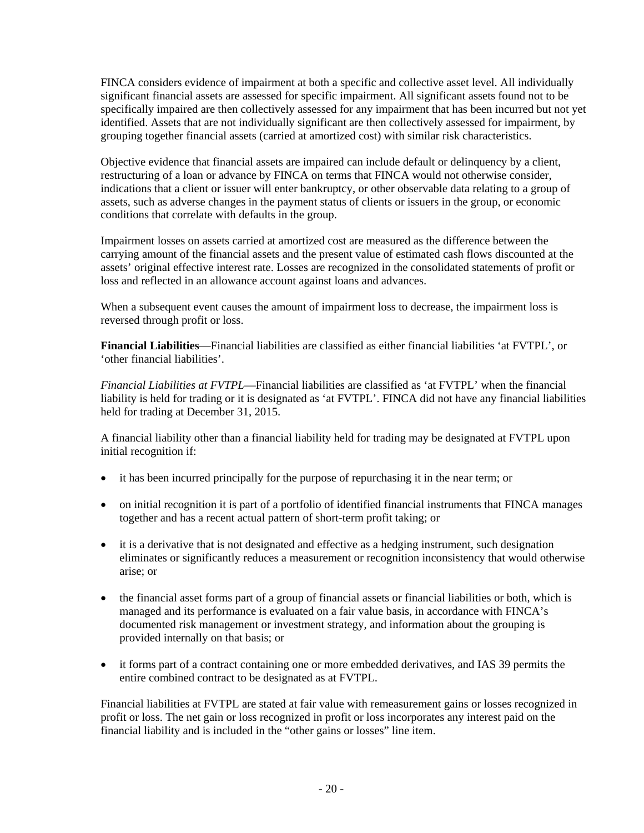FINCA considers evidence of impairment at both a specific and collective asset level. All individually significant financial assets are assessed for specific impairment. All significant assets found not to be specifically impaired are then collectively assessed for any impairment that has been incurred but not yet identified. Assets that are not individually significant are then collectively assessed for impairment, by grouping together financial assets (carried at amortized cost) with similar risk characteristics.

Objective evidence that financial assets are impaired can include default or delinquency by a client, restructuring of a loan or advance by FINCA on terms that FINCA would not otherwise consider, indications that a client or issuer will enter bankruptcy, or other observable data relating to a group of assets, such as adverse changes in the payment status of clients or issuers in the group, or economic conditions that correlate with defaults in the group.

Impairment losses on assets carried at amortized cost are measured as the difference between the carrying amount of the financial assets and the present value of estimated cash flows discounted at the assets' original effective interest rate. Losses are recognized in the consolidated statements of profit or loss and reflected in an allowance account against loans and advances.

When a subsequent event causes the amount of impairment loss to decrease, the impairment loss is reversed through profit or loss.

**Financial Liabilities**—Financial liabilities are classified as either financial liabilities 'at FVTPL', or 'other financial liabilities'.

*Financial Liabilities at FVTPL*—Financial liabilities are classified as 'at FVTPL' when the financial liability is held for trading or it is designated as 'at FVTPL'. FINCA did not have any financial liabilities held for trading at December 31, 2015.

A financial liability other than a financial liability held for trading may be designated at FVTPL upon initial recognition if:

- it has been incurred principally for the purpose of repurchasing it in the near term; or
- on initial recognition it is part of a portfolio of identified financial instruments that FINCA manages together and has a recent actual pattern of short-term profit taking; or
- it is a derivative that is not designated and effective as a hedging instrument, such designation eliminates or significantly reduces a measurement or recognition inconsistency that would otherwise arise; or
- the financial asset forms part of a group of financial assets or financial liabilities or both, which is managed and its performance is evaluated on a fair value basis, in accordance with FINCA's documented risk management or investment strategy, and information about the grouping is provided internally on that basis; or
- it forms part of a contract containing one or more embedded derivatives, and IAS 39 permits the entire combined contract to be designated as at FVTPL.

Financial liabilities at FVTPL are stated at fair value with remeasurement gains or losses recognized in profit or loss. The net gain or loss recognized in profit or loss incorporates any interest paid on the financial liability and is included in the "other gains or losses" line item.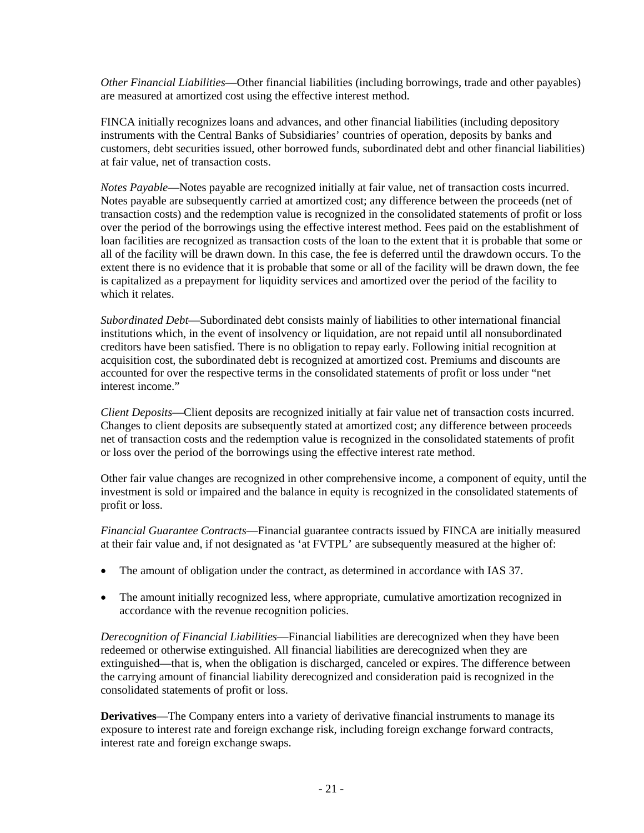*Other Financial Liabilities*—Other financial liabilities (including borrowings, trade and other payables) are measured at amortized cost using the effective interest method.

FINCA initially recognizes loans and advances, and other financial liabilities (including depository instruments with the Central Banks of Subsidiaries' countries of operation, deposits by banks and customers, debt securities issued, other borrowed funds, subordinated debt and other financial liabilities) at fair value, net of transaction costs.

*Notes Payable*—Notes payable are recognized initially at fair value, net of transaction costs incurred. Notes payable are subsequently carried at amortized cost; any difference between the proceeds (net of transaction costs) and the redemption value is recognized in the consolidated statements of profit or loss over the period of the borrowings using the effective interest method. Fees paid on the establishment of loan facilities are recognized as transaction costs of the loan to the extent that it is probable that some or all of the facility will be drawn down. In this case, the fee is deferred until the drawdown occurs. To the extent there is no evidence that it is probable that some or all of the facility will be drawn down, the fee is capitalized as a prepayment for liquidity services and amortized over the period of the facility to which it relates.

*Subordinated Debt*—Subordinated debt consists mainly of liabilities to other international financial institutions which, in the event of insolvency or liquidation, are not repaid until all nonsubordinated creditors have been satisfied. There is no obligation to repay early. Following initial recognition at acquisition cost, the subordinated debt is recognized at amortized cost. Premiums and discounts are accounted for over the respective terms in the consolidated statements of profit or loss under "net interest income."

*Client Deposits*—Client deposits are recognized initially at fair value net of transaction costs incurred. Changes to client deposits are subsequently stated at amortized cost; any difference between proceeds net of transaction costs and the redemption value is recognized in the consolidated statements of profit or loss over the period of the borrowings using the effective interest rate method.

Other fair value changes are recognized in other comprehensive income, a component of equity, until the investment is sold or impaired and the balance in equity is recognized in the consolidated statements of profit or loss.

*Financial Guarantee Contracts*—Financial guarantee contracts issued by FINCA are initially measured at their fair value and, if not designated as 'at FVTPL' are subsequently measured at the higher of:

- The amount of obligation under the contract, as determined in accordance with IAS 37.
- The amount initially recognized less, where appropriate, cumulative amortization recognized in accordance with the revenue recognition policies.

*Derecognition of Financial Liabilities*—Financial liabilities are derecognized when they have been redeemed or otherwise extinguished. All financial liabilities are derecognized when they are extinguished—that is, when the obligation is discharged, canceled or expires. The difference between the carrying amount of financial liability derecognized and consideration paid is recognized in the consolidated statements of profit or loss.

**Derivatives**—The Company enters into a variety of derivative financial instruments to manage its exposure to interest rate and foreign exchange risk, including foreign exchange forward contracts, interest rate and foreign exchange swaps.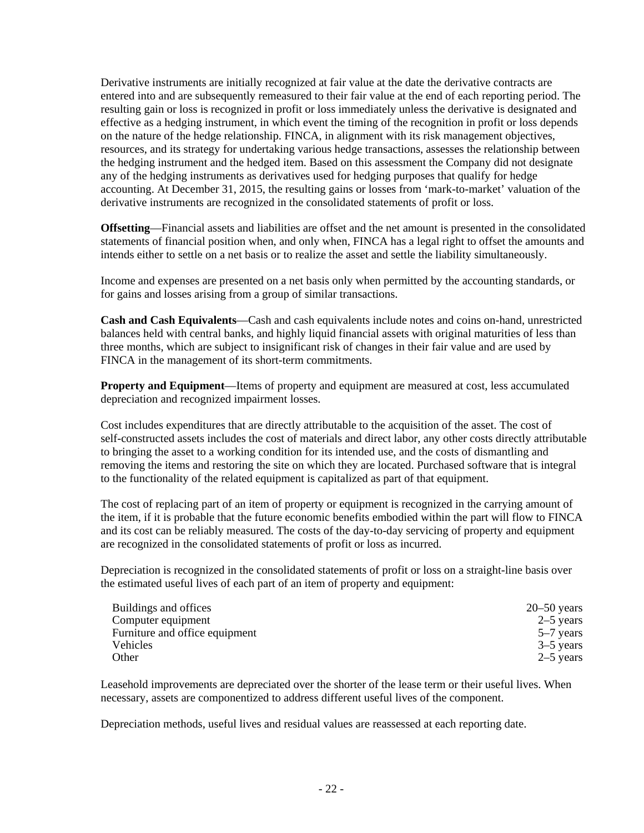Derivative instruments are initially recognized at fair value at the date the derivative contracts are entered into and are subsequently remeasured to their fair value at the end of each reporting period. The resulting gain or loss is recognized in profit or loss immediately unless the derivative is designated and effective as a hedging instrument, in which event the timing of the recognition in profit or loss depends on the nature of the hedge relationship. FINCA, in alignment with its risk management objectives, resources, and its strategy for undertaking various hedge transactions, assesses the relationship between the hedging instrument and the hedged item. Based on this assessment the Company did not designate any of the hedging instruments as derivatives used for hedging purposes that qualify for hedge accounting. At December 31, 2015, the resulting gains or losses from 'mark-to-market' valuation of the derivative instruments are recognized in the consolidated statements of profit or loss.

**Offsetting**—Financial assets and liabilities are offset and the net amount is presented in the consolidated statements of financial position when, and only when, FINCA has a legal right to offset the amounts and intends either to settle on a net basis or to realize the asset and settle the liability simultaneously.

Income and expenses are presented on a net basis only when permitted by the accounting standards, or for gains and losses arising from a group of similar transactions.

**Cash and Cash Equivalents**—Cash and cash equivalents include notes and coins on-hand, unrestricted balances held with central banks, and highly liquid financial assets with original maturities of less than three months, which are subject to insignificant risk of changes in their fair value and are used by FINCA in the management of its short-term commitments.

**Property and Equipment**—Items of property and equipment are measured at cost, less accumulated depreciation and recognized impairment losses.

Cost includes expenditures that are directly attributable to the acquisition of the asset. The cost of self-constructed assets includes the cost of materials and direct labor, any other costs directly attributable to bringing the asset to a working condition for its intended use, and the costs of dismantling and removing the items and restoring the site on which they are located. Purchased software that is integral to the functionality of the related equipment is capitalized as part of that equipment.

The cost of replacing part of an item of property or equipment is recognized in the carrying amount of the item, if it is probable that the future economic benefits embodied within the part will flow to FINCA and its cost can be reliably measured. The costs of the day-to-day servicing of property and equipment are recognized in the consolidated statements of profit or loss as incurred.

Depreciation is recognized in the consolidated statements of profit or loss on a straight-line basis over the estimated useful lives of each part of an item of property and equipment:

| Buildings and offices          | $20 - 50$ years |
|--------------------------------|-----------------|
| Computer equipment             | $2-5$ years     |
| Furniture and office equipment | $5-7$ years     |
| Vehicles                       | $3-5$ years     |
| Other                          | $2-5$ years     |

Leasehold improvements are depreciated over the shorter of the lease term or their useful lives. When necessary, assets are componentized to address different useful lives of the component.

Depreciation methods, useful lives and residual values are reassessed at each reporting date.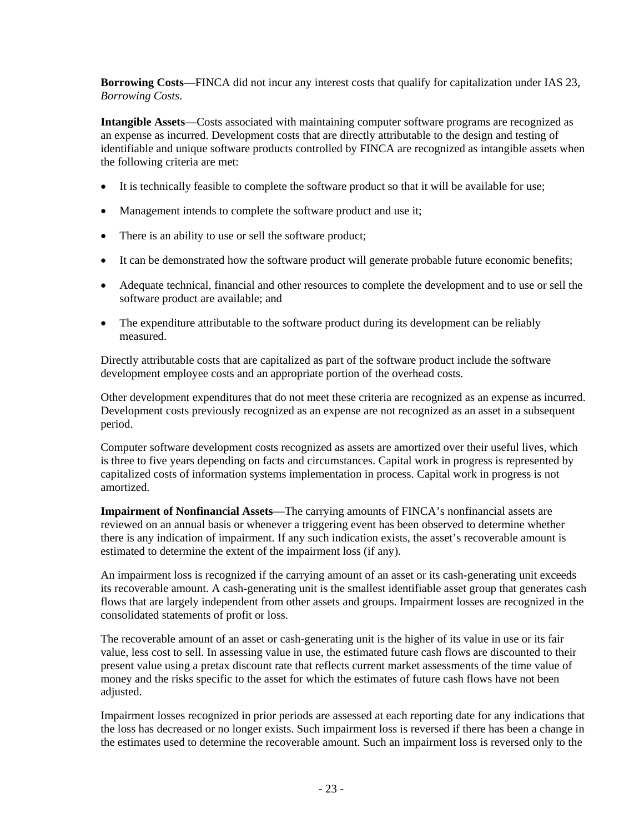**Borrowing Costs**—FINCA did not incur any interest costs that qualify for capitalization under IAS 23, *Borrowing Costs*.

**Intangible Assets**—Costs associated with maintaining computer software programs are recognized as an expense as incurred. Development costs that are directly attributable to the design and testing of identifiable and unique software products controlled by FINCA are recognized as intangible assets when the following criteria are met:

- It is technically feasible to complete the software product so that it will be available for use;
- Management intends to complete the software product and use it;
- There is an ability to use or sell the software product;
- It can be demonstrated how the software product will generate probable future economic benefits;
- Adequate technical, financial and other resources to complete the development and to use or sell the software product are available; and
- The expenditure attributable to the software product during its development can be reliably measured.

Directly attributable costs that are capitalized as part of the software product include the software development employee costs and an appropriate portion of the overhead costs.

Other development expenditures that do not meet these criteria are recognized as an expense as incurred. Development costs previously recognized as an expense are not recognized as an asset in a subsequent period.

Computer software development costs recognized as assets are amortized over their useful lives, which is three to five years depending on facts and circumstances. Capital work in progress is represented by capitalized costs of information systems implementation in process. Capital work in progress is not amortized.

**Impairment of Nonfinancial Assets**—The carrying amounts of FINCA's nonfinancial assets are reviewed on an annual basis or whenever a triggering event has been observed to determine whether there is any indication of impairment. If any such indication exists, the asset's recoverable amount is estimated to determine the extent of the impairment loss (if any).

An impairment loss is recognized if the carrying amount of an asset or its cash-generating unit exceeds its recoverable amount. A cash-generating unit is the smallest identifiable asset group that generates cash flows that are largely independent from other assets and groups. Impairment losses are recognized in the consolidated statements of profit or loss.

The recoverable amount of an asset or cash-generating unit is the higher of its value in use or its fair value, less cost to sell. In assessing value in use, the estimated future cash flows are discounted to their present value using a pretax discount rate that reflects current market assessments of the time value of money and the risks specific to the asset for which the estimates of future cash flows have not been adjusted.

Impairment losses recognized in prior periods are assessed at each reporting date for any indications that the loss has decreased or no longer exists. Such impairment loss is reversed if there has been a change in the estimates used to determine the recoverable amount. Such an impairment loss is reversed only to the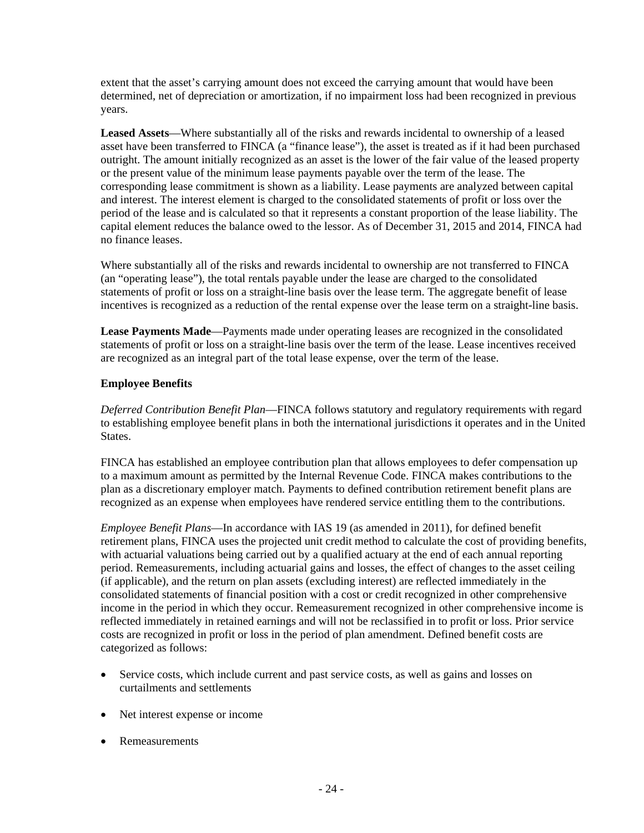extent that the asset's carrying amount does not exceed the carrying amount that would have been determined, net of depreciation or amortization, if no impairment loss had been recognized in previous years.

**Leased Assets**—Where substantially all of the risks and rewards incidental to ownership of a leased asset have been transferred to FINCA (a "finance lease"), the asset is treated as if it had been purchased outright. The amount initially recognized as an asset is the lower of the fair value of the leased property or the present value of the minimum lease payments payable over the term of the lease. The corresponding lease commitment is shown as a liability. Lease payments are analyzed between capital and interest. The interest element is charged to the consolidated statements of profit or loss over the period of the lease and is calculated so that it represents a constant proportion of the lease liability. The capital element reduces the balance owed to the lessor. As of December 31, 2015 and 2014, FINCA had no finance leases.

Where substantially all of the risks and rewards incidental to ownership are not transferred to FINCA (an "operating lease"), the total rentals payable under the lease are charged to the consolidated statements of profit or loss on a straight-line basis over the lease term. The aggregate benefit of lease incentives is recognized as a reduction of the rental expense over the lease term on a straight-line basis.

**Lease Payments Made**—Payments made under operating leases are recognized in the consolidated statements of profit or loss on a straight-line basis over the term of the lease. Lease incentives received are recognized as an integral part of the total lease expense, over the term of the lease.

### **Employee Benefits**

*Deferred Contribution Benefit Plan*—FINCA follows statutory and regulatory requirements with regard to establishing employee benefit plans in both the international jurisdictions it operates and in the United States.

FINCA has established an employee contribution plan that allows employees to defer compensation up to a maximum amount as permitted by the Internal Revenue Code. FINCA makes contributions to the plan as a discretionary employer match. Payments to defined contribution retirement benefit plans are recognized as an expense when employees have rendered service entitling them to the contributions.

*Employee Benefit Plans*—In accordance with IAS 19 (as amended in 2011), for defined benefit retirement plans, FINCA uses the projected unit credit method to calculate the cost of providing benefits, with actuarial valuations being carried out by a qualified actuary at the end of each annual reporting period. Remeasurements, including actuarial gains and losses, the effect of changes to the asset ceiling (if applicable), and the return on plan assets (excluding interest) are reflected immediately in the consolidated statements of financial position with a cost or credit recognized in other comprehensive income in the period in which they occur. Remeasurement recognized in other comprehensive income is reflected immediately in retained earnings and will not be reclassified in to profit or loss. Prior service costs are recognized in profit or loss in the period of plan amendment. Defined benefit costs are categorized as follows:

- Service costs, which include current and past service costs, as well as gains and losses on curtailments and settlements
- Net interest expense or income
- Remeasurements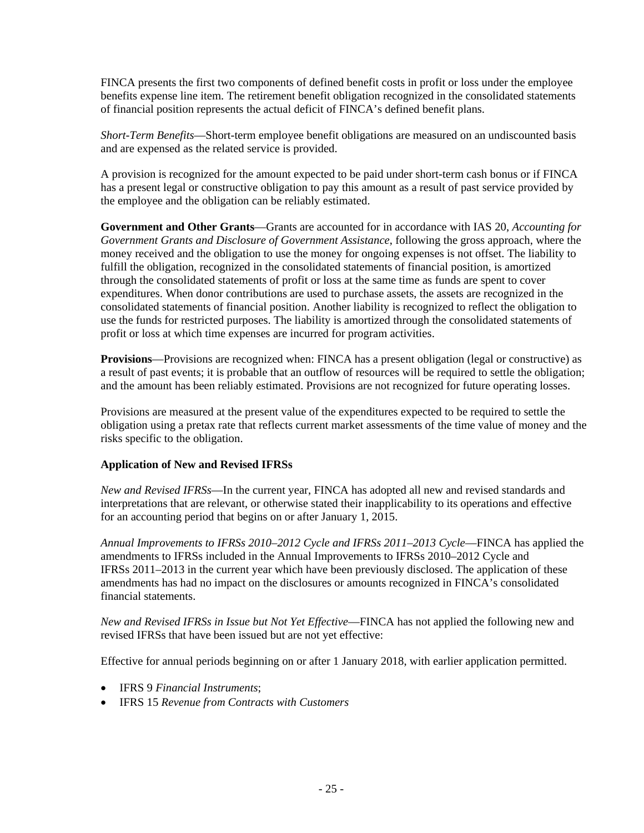FINCA presents the first two components of defined benefit costs in profit or loss under the employee benefits expense line item. The retirement benefit obligation recognized in the consolidated statements of financial position represents the actual deficit of FINCA's defined benefit plans.

*Short-Term Benefits*—Short-term employee benefit obligations are measured on an undiscounted basis and are expensed as the related service is provided.

A provision is recognized for the amount expected to be paid under short-term cash bonus or if FINCA has a present legal or constructive obligation to pay this amount as a result of past service provided by the employee and the obligation can be reliably estimated.

**Government and Other Grants**—Grants are accounted for in accordance with IAS 20, *Accounting for Government Grants and Disclosure of Government Assistance*, following the gross approach, where the money received and the obligation to use the money for ongoing expenses is not offset. The liability to fulfill the obligation, recognized in the consolidated statements of financial position, is amortized through the consolidated statements of profit or loss at the same time as funds are spent to cover expenditures. When donor contributions are used to purchase assets, the assets are recognized in the consolidated statements of financial position. Another liability is recognized to reflect the obligation to use the funds for restricted purposes. The liability is amortized through the consolidated statements of profit or loss at which time expenses are incurred for program activities.

**Provisions**—Provisions are recognized when: FINCA has a present obligation (legal or constructive) as a result of past events; it is probable that an outflow of resources will be required to settle the obligation; and the amount has been reliably estimated. Provisions are not recognized for future operating losses.

Provisions are measured at the present value of the expenditures expected to be required to settle the obligation using a pretax rate that reflects current market assessments of the time value of money and the risks specific to the obligation.

# **Application of New and Revised IFRSs**

*New and Revised IFRSs*—In the current year, FINCA has adopted all new and revised standards and interpretations that are relevant, or otherwise stated their inapplicability to its operations and effective for an accounting period that begins on or after January 1, 2015.

*Annual Improvements to IFRSs 2010–2012 Cycle and IFRSs 2011–2013 Cycle*—FINCA has applied the amendments to IFRSs included in the Annual Improvements to IFRSs 2010–2012 Cycle and IFRSs 2011–2013 in the current year which have been previously disclosed. The application of these amendments has had no impact on the disclosures or amounts recognized in FINCA's consolidated financial statements.

*New and Revised IFRSs in Issue but Not Yet Effective*—FINCA has not applied the following new and revised IFRSs that have been issued but are not yet effective:

Effective for annual periods beginning on or after 1 January 2018, with earlier application permitted.

- IFRS 9 *Financial Instruments*;
- IFRS 15 *Revenue from Contracts with Customers*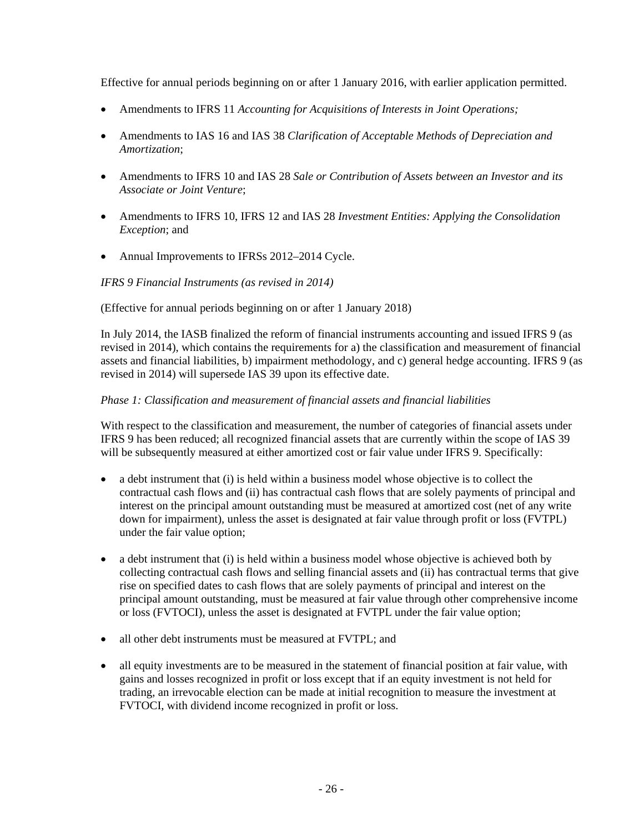Effective for annual periods beginning on or after 1 January 2016, with earlier application permitted.

- Amendments to IFRS 11 *Accounting for Acquisitions of Interests in Joint Operations;*
- Amendments to IAS 16 and IAS 38 *Clarification of Acceptable Methods of Depreciation and Amortization*;
- Amendments to IFRS 10 and IAS 28 *Sale or Contribution of Assets between an Investor and its Associate or Joint Venture*;
- Amendments to IFRS 10, IFRS 12 and IAS 28 *Investment Entities: Applying the Consolidation Exception*; and
- Annual Improvements to IFRSs 2012–2014 Cycle.

#### *IFRS 9 Financial Instruments (as revised in 2014)*

(Effective for annual periods beginning on or after 1 January 2018)

In July 2014, the IASB finalized the reform of financial instruments accounting and issued IFRS 9 (as revised in 2014), which contains the requirements for a) the classification and measurement of financial assets and financial liabilities, b) impairment methodology, and c) general hedge accounting. IFRS 9 (as revised in 2014) will supersede IAS 39 upon its effective date.

### *Phase 1: Classification and measurement of financial assets and financial liabilities*

With respect to the classification and measurement, the number of categories of financial assets under IFRS 9 has been reduced; all recognized financial assets that are currently within the scope of IAS 39 will be subsequently measured at either amortized cost or fair value under IFRS 9. Specifically:

- a debt instrument that (i) is held within a business model whose objective is to collect the contractual cash flows and (ii) has contractual cash flows that are solely payments of principal and interest on the principal amount outstanding must be measured at amortized cost (net of any write down for impairment), unless the asset is designated at fair value through profit or loss (FVTPL) under the fair value option;
- a debt instrument that (i) is held within a business model whose objective is achieved both by collecting contractual cash flows and selling financial assets and (ii) has contractual terms that give rise on specified dates to cash flows that are solely payments of principal and interest on the principal amount outstanding, must be measured at fair value through other comprehensive income or loss (FVTOCI), unless the asset is designated at FVTPL under the fair value option;
- all other debt instruments must be measured at FVTPL; and
- all equity investments are to be measured in the statement of financial position at fair value, with gains and losses recognized in profit or loss except that if an equity investment is not held for trading, an irrevocable election can be made at initial recognition to measure the investment at FVTOCI, with dividend income recognized in profit or loss.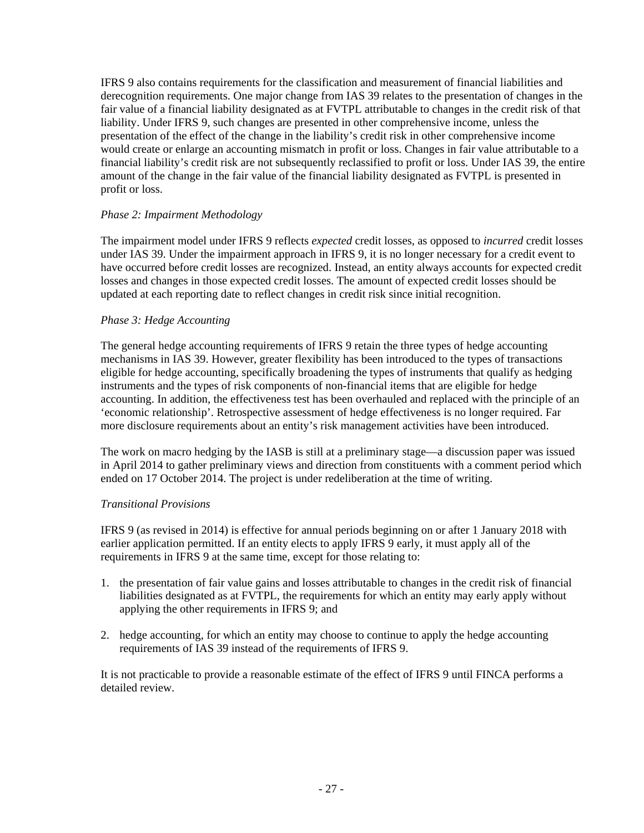IFRS 9 also contains requirements for the classification and measurement of financial liabilities and derecognition requirements. One major change from IAS 39 relates to the presentation of changes in the fair value of a financial liability designated as at FVTPL attributable to changes in the credit risk of that liability. Under IFRS 9, such changes are presented in other comprehensive income, unless the presentation of the effect of the change in the liability's credit risk in other comprehensive income would create or enlarge an accounting mismatch in profit or loss. Changes in fair value attributable to a financial liability's credit risk are not subsequently reclassified to profit or loss. Under IAS 39, the entire amount of the change in the fair value of the financial liability designated as FVTPL is presented in profit or loss.

#### *Phase 2: Impairment Methodology*

The impairment model under IFRS 9 reflects *expected* credit losses, as opposed to *incurred* credit losses under IAS 39. Under the impairment approach in IFRS 9, it is no longer necessary for a credit event to have occurred before credit losses are recognized. Instead, an entity always accounts for expected credit losses and changes in those expected credit losses. The amount of expected credit losses should be updated at each reporting date to reflect changes in credit risk since initial recognition.

#### *Phase 3: Hedge Accounting*

The general hedge accounting requirements of IFRS 9 retain the three types of hedge accounting mechanisms in IAS 39. However, greater flexibility has been introduced to the types of transactions eligible for hedge accounting, specifically broadening the types of instruments that qualify as hedging instruments and the types of risk components of non-financial items that are eligible for hedge accounting. In addition, the effectiveness test has been overhauled and replaced with the principle of an 'economic relationship'. Retrospective assessment of hedge effectiveness is no longer required. Far more disclosure requirements about an entity's risk management activities have been introduced.

The work on macro hedging by the IASB is still at a preliminary stage—a discussion paper was issued in April 2014 to gather preliminary views and direction from constituents with a comment period which ended on 17 October 2014. The project is under redeliberation at the time of writing.

#### *Transitional Provisions*

IFRS 9 (as revised in 2014) is effective for annual periods beginning on or after 1 January 2018 with earlier application permitted. If an entity elects to apply IFRS 9 early, it must apply all of the requirements in IFRS 9 at the same time, except for those relating to:

- 1. the presentation of fair value gains and losses attributable to changes in the credit risk of financial liabilities designated as at FVTPL, the requirements for which an entity may early apply without applying the other requirements in IFRS 9; and
- 2. hedge accounting, for which an entity may choose to continue to apply the hedge accounting requirements of IAS 39 instead of the requirements of IFRS 9.

It is not practicable to provide a reasonable estimate of the effect of IFRS 9 until FINCA performs a detailed review.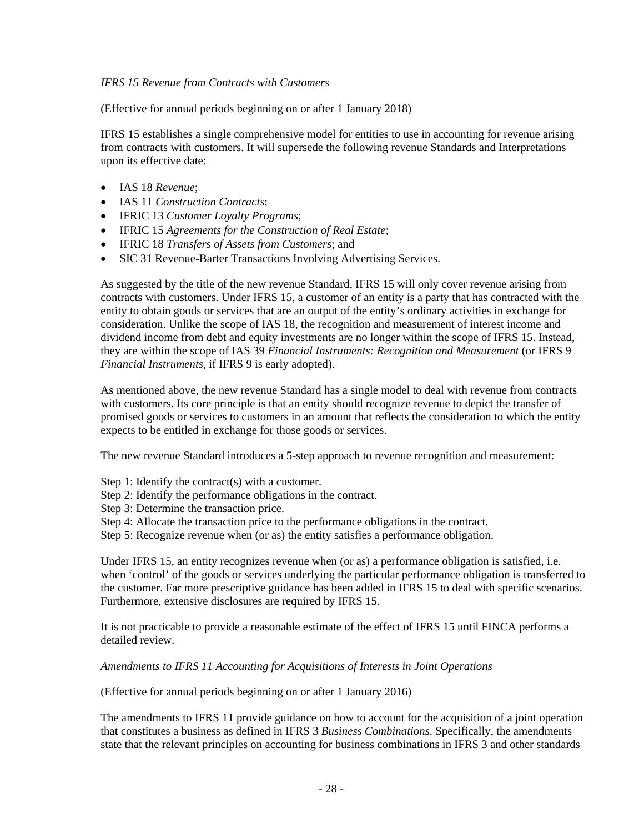#### *IFRS 15 Revenue from Contracts with Customers*

(Effective for annual periods beginning on or after 1 January 2018)

IFRS 15 establishes a single comprehensive model for entities to use in accounting for revenue arising from contracts with customers. It will supersede the following revenue Standards and Interpretations upon its effective date:

- IAS 18 *Revenue*;
- IAS 11 *Construction Contracts*;
- IFRIC 13 *Customer Loyalty Programs*;
- IFRIC 15 *Agreements for the Construction of Real Estate*;
- IFRIC 18 *Transfers of Assets from Customers*; and
- SIC 31 Revenue-Barter Transactions Involving Advertising Services.

As suggested by the title of the new revenue Standard, IFRS 15 will only cover revenue arising from contracts with customers. Under IFRS 15, a customer of an entity is a party that has contracted with the entity to obtain goods or services that are an output of the entity's ordinary activities in exchange for consideration. Unlike the scope of IAS 18, the recognition and measurement of interest income and dividend income from debt and equity investments are no longer within the scope of IFRS 15. Instead, they are within the scope of IAS 39 *Financial Instruments: Recognition and Measurement* (or IFRS 9 *Financial Instruments*, if IFRS 9 is early adopted).

As mentioned above, the new revenue Standard has a single model to deal with revenue from contracts with customers. Its core principle is that an entity should recognize revenue to depict the transfer of promised goods or services to customers in an amount that reflects the consideration to which the entity expects to be entitled in exchange for those goods or services.

The new revenue Standard introduces a 5-step approach to revenue recognition and measurement:

- Step 1: Identify the contract(s) with a customer.
- Step 2: Identify the performance obligations in the contract.
- Step 3: Determine the transaction price.
- Step 4: Allocate the transaction price to the performance obligations in the contract.

Step 5: Recognize revenue when (or as) the entity satisfies a performance obligation.

Under IFRS 15, an entity recognizes revenue when (or as) a performance obligation is satisfied, i.e. when 'control' of the goods or services underlying the particular performance obligation is transferred to the customer. Far more prescriptive guidance has been added in IFRS 15 to deal with specific scenarios. Furthermore, extensive disclosures are required by IFRS 15.

It is not practicable to provide a reasonable estimate of the effect of IFRS 15 until FINCA performs a detailed review.

*Amendments to IFRS 11 Accounting for Acquisitions of Interests in Joint Operations*

(Effective for annual periods beginning on or after 1 January 2016)

The amendments to IFRS 11 provide guidance on how to account for the acquisition of a joint operation that constitutes a business as defined in IFRS 3 *Business Combinations*. Specifically, the amendments state that the relevant principles on accounting for business combinations in IFRS 3 and other standards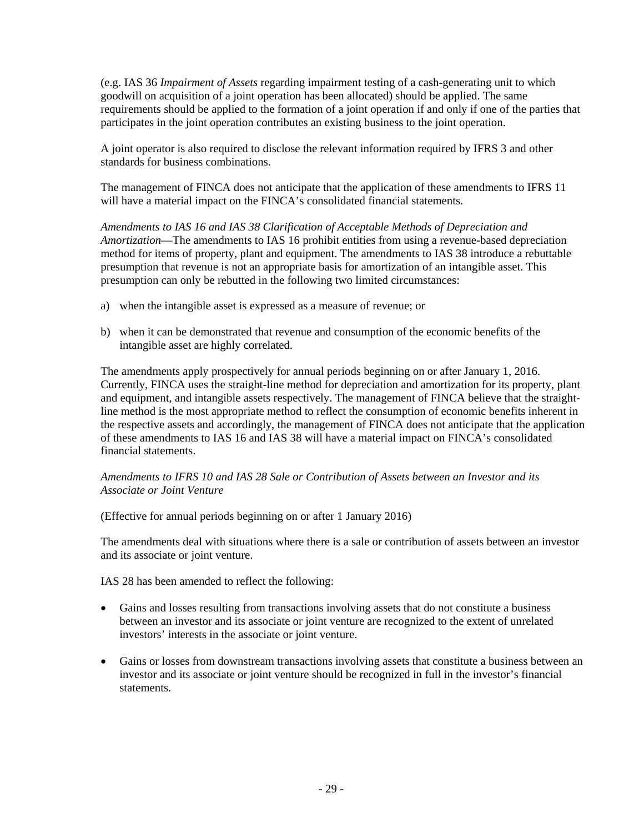(e.g. IAS 36 *Impairment of Assets* regarding impairment testing of a cash-generating unit to which goodwill on acquisition of a joint operation has been allocated) should be applied. The same requirements should be applied to the formation of a joint operation if and only if one of the parties that participates in the joint operation contributes an existing business to the joint operation.

A joint operator is also required to disclose the relevant information required by IFRS 3 and other standards for business combinations.

The management of FINCA does not anticipate that the application of these amendments to IFRS 11 will have a material impact on the FINCA's consolidated financial statements.

*Amendments to IAS 16 and IAS 38 Clarification of Acceptable Methods of Depreciation and Amortization*—The amendments to IAS 16 prohibit entities from using a revenue-based depreciation method for items of property, plant and equipment. The amendments to IAS 38 introduce a rebuttable presumption that revenue is not an appropriate basis for amortization of an intangible asset. This presumption can only be rebutted in the following two limited circumstances:

- a) when the intangible asset is expressed as a measure of revenue; or
- b) when it can be demonstrated that revenue and consumption of the economic benefits of the intangible asset are highly correlated.

The amendments apply prospectively for annual periods beginning on or after January 1, 2016. Currently, FINCA uses the straight-line method for depreciation and amortization for its property, plant and equipment, and intangible assets respectively. The management of FINCA believe that the straightline method is the most appropriate method to reflect the consumption of economic benefits inherent in the respective assets and accordingly, the management of FINCA does not anticipate that the application of these amendments to IAS 16 and IAS 38 will have a material impact on FINCA's consolidated financial statements.

#### *Amendments to IFRS 10 and IAS 28 Sale or Contribution of Assets between an Investor and its Associate or Joint Venture*

(Effective for annual periods beginning on or after 1 January 2016)

The amendments deal with situations where there is a sale or contribution of assets between an investor and its associate or joint venture.

IAS 28 has been amended to reflect the following:

- Gains and losses resulting from transactions involving assets that do not constitute a business between an investor and its associate or joint venture are recognized to the extent of unrelated investors' interests in the associate or joint venture.
- Gains or losses from downstream transactions involving assets that constitute a business between an investor and its associate or joint venture should be recognized in full in the investor's financial statements.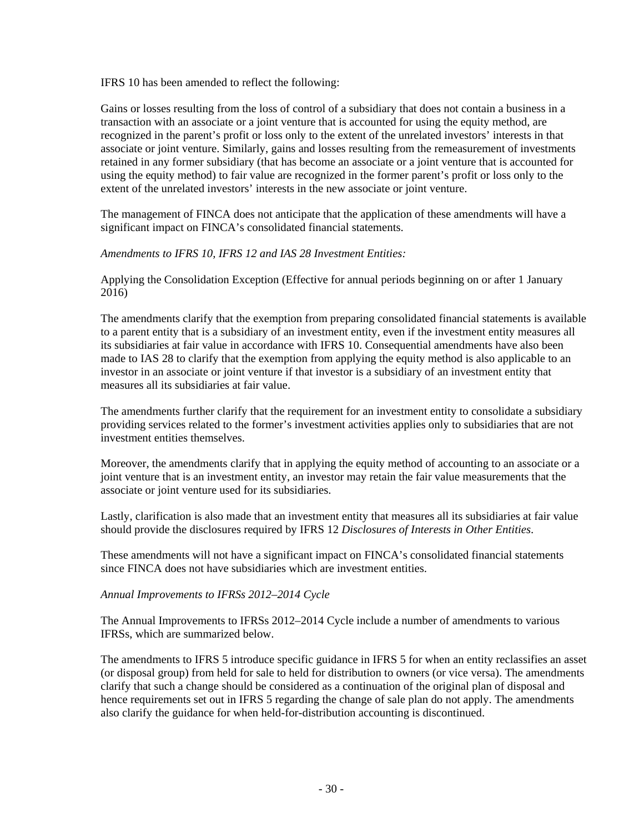IFRS 10 has been amended to reflect the following:

Gains or losses resulting from the loss of control of a subsidiary that does not contain a business in a transaction with an associate or a joint venture that is accounted for using the equity method, are recognized in the parent's profit or loss only to the extent of the unrelated investors' interests in that associate or joint venture. Similarly, gains and losses resulting from the remeasurement of investments retained in any former subsidiary (that has become an associate or a joint venture that is accounted for using the equity method) to fair value are recognized in the former parent's profit or loss only to the extent of the unrelated investors' interests in the new associate or joint venture.

The management of FINCA does not anticipate that the application of these amendments will have a significant impact on FINCA's consolidated financial statements.

#### *Amendments to IFRS 10, IFRS 12 and IAS 28 Investment Entities:*

Applying the Consolidation Exception (Effective for annual periods beginning on or after 1 January 2016)

The amendments clarify that the exemption from preparing consolidated financial statements is available to a parent entity that is a subsidiary of an investment entity, even if the investment entity measures all its subsidiaries at fair value in accordance with IFRS 10. Consequential amendments have also been made to IAS 28 to clarify that the exemption from applying the equity method is also applicable to an investor in an associate or joint venture if that investor is a subsidiary of an investment entity that measures all its subsidiaries at fair value.

The amendments further clarify that the requirement for an investment entity to consolidate a subsidiary providing services related to the former's investment activities applies only to subsidiaries that are not investment entities themselves.

Moreover, the amendments clarify that in applying the equity method of accounting to an associate or a joint venture that is an investment entity, an investor may retain the fair value measurements that the associate or joint venture used for its subsidiaries.

Lastly, clarification is also made that an investment entity that measures all its subsidiaries at fair value should provide the disclosures required by IFRS 12 *Disclosures of Interests in Other Entities*.

These amendments will not have a significant impact on FINCA's consolidated financial statements since FINCA does not have subsidiaries which are investment entities.

#### *Annual Improvements to IFRSs 2012–2014 Cycle*

The Annual Improvements to IFRSs 2012–2014 Cycle include a number of amendments to various IFRSs, which are summarized below.

The amendments to IFRS 5 introduce specific guidance in IFRS 5 for when an entity reclassifies an asset (or disposal group) from held for sale to held for distribution to owners (or vice versa). The amendments clarify that such a change should be considered as a continuation of the original plan of disposal and hence requirements set out in IFRS 5 regarding the change of sale plan do not apply. The amendments also clarify the guidance for when held-for-distribution accounting is discontinued.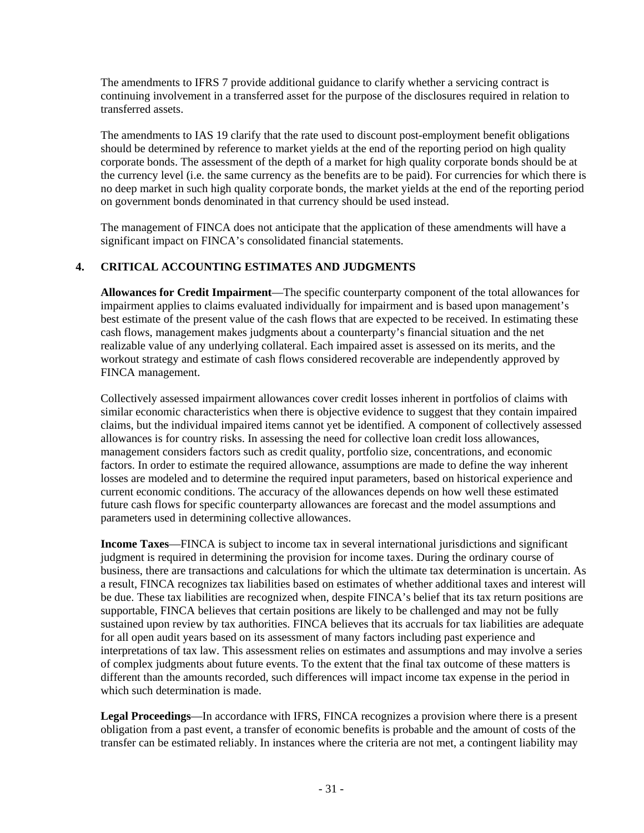The amendments to IFRS 7 provide additional guidance to clarify whether a servicing contract is continuing involvement in a transferred asset for the purpose of the disclosures required in relation to transferred assets.

The amendments to IAS 19 clarify that the rate used to discount post-employment benefit obligations should be determined by reference to market yields at the end of the reporting period on high quality corporate bonds. The assessment of the depth of a market for high quality corporate bonds should be at the currency level (i.e. the same currency as the benefits are to be paid). For currencies for which there is no deep market in such high quality corporate bonds, the market yields at the end of the reporting period on government bonds denominated in that currency should be used instead.

The management of FINCA does not anticipate that the application of these amendments will have a significant impact on FINCA's consolidated financial statements.

# **4. CRITICAL ACCOUNTING ESTIMATES AND JUDGMENTS**

**Allowances for Credit Impairment**—The specific counterparty component of the total allowances for impairment applies to claims evaluated individually for impairment and is based upon management's best estimate of the present value of the cash flows that are expected to be received. In estimating these cash flows, management makes judgments about a counterparty's financial situation and the net realizable value of any underlying collateral. Each impaired asset is assessed on its merits, and the workout strategy and estimate of cash flows considered recoverable are independently approved by FINCA management.

Collectively assessed impairment allowances cover credit losses inherent in portfolios of claims with similar economic characteristics when there is objective evidence to suggest that they contain impaired claims, but the individual impaired items cannot yet be identified. A component of collectively assessed allowances is for country risks. In assessing the need for collective loan credit loss allowances, management considers factors such as credit quality, portfolio size, concentrations, and economic factors. In order to estimate the required allowance, assumptions are made to define the way inherent losses are modeled and to determine the required input parameters, based on historical experience and current economic conditions. The accuracy of the allowances depends on how well these estimated future cash flows for specific counterparty allowances are forecast and the model assumptions and parameters used in determining collective allowances.

**Income Taxes**—FINCA is subject to income tax in several international jurisdictions and significant judgment is required in determining the provision for income taxes. During the ordinary course of business, there are transactions and calculations for which the ultimate tax determination is uncertain. As a result, FINCA recognizes tax liabilities based on estimates of whether additional taxes and interest will be due. These tax liabilities are recognized when, despite FINCA's belief that its tax return positions are supportable, FINCA believes that certain positions are likely to be challenged and may not be fully sustained upon review by tax authorities. FINCA believes that its accruals for tax liabilities are adequate for all open audit years based on its assessment of many factors including past experience and interpretations of tax law. This assessment relies on estimates and assumptions and may involve a series of complex judgments about future events. To the extent that the final tax outcome of these matters is different than the amounts recorded, such differences will impact income tax expense in the period in which such determination is made.

**Legal Proceedings**—In accordance with IFRS, FINCA recognizes a provision where there is a present obligation from a past event, a transfer of economic benefits is probable and the amount of costs of the transfer can be estimated reliably. In instances where the criteria are not met, a contingent liability may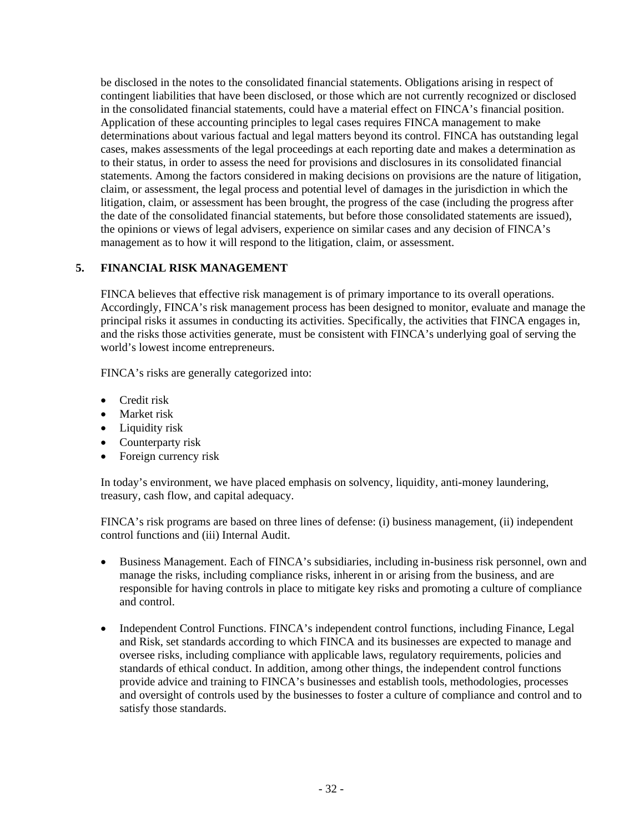be disclosed in the notes to the consolidated financial statements. Obligations arising in respect of contingent liabilities that have been disclosed, or those which are not currently recognized or disclosed in the consolidated financial statements, could have a material effect on FINCA's financial position. Application of these accounting principles to legal cases requires FINCA management to make determinations about various factual and legal matters beyond its control. FINCA has outstanding legal cases, makes assessments of the legal proceedings at each reporting date and makes a determination as to their status, in order to assess the need for provisions and disclosures in its consolidated financial statements. Among the factors considered in making decisions on provisions are the nature of litigation, claim, or assessment, the legal process and potential level of damages in the jurisdiction in which the litigation, claim, or assessment has been brought, the progress of the case (including the progress after the date of the consolidated financial statements, but before those consolidated statements are issued), the opinions or views of legal advisers, experience on similar cases and any decision of FINCA's management as to how it will respond to the litigation, claim, or assessment.

# **5. FINANCIAL RISK MANAGEMENT**

FINCA believes that effective risk management is of primary importance to its overall operations. Accordingly, FINCA's risk management process has been designed to monitor, evaluate and manage the principal risks it assumes in conducting its activities. Specifically, the activities that FINCA engages in, and the risks those activities generate, must be consistent with FINCA's underlying goal of serving the world's lowest income entrepreneurs.

FINCA's risks are generally categorized into:

- Credit risk
- Market risk
- Liquidity risk
- Counterparty risk
- Foreign currency risk

In today's environment, we have placed emphasis on solvency, liquidity, anti-money laundering, treasury, cash flow, and capital adequacy.

FINCA's risk programs are based on three lines of defense: (i) business management, (ii) independent control functions and (iii) Internal Audit.

- Business Management. Each of FINCA's subsidiaries, including in-business risk personnel, own and manage the risks, including compliance risks, inherent in or arising from the business, and are responsible for having controls in place to mitigate key risks and promoting a culture of compliance and control.
- Independent Control Functions. FINCA's independent control functions, including Finance, Legal and Risk, set standards according to which FINCA and its businesses are expected to manage and oversee risks, including compliance with applicable laws, regulatory requirements, policies and standards of ethical conduct. In addition, among other things, the independent control functions provide advice and training to FINCA's businesses and establish tools, methodologies, processes and oversight of controls used by the businesses to foster a culture of compliance and control and to satisfy those standards.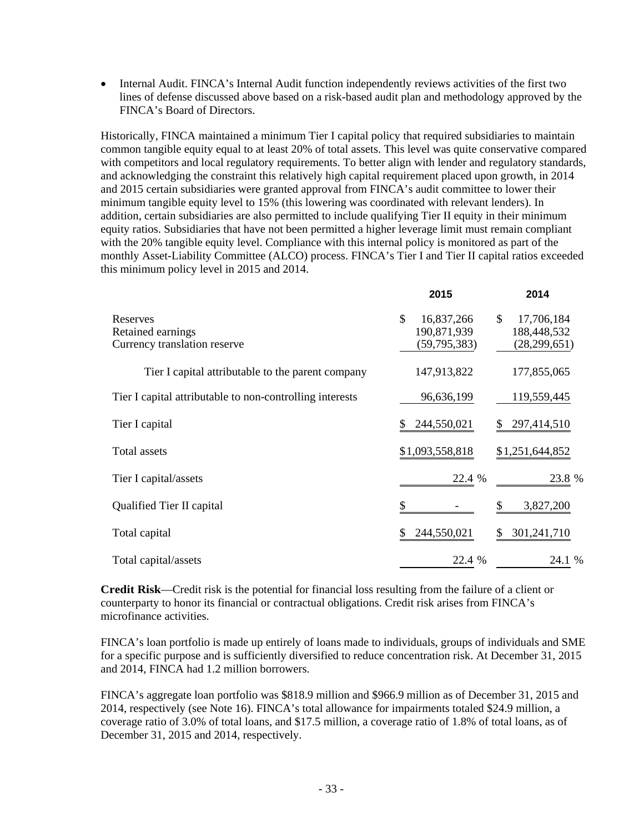• Internal Audit. FINCA's Internal Audit function independently reviews activities of the first two lines of defense discussed above based on a risk-based audit plan and methodology approved by the FINCA's Board of Directors.

Historically, FINCA maintained a minimum Tier I capital policy that required subsidiaries to maintain common tangible equity equal to at least 20% of total assets. This level was quite conservative compared with competitors and local regulatory requirements. To better align with lender and regulatory standards, and acknowledging the constraint this relatively high capital requirement placed upon growth, in 2014 and 2015 certain subsidiaries were granted approval from FINCA's audit committee to lower their minimum tangible equity level to 15% (this lowering was coordinated with relevant lenders). In addition, certain subsidiaries are also permitted to include qualifying Tier II equity in their minimum equity ratios. Subsidiaries that have not been permitted a higher leverage limit must remain compliant with the 20% tangible equity level. Compliance with this internal policy is monitored as part of the monthly Asset-Liability Committee (ALCO) process. FINCA's Tier I and Tier II capital ratios exceeded this minimum policy level in 2015 and 2014.

|                                                               | 2015                                              | 2014                                              |
|---------------------------------------------------------------|---------------------------------------------------|---------------------------------------------------|
| Reserves<br>Retained earnings<br>Currency translation reserve | \$<br>16,837,266<br>190,871,939<br>(59, 795, 383) | \$<br>17,706,184<br>188,448,532<br>(28, 299, 651) |
| Tier I capital attributable to the parent company             | 147,913,822                                       | 177,855,065                                       |
| Tier I capital attributable to non-controlling interests      | 96,636,199                                        | 119,559,445                                       |
| Tier I capital                                                | 244,550,021                                       | 297,414,510                                       |
| Total assets                                                  | \$1,093,558,818                                   | \$1,251,644,852                                   |
| Tier I capital/assets                                         | 22.4 %                                            | 23.8 %                                            |
| Qualified Tier II capital                                     | \$                                                | 3,827,200                                         |
| Total capital                                                 | 244,550,021                                       | 301,241,710                                       |
| Total capital/assets                                          | 22.4 %                                            | 24.1 %                                            |

**Credit Risk**—Credit risk is the potential for financial loss resulting from the failure of a client or counterparty to honor its financial or contractual obligations. Credit risk arises from FINCA's microfinance activities.

FINCA's loan portfolio is made up entirely of loans made to individuals, groups of individuals and SME for a specific purpose and is sufficiently diversified to reduce concentration risk. At December 31, 2015 and 2014, FINCA had 1.2 million borrowers.

FINCA's aggregate loan portfolio was \$818.9 million and \$966.9 million as of December 31, 2015 and 2014, respectively (see Note 16). FINCA's total allowance for impairments totaled \$24.9 million, a coverage ratio of 3.0% of total loans, and \$17.5 million, a coverage ratio of 1.8% of total loans, as of December 31, 2015 and 2014, respectively.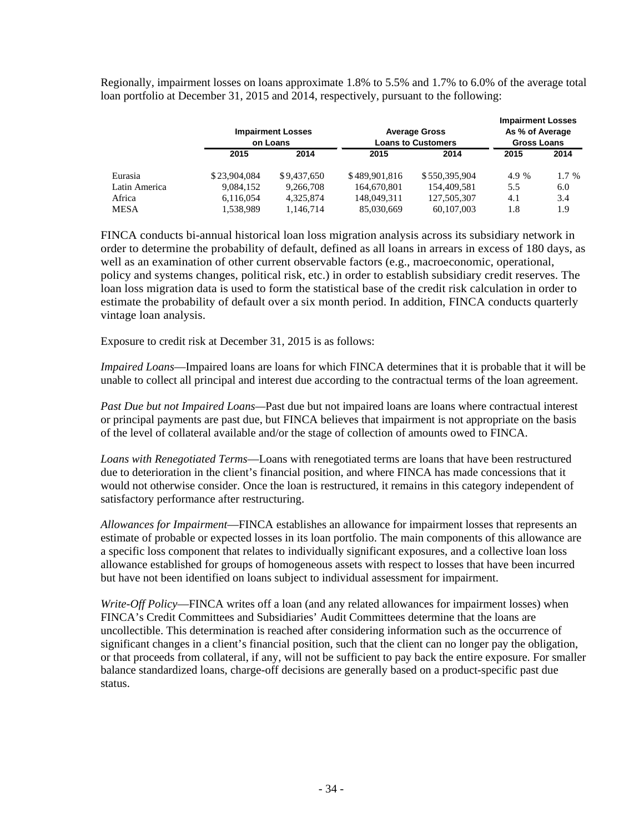Regionally, impairment losses on loans approximate 1.8% to 5.5% and 1.7% to 6.0% of the average total loan portfolio at December 31, 2015 and 2014, respectively, pursuant to the following:

|               | <b>Impairment Losses</b><br><b>Average Gross</b><br><b>Loans to Customers</b><br>on Loans |             |               | <b>Impairment Losses</b><br>As % of Average<br><b>Gross Loans</b> |       |         |
|---------------|-------------------------------------------------------------------------------------------|-------------|---------------|-------------------------------------------------------------------|-------|---------|
|               | 2015                                                                                      | 2014        | 2015          | 2014                                                              | 2015  | 2014    |
| Eurasia       | \$23,904,084                                                                              | \$9,437,650 | \$489,901,816 | \$550,395,904                                                     | 4.9 % | $1.7\%$ |
| Latin America | 9,084,152                                                                                 | 9,266,708   | 164,670,801   | 154,409.581                                                       | 5.5   | 6.0     |
| Africa        | 6,116,054                                                                                 | 4,325,874   | 148,049,311   | 127,505,307                                                       | 4.1   | 3.4     |
| <b>MESA</b>   | 1,538,989                                                                                 | 1,146,714   | 85,030,669    | 60,107,003                                                        | 1.8   | 1.9     |

FINCA conducts bi-annual historical loan loss migration analysis across its subsidiary network in order to determine the probability of default, defined as all loans in arrears in excess of 180 days, as well as an examination of other current observable factors (e.g., macroeconomic, operational, policy and systems changes, political risk, etc.) in order to establish subsidiary credit reserves. The loan loss migration data is used to form the statistical base of the credit risk calculation in order to estimate the probability of default over a six month period. In addition, FINCA conducts quarterly vintage loan analysis.

Exposure to credit risk at December 31, 2015 is as follows:

*Impaired Loans*—Impaired loans are loans for which FINCA determines that it is probable that it will be unable to collect all principal and interest due according to the contractual terms of the loan agreement.

*Past Due but not Impaired Loans—*Past due but not impaired loans are loans where contractual interest or principal payments are past due, but FINCA believes that impairment is not appropriate on the basis of the level of collateral available and/or the stage of collection of amounts owed to FINCA.

*Loans with Renegotiated Terms*—Loans with renegotiated terms are loans that have been restructured due to deterioration in the client's financial position, and where FINCA has made concessions that it would not otherwise consider. Once the loan is restructured, it remains in this category independent of satisfactory performance after restructuring.

*Allowances for Impairment*—FINCA establishes an allowance for impairment losses that represents an estimate of probable or expected losses in its loan portfolio. The main components of this allowance are a specific loss component that relates to individually significant exposures, and a collective loan loss allowance established for groups of homogeneous assets with respect to losses that have been incurred but have not been identified on loans subject to individual assessment for impairment.

*Write-Off Policy*—FINCA writes off a loan (and any related allowances for impairment losses) when FINCA's Credit Committees and Subsidiaries' Audit Committees determine that the loans are uncollectible. This determination is reached after considering information such as the occurrence of significant changes in a client's financial position, such that the client can no longer pay the obligation, or that proceeds from collateral, if any, will not be sufficient to pay back the entire exposure. For smaller balance standardized loans, charge-off decisions are generally based on a product-specific past due status.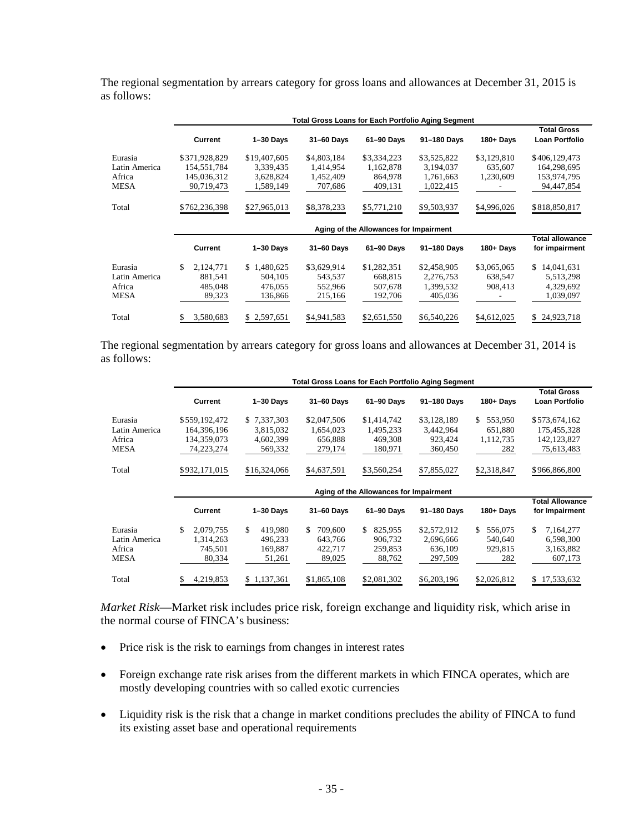|                                                   |                                                           | Total Gross Loans for Each Portfolio Aging Segment  |                                                  |                                                |                                                    |                                     |                                                           |  |  |  |
|---------------------------------------------------|-----------------------------------------------------------|-----------------------------------------------------|--------------------------------------------------|------------------------------------------------|----------------------------------------------------|-------------------------------------|-----------------------------------------------------------|--|--|--|
|                                                   | Current                                                   | $1-30$ Days                                         | 31-60 Days                                       | 61-90 Days                                     | 91-180 Days                                        | $180 +$ Days                        | <b>Total Gross</b><br>Loan Portfolio                      |  |  |  |
| Eurasia<br>Latin America<br>Africa<br><b>MESA</b> | \$371,928,829<br>154,551,784<br>145,036,312<br>90,719,473 | \$19,407,605<br>3,339,435<br>3,628,824<br>1,589,149 | \$4,803,184<br>1,414,954<br>1,452,409<br>707,686 | \$3,334,223<br>1,162,878<br>864,978<br>409,131 | \$3,525,822<br>3,194,037<br>1,761,663<br>1,022,415 | \$3,129,810<br>635,607<br>1,230,609 | \$406,129,473<br>164,298,695<br>153,974,795<br>94,447,854 |  |  |  |
| Total                                             | \$762,236,398                                             | \$27,965,013                                        | \$8,378,233                                      | \$5,771,210                                    | \$9,503,937                                        | \$4,996,026                         | \$818,850,817                                             |  |  |  |
|                                                   |                                                           |                                                     |                                                  | Aging of the Allowances for Impairment         |                                                    |                                     |                                                           |  |  |  |
|                                                   | Current                                                   | $1-30$ Days                                         | 31-60 Days                                       | 61-90 Days                                     | 91-180 Days                                        | 180+ Days                           | <b>Total allowance</b><br>for impairment                  |  |  |  |
| Eurasia<br>Latin America<br>Africa<br><b>MESA</b> | \$<br>2,124,771<br>881,541<br>485,048<br>89,323           | \$1.480,625<br>504,105<br>476,055<br>136,866        | \$3,629,914<br>543,537<br>552,966<br>215,166     | \$1,282,351<br>668,815<br>507,678<br>192,706   | \$2,458,905<br>2,276,753<br>1,399,532<br>405,036   | \$3,065,065<br>638,547<br>908,413   | \$14,041,631<br>5,513,298<br>4,329,692<br>1,039,097       |  |  |  |
| Total                                             | 3,580,683<br>\$                                           | \$2,597,651                                         | \$4,941,583                                      | \$2,651,550                                    | \$6,540,226                                        | \$4,612,025                         | 24,923,718<br>\$                                          |  |  |  |

The regional segmentation by arrears category for gross loans and allowances at December 31, 2015 is as follows:

The regional segmentation by arrears category for gross loans and allowances at December 31, 2014 is as follows:

|                                                   |                                                           | <b>Total Gross Loans for Each Portfolio Aging Segment</b> |                                                         |                                                |                                                |                                               |                                                             |  |  |
|---------------------------------------------------|-----------------------------------------------------------|-----------------------------------------------------------|---------------------------------------------------------|------------------------------------------------|------------------------------------------------|-----------------------------------------------|-------------------------------------------------------------|--|--|
|                                                   | Current                                                   | $1-30$ Days                                               | 31-60 Days                                              | 61-90 Days                                     | 91-180 Days                                    | 180+ Days                                     | <b>Total Gross</b><br><b>Loan Portfolio</b>                 |  |  |
| Eurasia<br>Latin America<br>Africa<br><b>MESA</b> | \$559,192,472<br>164.396.196<br>134,359,073<br>74,223,274 | \$7.337.303<br>3,815,032<br>4,602,399<br>569,332          | \$2,047,506<br>1,654,023<br>656,888<br>279,174          | \$1,414,742<br>1,495,233<br>469,308<br>180,971 | \$3,128,189<br>3,442,964<br>923,424<br>360,450 | \$.<br>553,950<br>651,880<br>1,112,735<br>282 | \$573,674,162<br>175,455,328<br>142, 123, 827<br>75,613,483 |  |  |
| Total                                             | \$932,171,015                                             | \$16,324,066                                              | \$4,637,591                                             | \$3,560,254                                    | \$7,855,027                                    | \$2,318,847                                   | \$966,866,800                                               |  |  |
|                                                   |                                                           |                                                           |                                                         | Aging of the Allowances for Impairment         |                                                |                                               |                                                             |  |  |
|                                                   | Current                                                   | $1-30$ Days                                               | 31-60 Days                                              | 61-90 Days                                     | 91-180 Days                                    | $180 +$ Days                                  | <b>Total Allowance</b><br>for Impairment                    |  |  |
| Eurasia<br>Latin America<br>Africa<br><b>MESA</b> | \$<br>2.079.755<br>1,314,263<br>745.501<br>80,334         | \$<br>419,980<br>496,233<br>169,887<br>51,261             | 709,600<br>$\mathbf{s}$<br>643,766<br>422,717<br>89,025 | \$<br>825.955<br>906,732<br>259,853<br>88,762  | \$2,572,912<br>2,696,666<br>636,109<br>297,509 | 556,075<br>\$.<br>540,640<br>929,815<br>282   | \$<br>7,164,277<br>6,598,300<br>3,163,882<br>607,173        |  |  |
| Total                                             | \$<br>4,219,853                                           | \$1,137,361                                               | \$1,865,108                                             | \$2,081,302                                    | \$6,203,196                                    | \$2,026,812                                   | 17,533,632<br>\$                                            |  |  |

*Market Risk*—Market risk includes price risk, foreign exchange and liquidity risk, which arise in the normal course of FINCA's business:

- Price risk is the risk to earnings from changes in interest rates
- Foreign exchange rate risk arises from the different markets in which FINCA operates, which are mostly developing countries with so called exotic currencies
- Liquidity risk is the risk that a change in market conditions precludes the ability of FINCA to fund its existing asset base and operational requirements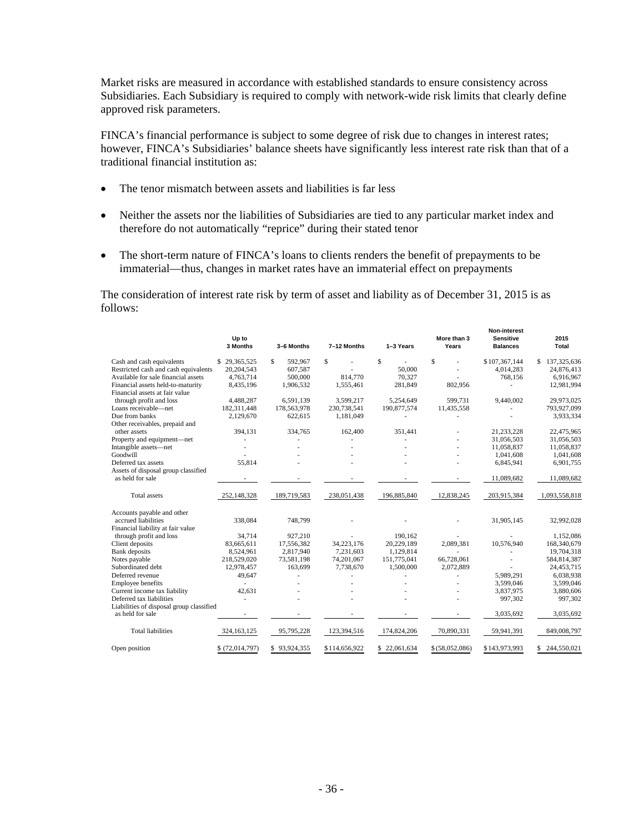Market risks are measured in accordance with established standards to ensure consistency across Subsidiaries. Each Subsidiary is required to comply with network-wide risk limits that clearly define approved risk parameters.

FINCA's financial performance is subject to some degree of risk due to changes in interest rates; however, FINCA's Subsidiaries' balance sheets have significantly less interest rate risk than that of a traditional financial institution as:

- The tenor mismatch between assets and liabilities is far less
- Neither the assets nor the liabilities of Subsidiaries are tied to any particular market index and therefore do not automatically "reprice" during their stated tenor
- The short-term nature of FINCA's loans to clients renders the benefit of prepayments to be immaterial—thus, changes in market rates have an immaterial effect on prepayments

The consideration of interest rate risk by term of asset and liability as of December 31, 2015 is as follows:

**Non-interest**

|                                                                     | Up to<br>3 Months | 3-6 Months    | 7-12 Months   | 1-3 Years    | More than 3<br>Years | <b>Sensitive</b><br><b>Balances</b> | 2015<br><b>Total</b> |
|---------------------------------------------------------------------|-------------------|---------------|---------------|--------------|----------------------|-------------------------------------|----------------------|
| Cash and cash equivalents                                           | \$29,365,525      | \$<br>592.967 | \$            | \$           | \$                   | \$107,367,144                       | \$137,325,636        |
| Restricted cash and cash equivalents                                | 20,204,543        | 607.587       |               | 50,000       |                      | 4,014,283                           | 24,876,413           |
| Available for sale financial assets                                 | 4,763,714         | 500,000       | 814,770       | 70.327       |                      | 768,156                             | 6,916,967            |
| Financial assets held-to-maturity<br>Financial assets at fair value | 8,435,196         | 1,906,532     | 1,555,461     | 281,849      | 802,956              |                                     | 12,981,994           |
| through profit and loss                                             | 4,488,287         | 6.591.139     | 3,599,217     | 5.254.649    | 599.731              | 9,440,002                           | 29.973.025           |
| Loans receivable-net                                                | 182,311,448       | 178,563,978   | 230,738,541   | 190,877,574  | 11,435,558           |                                     | 793,927,099          |
| Due from banks                                                      | 2,129,670         | 622,615       | 1,181,049     |              |                      |                                     | 3,933,334            |
| Other receivables, prepaid and                                      |                   |               |               |              |                      |                                     |                      |
| other assets                                                        | 394,131           | 334,765       | 162,400       | 351,441      |                      | 21,233,228                          | 22,475,965           |
| Property and equipment-net                                          |                   |               |               |              |                      | 31,056,503                          | 31,056,503           |
| Intangible assets-net                                               |                   |               |               |              |                      | 11,058,837                          | 11,058,837           |
| Goodwill                                                            |                   |               |               |              |                      | 1,041,608                           | 1,041,608            |
| Deferred tax assets                                                 | 55.814            |               |               |              |                      | 6,845,941                           | 6,901,755            |
| Assets of disposal group classified                                 |                   |               |               |              |                      |                                     |                      |
| as held for sale                                                    |                   |               |               |              |                      | 11,089,682                          | 11,089,682           |
| <b>Total</b> assets                                                 | 252,148,328       | 189,719,583   | 238,051,438   | 196,885,840  | 12,838,245           | 203,915,384                         | 1,093,558,818        |
| Accounts payable and other                                          |                   |               |               |              |                      |                                     |                      |
| accrued liabilities                                                 | 338,084           | 748,799       |               |              |                      | 31,905,145                          | 32,992,028           |
| Financial liability at fair value                                   |                   |               |               |              |                      |                                     |                      |
| through profit and loss                                             | 34,714            | 927.210       |               | 190.162      |                      |                                     | 1,152,086            |
| Client deposits                                                     | 83,665,611        | 17,556,382    | 34,223,176    | 20,229,189   | 2,089,381            | 10,576,940                          | 168,340,679          |
| <b>Bank</b> deposits                                                | 8,524,961         | 2,817,940     | 7,231,603     | 1,129,814    |                      |                                     | 19,704,318           |
| Notes payable                                                       | 218,529,020       | 73,581,198    | 74,201,067    | 151,775,041  | 66,728,061           |                                     | 584,814,387          |
| Subordinated debt                                                   | 12,978,457        | 163,699       | 7,738,670     | 1,500,000    | 2,072,889            |                                     | 24,453,715           |
| Deferred revenue                                                    | 49,647            |               |               |              |                      | 5,989,291                           | 6,038,938            |
| Employee benefits                                                   | ٠                 |               |               |              |                      | 3,599,046                           | 3,599,046            |
| Current income tax liability                                        | 42,631            |               |               |              |                      | 3,837,975                           | 3,880,606            |
| Deferred tax liabilities                                            |                   |               |               |              |                      | 997,302                             | 997,302              |
| Liabilities of disposal group classified                            |                   |               |               |              |                      |                                     |                      |
| as held for sale                                                    |                   |               |               |              |                      | 3,035,692                           | 3,035,692            |
| <b>Total liabilities</b>                                            | 324, 163, 125     | 95,795,228    | 123,394,516   | 174,824,206  | 70,890,331           | 59,941,391                          | 849,008,797          |
| Open position                                                       | \$(72,014,797)    | \$93,924,355  | \$114,656,922 | \$22,061,634 | \$ (58,052,086)      | \$143,973,993                       | \$244,550,021        |
|                                                                     |                   |               |               |              |                      |                                     |                      |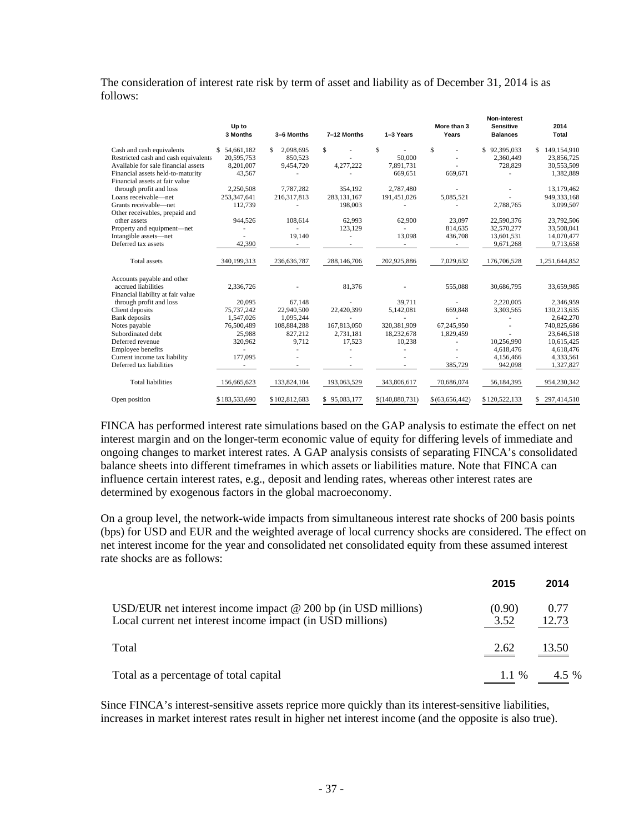The consideration of interest rate risk by term of asset and liability as of December 31, 2014 is as follows:

|                                      | Up to<br>3 Months | 3-6 Months      | 7-12 Months  | 1-3 Years         | More than 3<br>Years | Non-interest<br><b>Sensitive</b><br><b>Balances</b> | 2014<br>Total |
|--------------------------------------|-------------------|-----------------|--------------|-------------------|----------------------|-----------------------------------------------------|---------------|
| Cash and cash equivalents            | \$54,661,182      | 2,098,695<br>£. | S            | S                 | \$                   | \$92,395,033                                        | \$149,154,910 |
| Restricted cash and cash equivalents | 20,595,753        | 850,523         |              | 50,000            |                      | 2,360,449                                           | 23,856,725    |
| Available for sale financial assets  | 8,201,007         | 9,454,720       | 4,277,222    | 7,891,731         |                      | 728,829                                             | 30,553,509    |
| Financial assets held-to-maturity    | 43,567            |                 |              | 669,651           | 669,671              |                                                     | 1,382,889     |
| Financial assets at fair value       |                   |                 |              |                   |                      |                                                     |               |
| through profit and loss              | 2,250,508         | 7,787,282       | 354,192      | 2,787,480         |                      |                                                     | 13,179,462    |
| Loans receivable-net                 | 253,347,641       | 216,317,813     | 283,131,167  | 191,451,026       | 5,085,521            |                                                     | 949, 333, 168 |
| Grants receivable-net                | 112.739           |                 | 198,003      |                   |                      | 2,788,765                                           | 3,099,507     |
| Other receivables, prepaid and       |                   |                 |              |                   |                      |                                                     |               |
| other assets                         | 944.526           | 108,614         | 62.993       | 62,900            | 23,097               | 22,590,376                                          | 23,792,506    |
| Property and equipment—net           |                   |                 | 123,129      |                   | 814,635              | 32,570,277                                          | 33,508,041    |
| Intangible assets-net                |                   | 19.140          |              | 13.098            | 436,708              | 13.601.531                                          | 14,070,477    |
| Deferred tax assets                  | 42,390            |                 |              |                   |                      | 9,671,268                                           | 9,713,658     |
| <b>Total</b> assets                  | 340,199,313       | 236,636,787     | 288,146,706  | 202,925,886       | 7,029,632            | 176,706,528                                         | 1,251,644,852 |
| Accounts payable and other           |                   |                 |              |                   |                      |                                                     |               |
| accrued liabilities                  | 2,336,726         |                 | 81,376       |                   | 555,088              | 30,686,795                                          | 33,659,985    |
| Financial liability at fair value    |                   |                 |              |                   |                      |                                                     |               |
| through profit and loss              | 20.095            | 67.148          |              | 39.711            |                      | 2,220,005                                           | 2.346.959     |
| Client deposits                      | 75,737,242        | 22,940,500      | 22,420,399   | 5,142,081         | 669,848              | 3,303,565                                           | 130,213,635   |
| <b>Bank</b> deposits                 | 1.547.026         | 1,095,244       |              |                   |                      | ٠                                                   | 2.642.270     |
| Notes payable                        | 76,500,489        | 108,884,288     | 167,813,050  | 320,381,909       | 67,245,950           |                                                     | 740,825,686   |
| Subordinated debt                    | 25,988            | 827,212         | 2.731.181    | 18,232,678        | 1.829.459            |                                                     | 23,646,518    |
| Deferred revenue                     | 320,962           | 9,712           | 17,523       | 10,238            | ä,                   | 10,256,990                                          | 10,615,425    |
| Employee benefits                    |                   |                 |              |                   |                      | 4,618,476                                           | 4,618,476     |
| Current income tax liability         | 177,095           |                 |              |                   |                      | 4,156,466                                           | 4,333,561     |
| Deferred tax liabilities             | $\sim$            |                 |              |                   | 385.729              | 942,098                                             | 1,327,827     |
|                                      |                   |                 |              |                   |                      |                                                     |               |
| <b>Total liabilities</b>             | 156,665,623       | 133,824,104     | 193,063,529  | 343,806,617       | 70,686,074           | 56,184,395                                          | 954,230,342   |
| Open position                        | \$183,533,690     | \$102,812,683   | \$95,083,177 | \$(140, 880, 731) | \$ (63,656,442)      | \$120,522,133                                       | \$297,414,510 |

FINCA has performed interest rate simulations based on the GAP analysis to estimate the effect on net interest margin and on the longer-term economic value of equity for differing levels of immediate and ongoing changes to market interest rates. A GAP analysis consists of separating FINCA's consolidated balance sheets into different timeframes in which assets or liabilities mature. Note that FINCA can influence certain interest rates, e.g., deposit and lending rates, whereas other interest rates are determined by exogenous factors in the global macroeconomy.

On a group level, the network-wide impacts from simultaneous interest rate shocks of 200 basis points (bps) for USD and EUR and the weighted average of local currency shocks are considered. The effect on net interest income for the year and consolidated net consolidated equity from these assumed interest rate shocks are as follows:

|                                                                                                                               | 2015           | 2014          |
|-------------------------------------------------------------------------------------------------------------------------------|----------------|---------------|
| USD/EUR net interest income impact $@$ 200 bp (in USD millions)<br>Local current net interest income impact (in USD millions) | (0.90)<br>3.52 | 0.77<br>12.73 |
| Total                                                                                                                         | 2.62           | 13.50         |
| Total as a percentage of total capital                                                                                        | $1.1\%$        | 4.5 %         |

Since FINCA's interest-sensitive assets reprice more quickly than its interest-sensitive liabilities, increases in market interest rates result in higher net interest income (and the opposite is also true).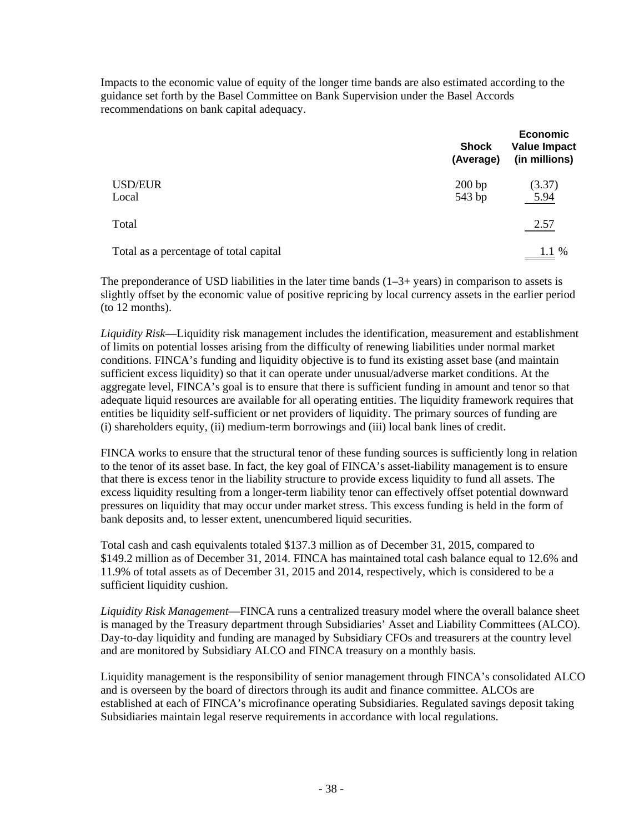Impacts to the economic value of equity of the longer time bands are also estimated according to the guidance set forth by the Basel Committee on Bank Supervision under the Basel Accords recommendations on bank capital adequacy.

|                                        | <b>Shock</b><br>(Average) | Economic<br><b>Value Impact</b><br>(in millions) |
|----------------------------------------|---------------------------|--------------------------------------------------|
| <b>USD/EUR</b><br>Local                | 200 bp<br>543 bp          | (3.37)<br>5.94                                   |
| Total                                  |                           | 2.57                                             |
| Total as a percentage of total capital |                           | 1.1 %                                            |

The preponderance of USD liabilities in the later time bands  $(1-3+)$  years) in comparison to assets is slightly offset by the economic value of positive repricing by local currency assets in the earlier period (to 12 months).

*Liquidity Risk*—Liquidity risk management includes the identification, measurement and establishment of limits on potential losses arising from the difficulty of renewing liabilities under normal market conditions. FINCA's funding and liquidity objective is to fund its existing asset base (and maintain sufficient excess liquidity) so that it can operate under unusual/adverse market conditions. At the aggregate level, FINCA's goal is to ensure that there is sufficient funding in amount and tenor so that adequate liquid resources are available for all operating entities. The liquidity framework requires that entities be liquidity self-sufficient or net providers of liquidity. The primary sources of funding are (i) shareholders equity, (ii) medium-term borrowings and (iii) local bank lines of credit.

FINCA works to ensure that the structural tenor of these funding sources is sufficiently long in relation to the tenor of its asset base. In fact, the key goal of FINCA's asset-liability management is to ensure that there is excess tenor in the liability structure to provide excess liquidity to fund all assets. The excess liquidity resulting from a longer-term liability tenor can effectively offset potential downward pressures on liquidity that may occur under market stress. This excess funding is held in the form of bank deposits and, to lesser extent, unencumbered liquid securities.

Total cash and cash equivalents totaled \$137.3 million as of December 31, 2015, compared to \$149.2 million as of December 31, 2014. FINCA has maintained total cash balance equal to 12.6% and 11.9% of total assets as of December 31, 2015 and 2014, respectively, which is considered to be a sufficient liquidity cushion.

*Liquidity Risk Management*—FINCA runs a centralized treasury model where the overall balance sheet is managed by the Treasury department through Subsidiaries' Asset and Liability Committees (ALCO). Day-to-day liquidity and funding are managed by Subsidiary CFOs and treasurers at the country level and are monitored by Subsidiary ALCO and FINCA treasury on a monthly basis.

Liquidity management is the responsibility of senior management through FINCA's consolidated ALCO and is overseen by the board of directors through its audit and finance committee. ALCOs are established at each of FINCA's microfinance operating Subsidiaries. Regulated savings deposit taking Subsidiaries maintain legal reserve requirements in accordance with local regulations.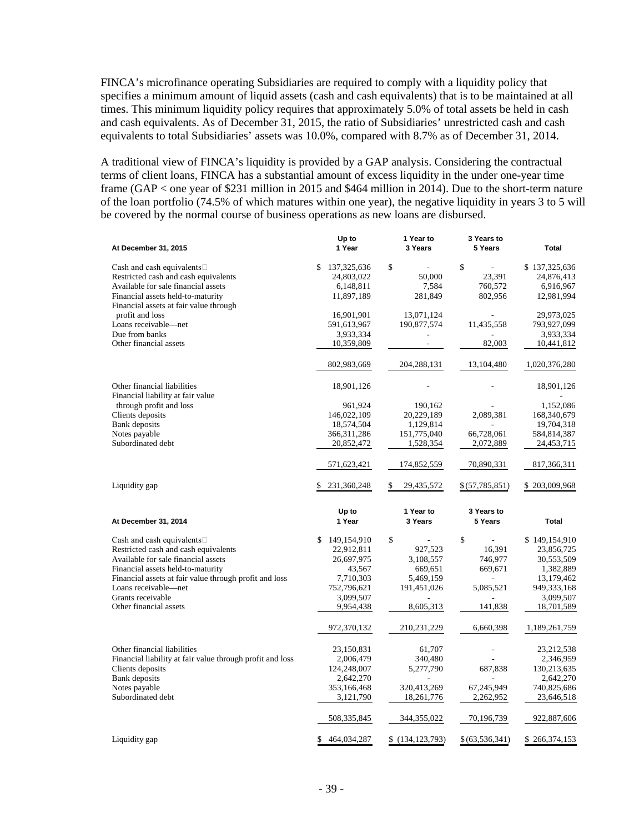FINCA's microfinance operating Subsidiaries are required to comply with a liquidity policy that specifies a minimum amount of liquid assets (cash and cash equivalents) that is to be maintained at all times. This minimum liquidity policy requires that approximately 5.0% of total assets be held in cash and cash equivalents. As of December 31, 2015, the ratio of Subsidiaries' unrestricted cash and cash equivalents to total Subsidiaries' assets was 10.0%, compared with 8.7% as of December 31, 2014.

A traditional view of FINCA's liquidity is provided by a GAP analysis. Considering the contractual terms of client loans, FINCA has a substantial amount of excess liquidity in the under one-year time frame (GAP < one year of \$231 million in 2015 and \$464 million in 2014). Due to the short-term nature of the loan portfolio (74.5% of which matures within one year), the negative liquidity in years 3 to 5 will be covered by the normal course of business operations as new loans are disbursed.

| At December 31, 2015                                             | Up to<br>1 Year     | 1 Year to<br>3 Years           | 3 Years to<br>5 Years | <b>Total</b>  |
|------------------------------------------------------------------|---------------------|--------------------------------|-----------------------|---------------|
| Cash and cash equivalents $\square$                              | \$<br>137, 325, 636 | \$                             | \$                    | \$137,325,636 |
| Restricted cash and cash equivalents                             | 24,803,022          | 50,000                         | 23,391                | 24,876,413    |
| Available for sale financial assets                              | 6,148,811           | 7,584                          | 760,572               | 6,916,967     |
| Financial assets held-to-maturity                                | 11,897,189          | 281,849                        | 802,956               | 12,981,994    |
| Financial assets at fair value through                           |                     |                                |                       |               |
| profit and loss                                                  | 16,901,901          | 13,071,124                     |                       | 29,973,025    |
| Loans receivable-net                                             | 591,613,967         | 190,877,574                    | 11,435,558            | 793,927,099   |
| Due from banks                                                   | 3,933,334           |                                |                       | 3,933,334     |
| Other financial assets                                           | 10,359,809          |                                | 82,003                | 10,441,812    |
|                                                                  | 802,983,669         | 204,288,131                    | 13,104,480            | 1,020,376,280 |
| Other financial liabilities<br>Financial liability at fair value | 18,901,126          |                                |                       | 18,901,126    |
| through profit and loss                                          | 961,924             | 190,162                        |                       | 1,152,086     |
| Clients deposits                                                 | 146,022,109         | 20,229,189                     | 2,089,381             | 168,340,679   |
| Bank deposits                                                    | 18,574,504          | 1,129,814                      |                       | 19,704,318    |
| Notes payable                                                    | 366,311,286         | 151,775,040                    | 66,728,061            | 584,814,387   |
| Subordinated debt                                                | 20,852,472          | 1,528,354                      | 2,072,889             | 24,453,715    |
|                                                                  | 571,623,421         | 174,852,559                    | 70,890,331            | 817,366,311   |
| Liquidity gap                                                    | \$<br>231,360,248   | \$<br>29,435,572               | \$ (57, 785, 851)     | \$203,009,968 |
| At December 31, 2014                                             | Up to<br>1 Year     | 1 Year to<br>3 Years           | 3 Years to<br>5 Years | <b>Total</b>  |
| Cash and cash equivalents $\square$                              | 149,154,910<br>S.   | \$<br>$\overline{\phantom{0}}$ | \$                    | \$149,154,910 |
| Restricted cash and cash equivalents                             | 22,912,811          | 927,523                        | 16,391                | 23,856,725    |
| Available for sale financial assets                              | 26,697,975          | 3,108,557                      | 746,977               | 30,553,509    |
| Financial assets held-to-maturity                                | 43,567              | 669,651                        | 669,671               | 1,382,889     |
| Financial assets at fair value through profit and loss           | 7,710,303           | 5,469,159                      | $\overline{a}$        | 13,179,462    |
| Loans receivable—net                                             | 752,796,621         | 191,451,026                    | 5,085,521             | 949,333,168   |
| Grants receivable                                                | 3,099,507           |                                |                       | 3,099,507     |
| Other financial assets                                           | 9,954,438           | 8,605,313                      | 141,838               | 18,701,589    |
|                                                                  | 972,370,132         | 210,231,229                    | 6,660,398             | 1,189,261,759 |
| Other financial liabilities                                      | 23,150,831          | 61,707                         |                       | 23,212,538    |
| Financial liability at fair value through profit and loss        | 2,006,479           | 340,480                        |                       | 2,346,959     |
| Clients deposits                                                 | 124,248,007         | 5,277,790                      | 687,838               | 130,213,635   |
| <b>Bank</b> deposits                                             | 2,642,270           |                                |                       | 2,642,270     |
| Notes payable                                                    | 353,166,468         | 320,413,269                    | 67,245,949            | 740,825,686   |
| Subordinated debt                                                | 3,121,790           | 18,261,776                     | 2,262,952             | 23,646,518    |
|                                                                  | 508,335,845         | 344,355,022                    | 70,196,739            | 922,887,606   |
| Liquidity gap                                                    | 464,034,287<br>\$   | \$(134, 123, 793)              | \$(63,536,341)        | \$266,374,153 |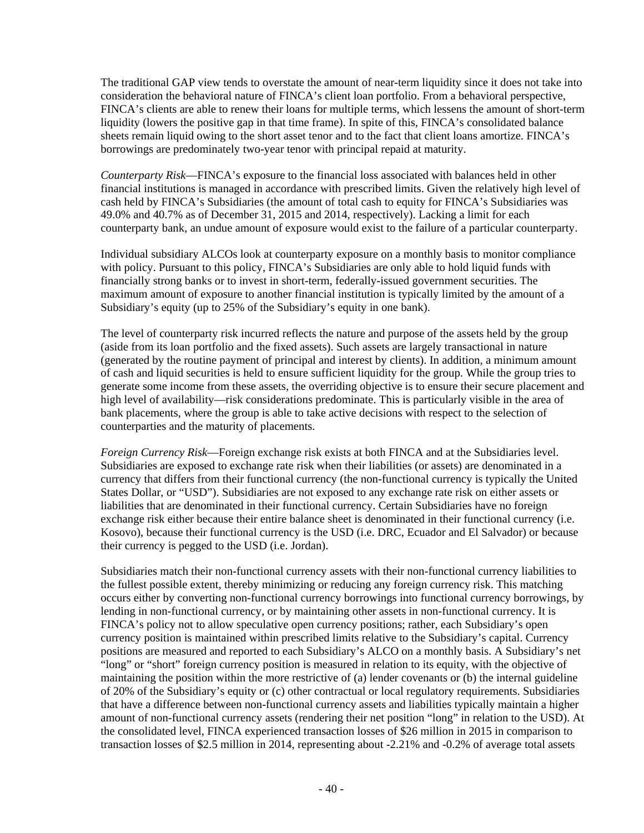The traditional GAP view tends to overstate the amount of near-term liquidity since it does not take into consideration the behavioral nature of FINCA's client loan portfolio. From a behavioral perspective, FINCA's clients are able to renew their loans for multiple terms, which lessens the amount of short-term liquidity (lowers the positive gap in that time frame). In spite of this, FINCA's consolidated balance sheets remain liquid owing to the short asset tenor and to the fact that client loans amortize. FINCA's borrowings are predominately two-year tenor with principal repaid at maturity.

*Counterparty Risk*—FINCA's exposure to the financial loss associated with balances held in other financial institutions is managed in accordance with prescribed limits. Given the relatively high level of cash held by FINCA's Subsidiaries (the amount of total cash to equity for FINCA's Subsidiaries was 49.0% and 40.7% as of December 31, 2015 and 2014, respectively). Lacking a limit for each counterparty bank, an undue amount of exposure would exist to the failure of a particular counterparty.

Individual subsidiary ALCOs look at counterparty exposure on a monthly basis to monitor compliance with policy. Pursuant to this policy, FINCA's Subsidiaries are only able to hold liquid funds with financially strong banks or to invest in short-term, federally-issued government securities. The maximum amount of exposure to another financial institution is typically limited by the amount of a Subsidiary's equity (up to 25% of the Subsidiary's equity in one bank).

The level of counterparty risk incurred reflects the nature and purpose of the assets held by the group (aside from its loan portfolio and the fixed assets). Such assets are largely transactional in nature (generated by the routine payment of principal and interest by clients). In addition, a minimum amount of cash and liquid securities is held to ensure sufficient liquidity for the group. While the group tries to generate some income from these assets, the overriding objective is to ensure their secure placement and high level of availability—risk considerations predominate. This is particularly visible in the area of bank placements, where the group is able to take active decisions with respect to the selection of counterparties and the maturity of placements.

*Foreign Currency Risk*—Foreign exchange risk exists at both FINCA and at the Subsidiaries level. Subsidiaries are exposed to exchange rate risk when their liabilities (or assets) are denominated in a currency that differs from their functional currency (the non-functional currency is typically the United States Dollar, or "USD"). Subsidiaries are not exposed to any exchange rate risk on either assets or liabilities that are denominated in their functional currency. Certain Subsidiaries have no foreign exchange risk either because their entire balance sheet is denominated in their functional currency (i.e. Kosovo), because their functional currency is the USD (i.e. DRC, Ecuador and El Salvador) or because their currency is pegged to the USD (i.e. Jordan).

Subsidiaries match their non-functional currency assets with their non-functional currency liabilities to the fullest possible extent, thereby minimizing or reducing any foreign currency risk. This matching occurs either by converting non-functional currency borrowings into functional currency borrowings, by lending in non-functional currency, or by maintaining other assets in non-functional currency. It is FINCA's policy not to allow speculative open currency positions; rather, each Subsidiary's open currency position is maintained within prescribed limits relative to the Subsidiary's capital. Currency positions are measured and reported to each Subsidiary's ALCO on a monthly basis. A Subsidiary's net "long" or "short" foreign currency position is measured in relation to its equity, with the objective of maintaining the position within the more restrictive of (a) lender covenants or (b) the internal guideline of 20% of the Subsidiary's equity or (c) other contractual or local regulatory requirements. Subsidiaries that have a difference between non-functional currency assets and liabilities typically maintain a higher amount of non-functional currency assets (rendering their net position "long" in relation to the USD). At the consolidated level, FINCA experienced transaction losses of \$26 million in 2015 in comparison to transaction losses of \$2.5 million in 2014, representing about -2.21% and -0.2% of average total assets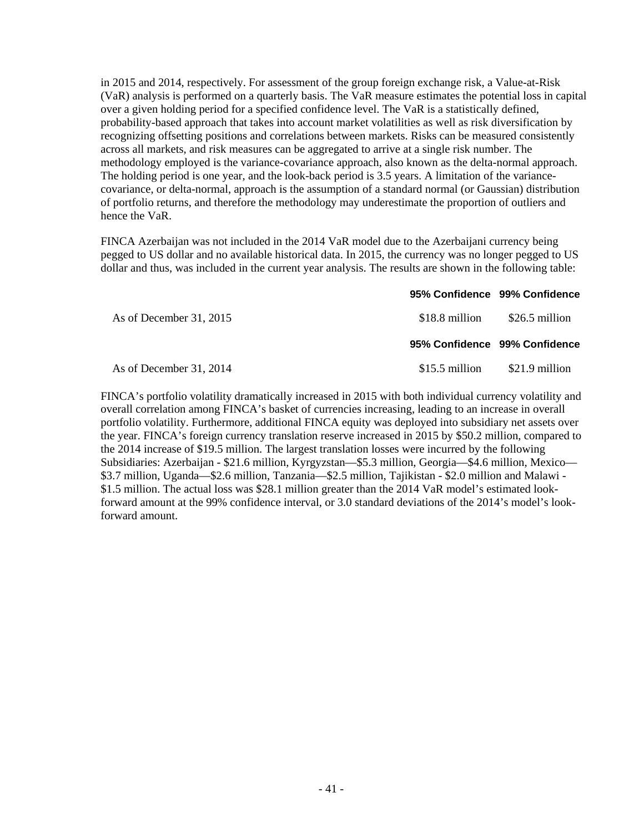in 2015 and 2014, respectively. For assessment of the group foreign exchange risk, a Value-at-Risk (VaR) analysis is performed on a quarterly basis. The VaR measure estimates the potential loss in capital over a given holding period for a specified confidence level. The VaR is a statistically defined, probability-based approach that takes into account market volatilities as well as risk diversification by recognizing offsetting positions and correlations between markets. Risks can be measured consistently across all markets, and risk measures can be aggregated to arrive at a single risk number. The methodology employed is the variance-covariance approach, also known as the delta-normal approach. The holding period is one year, and the look-back period is 3.5 years. A limitation of the variancecovariance, or delta-normal, approach is the assumption of a standard normal (or Gaussian) distribution of portfolio returns, and therefore the methodology may underestimate the proportion of outliers and hence the VaR.

FINCA Azerbaijan was not included in the 2014 VaR model due to the Azerbaijani currency being pegged to US dollar and no available historical data. In 2015, the currency was no longer pegged to US dollar and thus, was included in the current year analysis. The results are shown in the following table:

|                         | 95% Confidence 99% Confidence |                |
|-------------------------|-------------------------------|----------------|
| As of December 31, 2015 | \$18.8 million                | \$26.5 million |
|                         | 95% Confidence 99% Confidence |                |
| As of December 31, 2014 | $$15.5$ million               | \$21.9 million |

FINCA's portfolio volatility dramatically increased in 2015 with both individual currency volatility and overall correlation among FINCA's basket of currencies increasing, leading to an increase in overall portfolio volatility. Furthermore, additional FINCA equity was deployed into subsidiary net assets over the year. FINCA's foreign currency translation reserve increased in 2015 by \$50.2 million, compared to the 2014 increase of \$19.5 million. The largest translation losses were incurred by the following Subsidiaries: Azerbaijan - \$21.6 million, Kyrgyzstan—\$5.3 million, Georgia—\$4.6 million, Mexico— \$3.7 million, Uganda—\$2.6 million, Tanzania—\$2.5 million, Tajikistan - \$2.0 million and Malawi - \$1.5 million. The actual loss was \$28.1 million greater than the 2014 VaR model's estimated lookforward amount at the 99% confidence interval, or 3.0 standard deviations of the 2014's model's lookforward amount.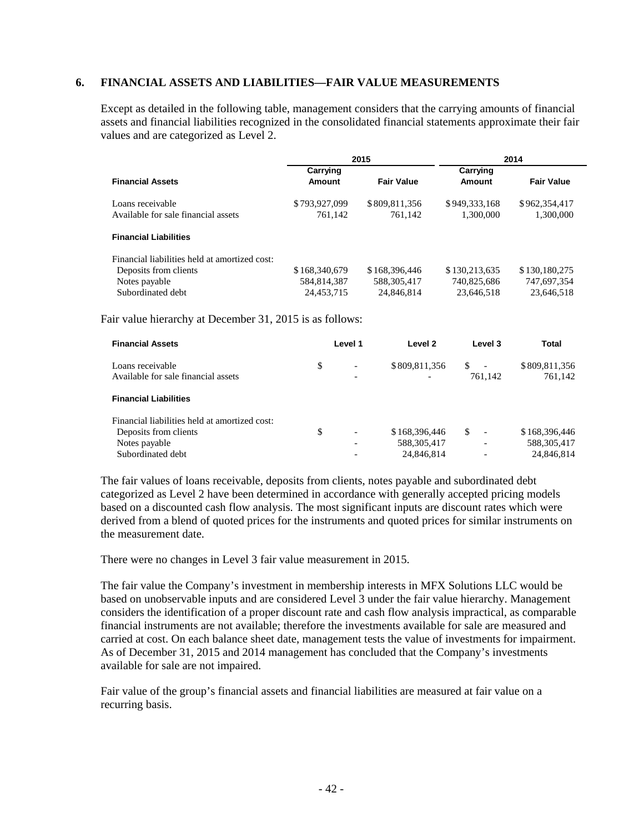#### **6. FINANCIAL ASSETS AND LIABILITIES—FAIR VALUE MEASUREMENTS**

Except as detailed in the following table, management considers that the carrying amounts of financial assets and financial liabilities recognized in the consolidated financial statements approximate their fair values and are categorized as Level 2.

|               |                    | 2014                                                                        |                                                             |  |
|---------------|--------------------|-----------------------------------------------------------------------------|-------------------------------------------------------------|--|
| Carrying      |                    | Carrying                                                                    |                                                             |  |
| Amount        | <b>Fair Value</b>  | Amount                                                                      | <b>Fair Value</b>                                           |  |
| \$793,927,099 | \$809,811,356      | \$949,333,168                                                               | \$962,354,417                                               |  |
| 761.142       | 761.142            | 1.300.000                                                                   | 1.300,000                                                   |  |
|               |                    |                                                                             |                                                             |  |
|               |                    |                                                                             |                                                             |  |
| \$168,340,679 | \$168,396,446      | \$130,213,635                                                               | \$130,180,275                                               |  |
| 584,814,387   | 588, 305, 417      | 740,825,686                                                                 | 747,697,354                                                 |  |
| 24,453,715    | 24,846,814         | 23,646,518                                                                  | 23,646,518                                                  |  |
|               |                    |                                                                             |                                                             |  |
|               | Level <sub>2</sub> | Level 3                                                                     | <b>Total</b>                                                |  |
| \$            |                    | \$<br>$\overline{\phantom{a}}$                                              | \$809,811,356                                               |  |
|               |                    | 761,142                                                                     | 761,142                                                     |  |
|               |                    |                                                                             |                                                             |  |
|               |                    |                                                                             |                                                             |  |
| \$            |                    | \$                                                                          | \$168,396,446                                               |  |
|               |                    |                                                                             | 588,305,417                                                 |  |
|               |                    |                                                                             | 24,846,814                                                  |  |
|               |                    | 2015<br>Fair value hierarchy at December 31, 2015 is as follows:<br>Level 1 | \$809,811,356<br>\$168,396,446<br>588,305,417<br>24,846,814 |  |

The fair values of loans receivable, deposits from clients, notes payable and subordinated debt categorized as Level 2 have been determined in accordance with generally accepted pricing models based on a discounted cash flow analysis. The most significant inputs are discount rates which were derived from a blend of quoted prices for the instruments and quoted prices for similar instruments on the measurement date.

There were no changes in Level 3 fair value measurement in 2015.

The fair value the Company's investment in membership interests in MFX Solutions LLC would be based on unobservable inputs and are considered Level 3 under the fair value hierarchy. Management considers the identification of a proper discount rate and cash flow analysis impractical, as comparable financial instruments are not available; therefore the investments available for sale are measured and carried at cost. On each balance sheet date, management tests the value of investments for impairment. As of December 31, 2015 and 2014 management has concluded that the Company's investments available for sale are not impaired.

Fair value of the group's financial assets and financial liabilities are measured at fair value on a recurring basis.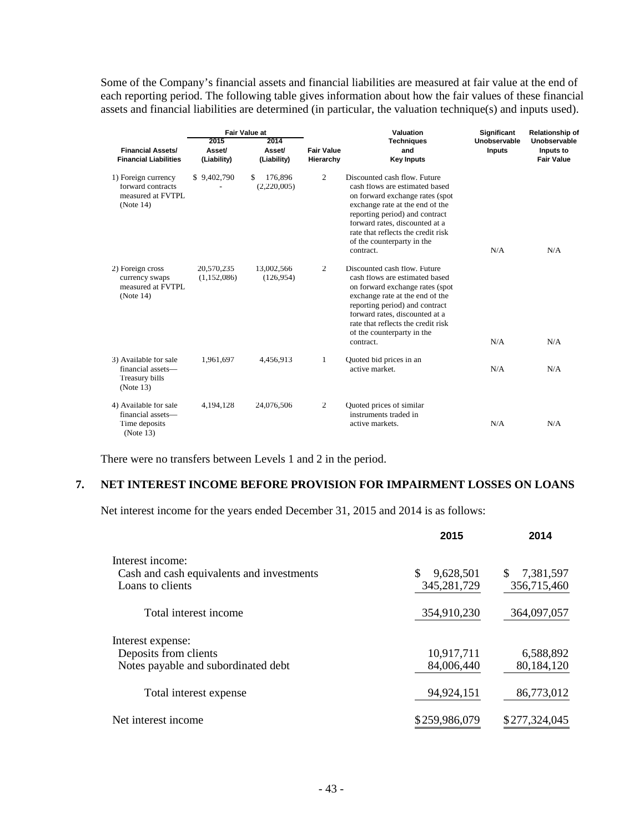Some of the Company's financial assets and financial liabilities are measured at fair value at the end of each reporting period. The following table gives information about how the fair values of these financial assets and financial liabilities are determined (in particular, the valuation technique(s) and inputs used).

|                                                                             |                               | <b>Fair Value at</b>          |                                | Valuation                                                                                                                                                                                                                                                                                 | <b>Significant</b>            | Relationship of                                |
|-----------------------------------------------------------------------------|-------------------------------|-------------------------------|--------------------------------|-------------------------------------------------------------------------------------------------------------------------------------------------------------------------------------------------------------------------------------------------------------------------------------------|-------------------------------|------------------------------------------------|
| <b>Financial Assets/</b><br><b>Financial Liabilities</b>                    | 2015<br>Asset/<br>(Liability) | 2014<br>Asset/<br>(Liability) | <b>Fair Value</b><br>Hierarchy | <b>Techniques</b><br>and<br><b>Key Inputs</b>                                                                                                                                                                                                                                             | Unobservable<br><b>Inputs</b> | Unobservable<br>Inputs to<br><b>Fair Value</b> |
| 1) Foreign currency<br>forward contracts<br>measured at FVTPL.<br>(Note 14) | \$9,402,790                   | S.<br>176,896<br>(2,220,005)  | 2                              | Discounted cash flow. Future<br>cash flows are estimated based<br>on forward exchange rates (spot<br>exchange rate at the end of the<br>reporting period) and contract<br>forward rates, discounted at a<br>rate that reflects the credit risk<br>of the counterparty in the<br>contract. | N/A                           | N/A                                            |
| 2) Foreign cross<br>currency swaps<br>measured at FVTPL.<br>(Note 14)       | 20,570,235<br>(1,152,086)     | 13,002,566<br>(126, 954)      | 2                              | Discounted cash flow. Future<br>cash flows are estimated based<br>on forward exchange rates (spot<br>exchange rate at the end of the<br>reporting period) and contract<br>forward rates, discounted at a<br>rate that reflects the credit risk<br>of the counterparty in the<br>contract. | N/A                           | N/A                                            |
| 3) Available for sale<br>financial assets-<br>Treasury bills<br>(Note 13)   | 1,961,697                     | 4,456,913                     | 1                              | Quoted bid prices in an<br>active market                                                                                                                                                                                                                                                  | N/A                           | N/A                                            |
| 4) Available for sale<br>financial assets-<br>Time deposits<br>(Note 13)    | 4,194,128                     | 24,076,506                    | 2                              | Quoted prices of similar<br>instruments traded in<br>active markets.                                                                                                                                                                                                                      | N/A                           | N/A                                            |

There were no transfers between Levels 1 and 2 in the period.

#### **7. NET INTEREST INCOME BEFORE PROVISION FOR IMPAIRMENT LOSSES ON LOANS**

Net interest income for the years ended December 31, 2015 and 2014 is as follows:

|                                           | 2015           | 2014          |
|-------------------------------------------|----------------|---------------|
| Interest income:                          |                |               |
| Cash and cash equivalents and investments | S<br>9,628,501 | 7,381,597     |
| Loans to clients                          | 345, 281, 729  | 356,715,460   |
| Total interest income                     | 354,910,230    | 364,097,057   |
| Interest expense:                         |                |               |
| Deposits from clients                     | 10,917,711     | 6,588,892     |
| Notes payable and subordinated debt       | 84,006,440     | 80,184,120    |
| Total interest expense                    | 94,924,151     | 86,773,012    |
| Net interest income                       | \$259,986,079  | \$277,324,045 |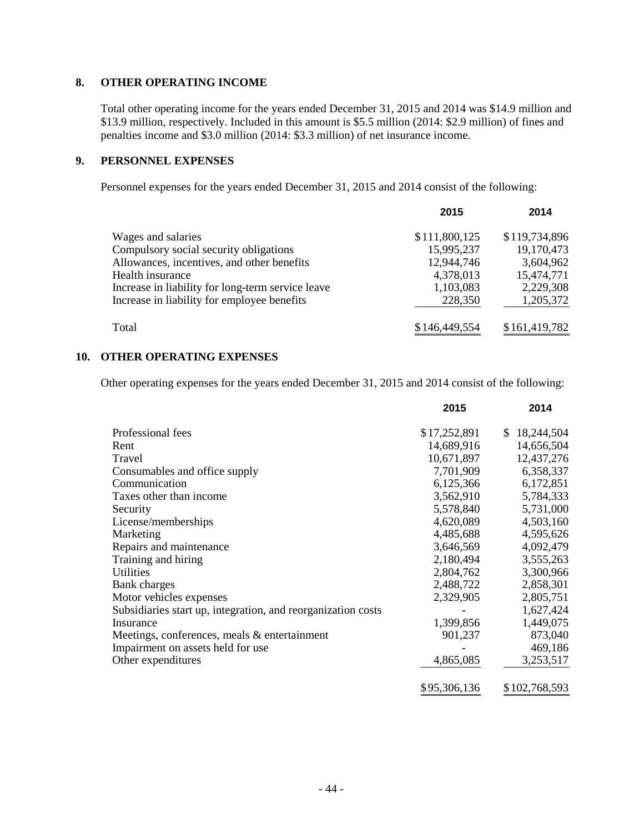#### **8. OTHER OPERATING INCOME**

Total other operating income for the years ended December 31, 2015 and 2014 was \$14.9 million and \$13.9 million, respectively. Included in this amount is \$5.5 million (2014: \$2.9 million) of fines and penalties income and \$3.0 million (2014: \$3.3 million) of net insurance income.

#### **9. PERSONNEL EXPENSES**

Personnel expenses for the years ended December 31, 2015 and 2014 consist of the following:

|                                                   | 2015          | 2014          |
|---------------------------------------------------|---------------|---------------|
| Wages and salaries                                | \$111,800,125 | \$119,734,896 |
| Compulsory social security obligations            | 15,995,237    | 19,170,473    |
| Allowances, incentives, and other benefits        | 12,944,746    | 3,604,962     |
| Health insurance                                  | 4,378,013     | 15,474,771    |
| Increase in liability for long-term service leave | 1,103,083     | 2,229,308     |
| Increase in liability for employee benefits       | 228,350       | 1,205,372     |
| Total                                             | \$146,449,554 | \$161,419,782 |

#### **10. OTHER OPERATING EXPENSES**

Other operating expenses for the years ended December 31, 2015 and 2014 consist of the following:

|                                                              | 2015         | 2014          |
|--------------------------------------------------------------|--------------|---------------|
| Professional fees                                            | \$17,252,891 | \$18,244,504  |
| Rent                                                         | 14,689,916   | 14,656,504    |
| Travel                                                       | 10,671,897   | 12,437,276    |
| Consumables and office supply                                | 7,701,909    | 6,358,337     |
| Communication                                                | 6,125,366    | 6,172,851     |
| Taxes other than income.                                     | 3,562,910    | 5,784,333     |
| Security                                                     | 5,578,840    | 5,731,000     |
| License/memberships                                          | 4,620,089    | 4,503,160     |
| Marketing                                                    | 4,485,688    | 4,595,626     |
| Repairs and maintenance                                      | 3,646,569    | 4,092,479     |
| Training and hiring                                          | 2,180,494    | 3,555,263     |
| Utilities                                                    | 2,804,762    | 3,300,966     |
| Bank charges                                                 | 2,488,722    | 2,858,301     |
| Motor vehicles expenses                                      | 2,329,905    | 2,805,751     |
| Subsidiaries start up, integration, and reorganization costs |              | 1,627,424     |
| Insurance                                                    | 1,399,856    | 1,449,075     |
| Meetings, conferences, meals & entertainment                 | 901,237      | 873,040       |
| Impairment on assets held for use                            |              | 469,186       |
| Other expenditures                                           | 4,865,085    | 3,253,517     |
|                                                              | \$95,306,136 | \$102,768,593 |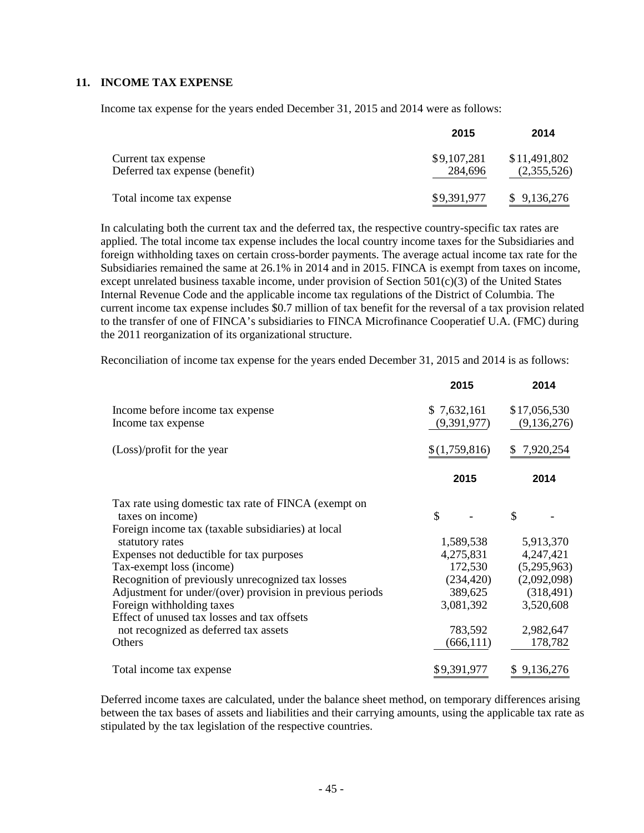#### **11. INCOME TAX EXPENSE**

Income tax expense for the years ended December 31, 2015 and 2014 were as follows:

|                                                       | 2015                   | 2014                        |
|-------------------------------------------------------|------------------------|-----------------------------|
| Current tax expense<br>Deferred tax expense (benefit) | \$9,107,281<br>284,696 | \$11,491,802<br>(2,355,526) |
| Total income tax expense                              | \$9,391,977            | \$9,136,276                 |

In calculating both the current tax and the deferred tax, the respective country-specific tax rates are applied. The total income tax expense includes the local country income taxes for the Subsidiaries and foreign withholding taxes on certain cross-border payments. The average actual income tax rate for the Subsidiaries remained the same at 26.1% in 2014 and in 2015. FINCA is exempt from taxes on income, except unrelated business taxable income, under provision of Section  $501(c)(3)$  of the United States Internal Revenue Code and the applicable income tax regulations of the District of Columbia. The current income tax expense includes \$0.7 million of tax benefit for the reversal of a tax provision related to the transfer of one of FINCA's subsidiaries to FINCA Microfinance Cooperatief U.A. (FMC) during the 2011 reorganization of its organizational structure.

Reconciliation of income tax expense for the years ended December 31, 2015 and 2014 is as follows:

|                                                           | 2015                       | 2014                          |
|-----------------------------------------------------------|----------------------------|-------------------------------|
| Income before income tax expense<br>Income tax expense    | \$7,632,161<br>(9,391,977) | \$17,056,530<br>(9, 136, 276) |
| (Loss)/profit for the year                                | \$(1,759,816)              | \$7,920,254                   |
|                                                           | 2015                       | 2014                          |
| Tax rate using domestic tax rate of FINCA (exempt on      |                            |                               |
| taxes on income)                                          | \$                         | \$                            |
| Foreign income tax (taxable subsidiaries) at local        |                            |                               |
| statutory rates                                           | 1,589,538                  | 5,913,370                     |
| Expenses not deductible for tax purposes                  | 4,275,831                  | 4,247,421                     |
| Tax-exempt loss (income)                                  | 172,530                    | (5,295,963)                   |
| Recognition of previously unrecognized tax losses         | (234, 420)                 | (2,092,098)                   |
| Adjustment for under/(over) provision in previous periods | 389,625                    | (318, 491)                    |
| Foreign withholding taxes                                 | 3,081,392                  | 3,520,608                     |
| Effect of unused tax losses and tax offsets               |                            |                               |
| not recognized as deferred tax assets                     | 783,592                    | 2,982,647                     |
| Others                                                    | (666, 111)                 | 178,782                       |
| Total income tax expense                                  | \$9,391,977                | \$9,136,276                   |

Deferred income taxes are calculated, under the balance sheet method, on temporary differences arising between the tax bases of assets and liabilities and their carrying amounts, using the applicable tax rate as stipulated by the tax legislation of the respective countries.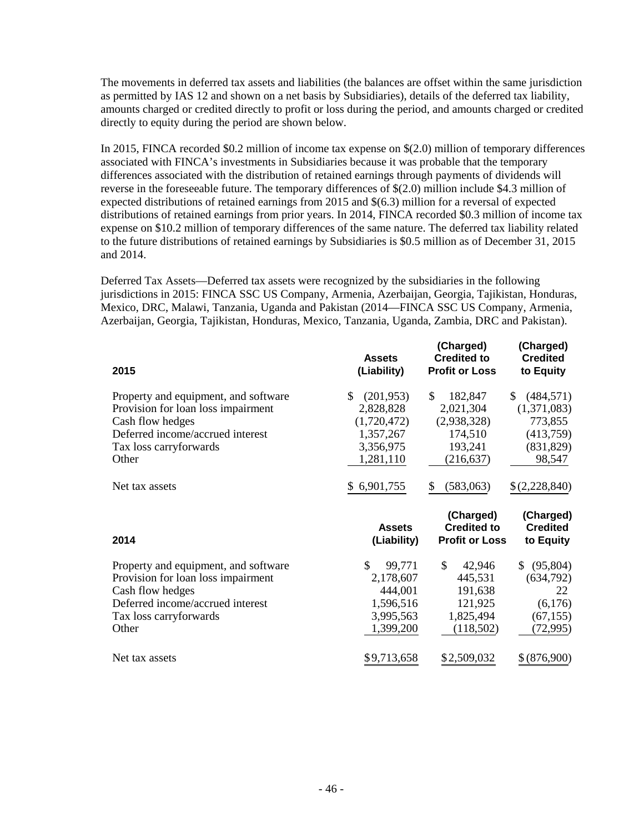The movements in deferred tax assets and liabilities (the balances are offset within the same jurisdiction as permitted by IAS 12 and shown on a net basis by Subsidiaries), details of the deferred tax liability, amounts charged or credited directly to profit or loss during the period, and amounts charged or credited directly to equity during the period are shown below.

In 2015, FINCA recorded \$0.2 million of income tax expense on \$(2.0) million of temporary differences associated with FINCA's investments in Subsidiaries because it was probable that the temporary differences associated with the distribution of retained earnings through payments of dividends will reverse in the foreseeable future. The temporary differences of \$(2.0) million include \$4.3 million of expected distributions of retained earnings from 2015 and \$(6.3) million for a reversal of expected distributions of retained earnings from prior years. In 2014, FINCA recorded \$0.3 million of income tax expense on \$10.2 million of temporary differences of the same nature. The deferred tax liability related to the future distributions of retained earnings by Subsidiaries is \$0.5 million as of December 31, 2015 and 2014.

Deferred Tax Assets—Deferred tax assets were recognized by the subsidiaries in the following jurisdictions in 2015: FINCA SSC US Company, Armenia, Azerbaijan, Georgia, Tajikistan, Honduras, Mexico, DRC, Malawi, Tanzania, Uganda and Pakistan (2014—FINCA SSC US Company, Armenia, Azerbaijan, Georgia, Tajikistan, Honduras, Mexico, Tanzania, Uganda, Zambia, DRC and Pakistan).

| 2015                                                                       | <b>Assets</b><br>(Liability) | (Charged)<br><b>Credited to</b><br><b>Profit or Loss</b> | (Charged)<br><b>Credited</b><br>to Equity |
|----------------------------------------------------------------------------|------------------------------|----------------------------------------------------------|-------------------------------------------|
| Property and equipment, and software                                       | \$.<br>(201, 953)            | \$<br>182,847                                            | \$.<br>(484, 571)                         |
| Provision for loan loss impairment                                         | 2,828,828                    | 2,021,304                                                | (1,371,083)                               |
| Cash flow hedges                                                           | (1,720,472)                  | (2,938,328)                                              | 773,855                                   |
| Deferred income/accrued interest                                           | 1,357,267                    | 174,510                                                  | (413,759)                                 |
| Tax loss carryforwards                                                     | 3,356,975                    | 193,241                                                  | (831, 829)                                |
| Other                                                                      | 1,281,110                    | (216, 637)                                               | 98,547                                    |
| Net tax assets                                                             | \$6,901,755                  | \$<br>(583,063)                                          | \$(2,228,840)                             |
|                                                                            |                              |                                                          |                                           |
| 2014                                                                       | <b>Assets</b><br>(Liability) | (Charged)<br><b>Credited to</b><br><b>Profit or Loss</b> | (Charged)<br><b>Credited</b><br>to Equity |
|                                                                            | \$<br>99,771                 | \$<br>42,946                                             | (95, 804)<br>S.                           |
| Property and equipment, and software<br>Provision for loan loss impairment | 2,178,607                    | 445,531                                                  | (634,792)                                 |
| Cash flow hedges                                                           | 444,001                      | 191,638                                                  | 22                                        |
| Deferred income/accrued interest                                           | 1,596,516                    | 121,925                                                  | (6,176)                                   |
| Tax loss carryforwards                                                     | 3,995,563                    | 1,825,494                                                | (67, 155)                                 |
| Other                                                                      | 1,399,200                    | (118,502)                                                | (72, 995)                                 |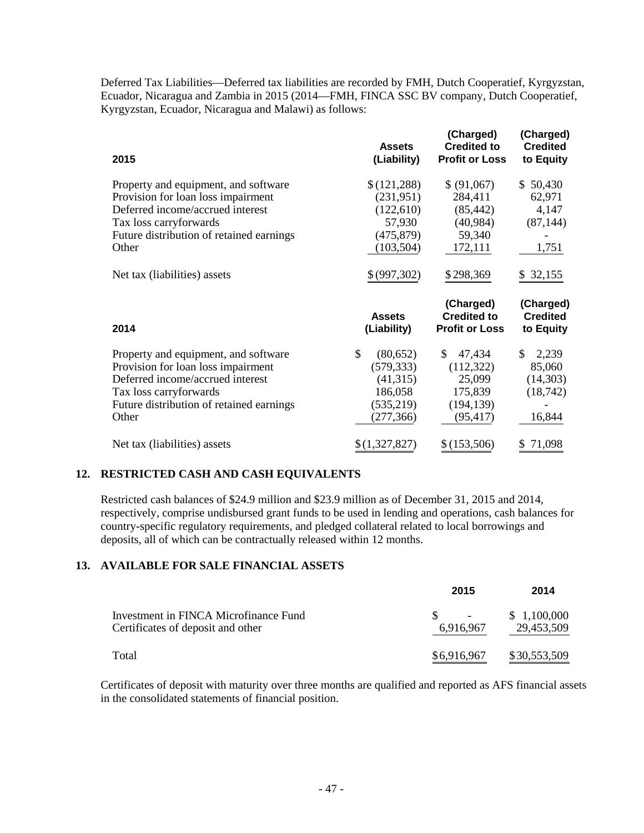Deferred Tax Liabilities—Deferred tax liabilities are recorded by FMH, Dutch Cooperatief, Kyrgyzstan, Ecuador, Nicaragua and Zambia in 2015 (2014—FMH, FINCA SSC BV company, Dutch Cooperatief, Kyrgyzstan, Ecuador, Nicaragua and Malawi) as follows:

| 2015                                                                   | <b>Assets</b><br>(Liability) | (Charged)<br><b>Credited to</b><br><b>Profit or Loss</b> | (Charged)<br><b>Credited</b><br>to Equity |
|------------------------------------------------------------------------|------------------------------|----------------------------------------------------------|-------------------------------------------|
| Property and equipment, and software                                   | \$(121,288)                  | \$ (91,067)                                              | \$50,430                                  |
| Provision for loan loss impairment<br>Deferred income/accrued interest | (231,951)<br>(122,610)       | 284,411<br>(85, 442)                                     | 62,971<br>4,147                           |
| Tax loss carryforwards                                                 | 57,930                       | (40, 984)                                                | (87, 144)                                 |
| Future distribution of retained earnings                               | (475, 879)                   | 59,340                                                   |                                           |
| Other                                                                  | (103, 504)                   | 172,111                                                  | 1,751                                     |
| Net tax (liabilities) assets                                           | \$(997,302)                  | \$298,369                                                | \$32,155                                  |
|                                                                        |                              |                                                          |                                           |
| 2014                                                                   | <b>Assets</b><br>(Liability) | (Charged)<br><b>Credited to</b><br><b>Profit or Loss</b> | (Charged)<br><b>Credited</b><br>to Equity |
|                                                                        |                              |                                                          |                                           |
| Property and equipment, and software                                   | \$<br>(80,652)               | \$<br>47,434                                             | $\mathbb{S}$<br>2,239                     |
| Provision for loan loss impairment                                     | (579, 333)                   | (112,322)                                                | 85,060                                    |
| Deferred income/accrued interest                                       | (41,315)<br>186,058          | 25,099<br>175,839                                        | (14,303)<br>(18, 742)                     |
| Tax loss carryforwards<br>Future distribution of retained earnings     | (535, 219)                   | (194, 139)                                               |                                           |
| Other                                                                  | (277, 366)                   | (95, 417)                                                | 16,844                                    |

# **12. RESTRICTED CASH AND CASH EQUIVALENTS**

Restricted cash balances of \$24.9 million and \$23.9 million as of December 31, 2015 and 2014, respectively, comprise undisbursed grant funds to be used in lending and operations, cash balances for country-specific regulatory requirements, and pledged collateral related to local borrowings and deposits, all of which can be contractually released within 12 months.

#### **13. AVAILABLE FOR SALE FINANCIAL ASSETS**

|                                                                            | 2015        | 2014                      |
|----------------------------------------------------------------------------|-------------|---------------------------|
| Investment in FINCA Microfinance Fund<br>Certificates of deposit and other | 6,916,967   | \$1,100,000<br>29,453,509 |
| Total                                                                      | \$6,916,967 | \$30,553,509              |

Certificates of deposit with maturity over three months are qualified and reported as AFS financial assets in the consolidated statements of financial position.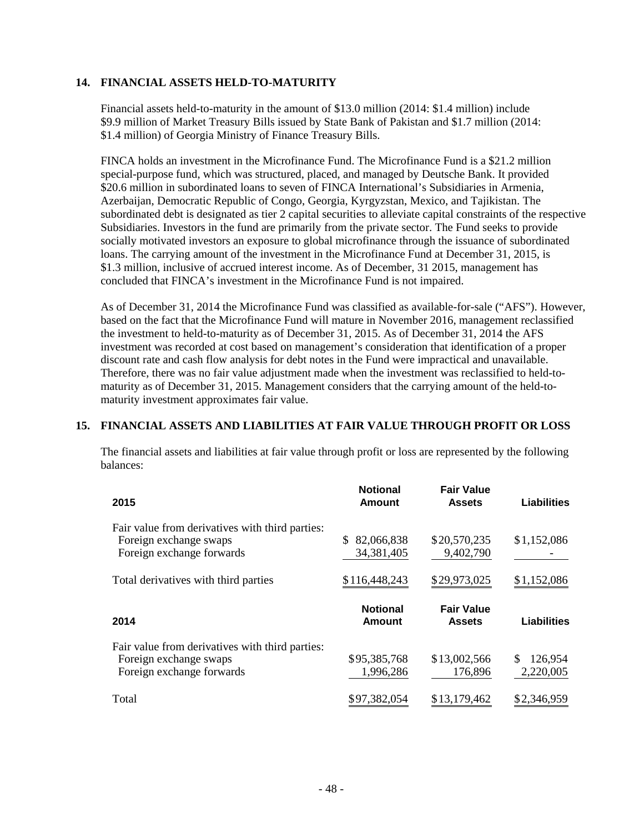#### **14. FINANCIAL ASSETS HELD-TO-MATURITY**

Financial assets held-to-maturity in the amount of \$13.0 million (2014: \$1.4 million) include \$9.9 million of Market Treasury Bills issued by State Bank of Pakistan and \$1.7 million (2014: \$1.4 million) of Georgia Ministry of Finance Treasury Bills.

FINCA holds an investment in the Microfinance Fund. The Microfinance Fund is a \$21.2 million special-purpose fund, which was structured, placed, and managed by Deutsche Bank. It provided \$20.6 million in subordinated loans to seven of FINCA International's Subsidiaries in Armenia, Azerbaijan, Democratic Republic of Congo, Georgia, Kyrgyzstan, Mexico, and Tajikistan. The subordinated debt is designated as tier 2 capital securities to alleviate capital constraints of the respective Subsidiaries. Investors in the fund are primarily from the private sector. The Fund seeks to provide socially motivated investors an exposure to global microfinance through the issuance of subordinated loans. The carrying amount of the investment in the Microfinance Fund at December 31, 2015, is \$1.3 million, inclusive of accrued interest income. As of December, 31 2015, management has concluded that FINCA's investment in the Microfinance Fund is not impaired.

As of December 31, 2014 the Microfinance Fund was classified as available-for-sale ("AFS"). However, based on the fact that the Microfinance Fund will mature in November 2016, management reclassified the investment to held-to-maturity as of December 31, 2015. As of December 31, 2014 the AFS investment was recorded at cost based on management's consideration that identification of a proper discount rate and cash flow analysis for debt notes in the Fund were impractical and unavailable. Therefore, there was no fair value adjustment made when the investment was reclassified to held-tomaturity as of December 31, 2015. Management considers that the carrying amount of the held-tomaturity investment approximates fair value.

#### **15. FINANCIAL ASSETS AND LIABILITIES AT FAIR VALUE THROUGH PROFIT OR LOSS**

The financial assets and liabilities at fair value through profit or loss are represented by the following balances:

| 2015                                                                                                   | <b>Notional</b><br><b>Amount</b> | <b>Fair Value</b><br><b>Assets</b> | Liabilities          |
|--------------------------------------------------------------------------------------------------------|----------------------------------|------------------------------------|----------------------|
| Fair value from derivatives with third parties:<br>Foreign exchange swaps<br>Foreign exchange forwards | 82,066,838<br>\$.<br>34,381,405  | \$20,570,235<br>9,402,790          | \$1,152,086          |
| Total derivatives with third parties                                                                   | \$116,448,243                    | \$29,973,025                       | \$1,152,086          |
|                                                                                                        |                                  |                                    |                      |
| 2014                                                                                                   | <b>Notional</b><br>Amount        | <b>Fair Value</b><br><b>Assets</b> | <b>Liabilities</b>   |
| Fair value from derivatives with third parties:<br>Foreign exchange swaps<br>Foreign exchange forwards | \$95,385,768<br>1,996,286        | \$13,002,566<br>176,896            | 126,954<br>2,220,005 |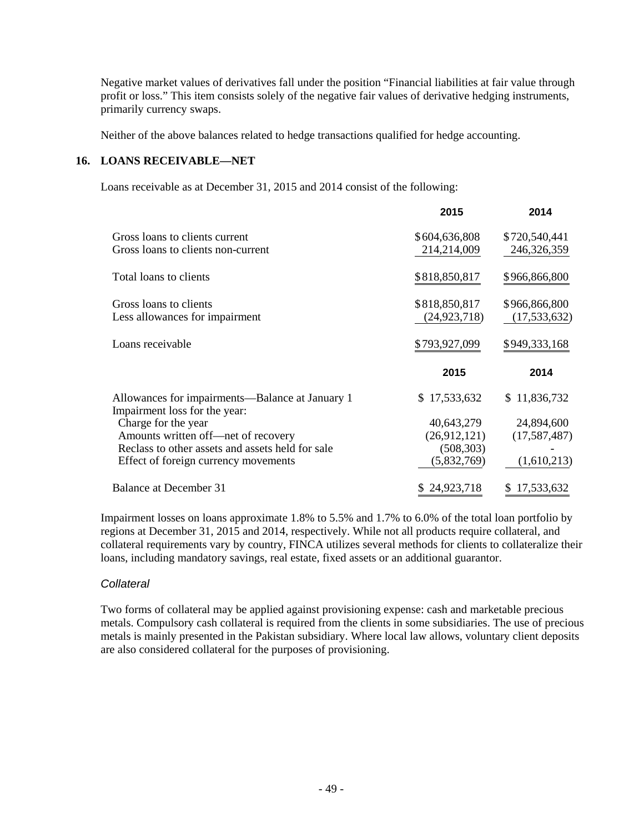Negative market values of derivatives fall under the position "Financial liabilities at fair value through profit or loss." This item consists solely of the negative fair values of derivative hedging instruments, primarily currency swaps.

Neither of the above balances related to hedge transactions qualified for hedge accounting.

#### **16. LOANS RECEIVABLE—NET**

Loans receivable as at December 31, 2015 and 2014 consist of the following:

|                                                                                  | 2015                         | 2014                         |
|----------------------------------------------------------------------------------|------------------------------|------------------------------|
| Gross loans to clients current<br>Gross loans to clients non-current             | \$604,636,808<br>214,214,009 | \$720,540,441<br>246,326,359 |
|                                                                                  |                              |                              |
| Total loans to clients                                                           | \$818,850,817                | \$966,866,800                |
| Gross loans to clients                                                           | \$818,850,817                | \$966,866,800                |
| Less allowances for impairment                                                   | (24, 923, 718)               | (17, 533, 632)               |
| Loans receivable                                                                 | \$793,927,099                | \$949,333,168                |
|                                                                                  | 2015                         | 2014                         |
| Allowances for impairments—Balance at January 1<br>Impairment loss for the year: | \$17,533,632                 | \$11,836,732                 |
| Charge for the year                                                              | 40,643,279                   | 24,894,600                   |
| Amounts written off—net of recovery                                              | (26,912,121)                 | (17, 587, 487)               |
| Reclass to other assets and assets held for sale                                 | (508, 303)                   |                              |
| Effect of foreign currency movements                                             | (5,832,769)                  | (1,610,213)                  |
| <b>Balance at December 31</b>                                                    | \$24,923,718                 | \$17,533,632                 |

Impairment losses on loans approximate 1.8% to 5.5% and 1.7% to 6.0% of the total loan portfolio by regions at December 31, 2015 and 2014, respectively. While not all products require collateral, and collateral requirements vary by country, FINCA utilizes several methods for clients to collateralize their loans, including mandatory savings, real estate, fixed assets or an additional guarantor.

#### *Collateral*

Two forms of collateral may be applied against provisioning expense: cash and marketable precious metals. Compulsory cash collateral is required from the clients in some subsidiaries. The use of precious metals is mainly presented in the Pakistan subsidiary. Where local law allows, voluntary client deposits are also considered collateral for the purposes of provisioning.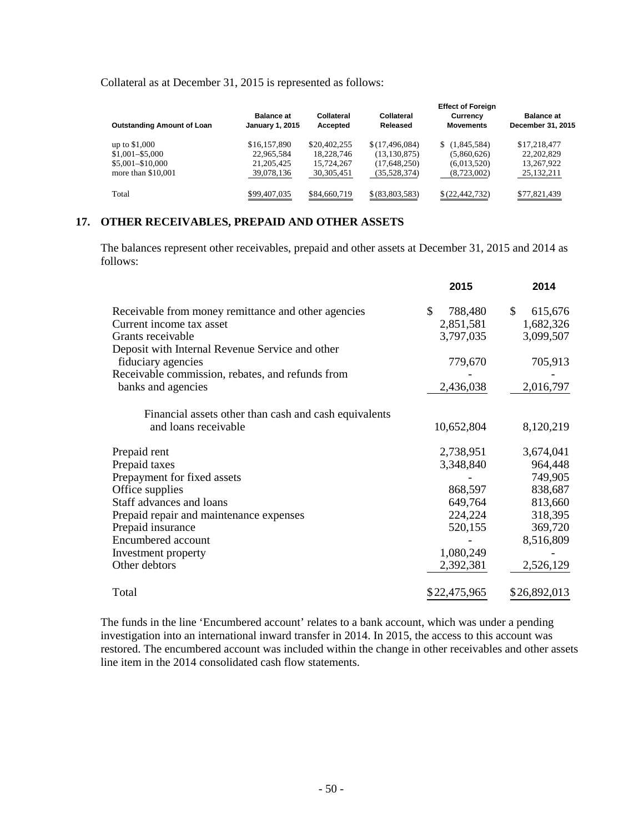Collateral as at December 31, 2015 is represented as follows:

|                                   |                                             |                               |                               | <b>Effect of Foreign</b>            |                                        |
|-----------------------------------|---------------------------------------------|-------------------------------|-------------------------------|-------------------------------------|----------------------------------------|
| <b>Outstanding Amount of Loan</b> | <b>Balance at</b><br><b>January 1, 2015</b> | <b>Collateral</b><br>Accepted | <b>Collateral</b><br>Released | <b>Currency</b><br><b>Movements</b> | <b>Balance at</b><br>December 31, 2015 |
| up to \$1,000                     | \$16,157,890                                | \$20,402,255                  | \$(17, 496, 084)              | \$(1,845,584)                       | \$17,218,477                           |
| $$1,001 - $5,000$                 | 22,965,584                                  | 18.228.746                    | (13, 130, 875)                | (5,860,626)                         | 22, 202, 829                           |
| \$5,001-\$10,000                  | 21.205.425                                  | 15.724.267                    | (17,648,250)                  | (6,013,520)                         | 13,267,922                             |
| more than $$10,001$               | 39,078,136                                  | 30, 305, 451                  | (35,528,374)                  | (8,723,002)                         | 25, 132, 211                           |
| Total                             | \$99,407,035                                | \$84,660,719                  | \$ (83,803,583)               | \$(22, 442, 732)                    | \$77,821,439                           |

#### **17. OTHER RECEIVABLES, PREPAID AND OTHER ASSETS**

The balances represent other receivables, prepaid and other assets at December 31, 2015 and 2014 as follows:

|                                                       | 2015          | 2014          |
|-------------------------------------------------------|---------------|---------------|
| Receivable from money remittance and other agencies   | \$<br>788,480 | \$<br>615,676 |
| Current income tax asset                              | 2,851,581     | 1,682,326     |
| Grants receivable                                     | 3,797,035     | 3,099,507     |
| Deposit with Internal Revenue Service and other       |               |               |
| fiduciary agencies                                    | 779,670       | 705,913       |
| Receivable commission, rebates, and refunds from      |               |               |
| banks and agencies                                    | 2,436,038     | 2,016,797     |
| Financial assets other than cash and cash equivalents |               |               |
| and loans receivable                                  | 10,652,804    | 8,120,219     |
| Prepaid rent                                          | 2,738,951     | 3,674,041     |
| Prepaid taxes                                         | 3,348,840     | 964,448       |
| Prepayment for fixed assets                           |               | 749,905       |
| Office supplies                                       | 868,597       | 838,687       |
| Staff advances and loans                              | 649,764       | 813,660       |
| Prepaid repair and maintenance expenses               | 224,224       | 318,395       |
| Prepaid insurance                                     | 520,155       | 369,720       |
| Encumbered account                                    |               | 8,516,809     |
| Investment property                                   | 1,080,249     |               |
| Other debtors                                         | 2,392,381     | 2,526,129     |
| Total                                                 | \$22,475,965  | \$26,892,013  |

The funds in the line 'Encumbered account' relates to a bank account, which was under a pending investigation into an international inward transfer in 2014. In 2015, the access to this account was restored. The encumbered account was included within the change in other receivables and other assets line item in the 2014 consolidated cash flow statements.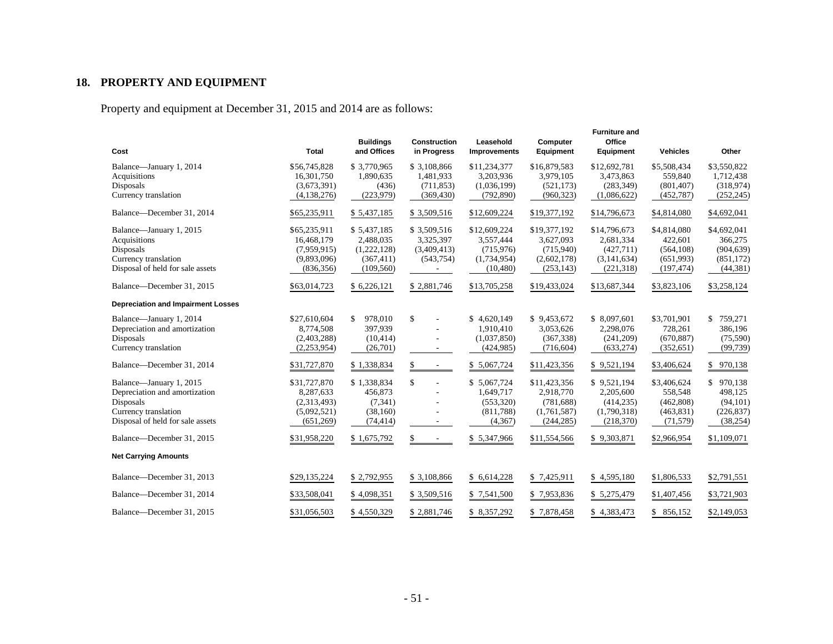# **18. PROPERTY AND EQUIPMENT**

Property and equipment at December 31, 2015 and 2014 are as follows:

| Cost                                                                                                                              | <b>Total</b>                                                           | <b>Buildings</b><br>and Offices                                     | Construction<br>in Progress                                         | Leasehold<br>Improvements                                           | Computer<br>Equipment                                                | <b>Furniture and</b><br>Office<br><b>Equipment</b>                    | <b>Vehicles</b>                                                 | Other                                                           |
|-----------------------------------------------------------------------------------------------------------------------------------|------------------------------------------------------------------------|---------------------------------------------------------------------|---------------------------------------------------------------------|---------------------------------------------------------------------|----------------------------------------------------------------------|-----------------------------------------------------------------------|-----------------------------------------------------------------|-----------------------------------------------------------------|
| Balance—January 1, 2014<br>Acquisitions<br>Disposals<br>Currency translation                                                      | \$56,745,828<br>16,301,750<br>(3.673.391)<br>(4,138,276)               | \$3,770,965<br>1,890,635<br>(436)<br>(223, 979)                     | \$3,108,866<br>1,481,933<br>(711, 853)<br>(369, 430)                | \$11,234,377<br>3,203,936<br>(1,036,199)<br>(792, 890)              | \$16,879,583<br>3,979,105<br>(521, 173)<br>(960, 323)                | \$12,692,781<br>3,473,863<br>(283, 349)<br>(1,086,622)                | \$5,508,434<br>559,840<br>(801, 407)<br>(452, 787)              | \$3,550,822<br>1,712,438<br>(318,974)<br>(252, 245)             |
| Balance-December 31, 2014                                                                                                         | \$65,235,911                                                           | \$5,437,185                                                         | \$3,509,516                                                         | \$12,609,224                                                        | \$19,377,192                                                         | \$14,796,673                                                          | \$4,814,080                                                     | \$4,692,041                                                     |
| Balance—January 1, 2015<br>Acquisitions<br>Disposals<br>Currency translation<br>Disposal of held for sale assets                  | \$65,235,911<br>16,468,179<br>(7,959,915)<br>(9,893,096)<br>(836, 356) | \$5,437,185<br>2,488,035<br>(1,222,128)<br>(367, 411)<br>(109, 560) | \$3,509,516<br>3,325,397<br>(3,409,413)<br>(543, 754)<br>$\sim 100$ | \$12,609,224<br>3,557,444<br>(715, 976)<br>(1,734,954)<br>(10, 480) | \$19,377,192<br>3,627,093<br>(715,940)<br>(2,602,178)<br>(253, 143)  | \$14,796,673<br>2,681,334<br>(427,711)<br>(3, 141, 634)<br>(221, 318) | \$4,814,080<br>422,601<br>(564, 108)<br>(651,993)<br>(197, 474) | \$4,692,041<br>366,275<br>(904, 639)<br>(851, 172)<br>(44, 381) |
| Balance-December 31, 2015                                                                                                         | \$63,014,723                                                           | \$6,226,121                                                         | \$2,881,746                                                         | \$13,705,258                                                        | \$19,433,024                                                         | \$13,687,344                                                          | \$3,823,106                                                     | \$3,258,124                                                     |
| <b>Depreciation and Impairment Losses</b>                                                                                         |                                                                        |                                                                     |                                                                     |                                                                     |                                                                      |                                                                       |                                                                 |                                                                 |
| Balance-January 1, 2014<br>Depreciation and amortization<br>Disposals<br>Currency translation                                     | \$27,610,604<br>8,774,508<br>(2,403,288)<br>(2,253,954)                | 978,010<br>\$<br>397,939<br>(10, 414)<br>(26,701)                   | \$                                                                  | \$4,620,149<br>1,910,410<br>(1,037,850)<br>(424, 985)               | \$9,453,672<br>3,053,626<br>(367, 338)<br>(716, 604)                 | \$8,097,601<br>2,298,076<br>(241,209)<br>(633, 274)                   | \$3,701,901<br>728,261<br>(670, 887)<br>(352, 651)              | \$759,271<br>386,196<br>(75, 590)<br>(99, 739)                  |
| Balance-December 31, 2014                                                                                                         | \$31,727,870                                                           | \$1,338,834                                                         | \$<br>$\sim$                                                        | \$5,067,724                                                         | \$11,423,356                                                         | \$9,521,194                                                           | \$3,406,624                                                     | \$970,138                                                       |
| Balance—January 1, 2015<br>Depreciation and amortization<br>Disposals<br>Currency translation<br>Disposal of held for sale assets | \$31,727,870<br>8,287,633<br>(2,313,493)<br>(5,092,521)<br>(651,269)   | \$1,338,834<br>456,873<br>(7, 341)<br>(38,160)<br>(74, 414)         | \$                                                                  | \$5.067.724<br>1,649,717<br>(553,320)<br>(811,788)<br>(4, 367)      | \$11,423,356<br>2,918,770<br>(781, 688)<br>(1,761,587)<br>(244, 285) | \$9.521.194<br>2,205,600<br>(414, 235)<br>(1,790,318)<br>(218,370)    | \$3,406,624<br>558,548<br>(462,808)<br>(463, 831)<br>(71, 579)  | \$970,138<br>498,125<br>(94, 101)<br>(226, 837)<br>(38, 254)    |
| Balance-December 31, 2015                                                                                                         | \$31,958,220                                                           | \$1,675,792                                                         | \$<br>$\sim$                                                        | \$5,347,966                                                         | \$11,554,566                                                         | \$9,303,871                                                           | \$2,966,954                                                     | \$1,109,071                                                     |
| <b>Net Carrying Amounts</b>                                                                                                       |                                                                        |                                                                     |                                                                     |                                                                     |                                                                      |                                                                       |                                                                 |                                                                 |
| Balance—December 31, 2013                                                                                                         | \$29,135,224                                                           | \$2,792,955                                                         | \$3,108,866                                                         | \$6,614,228                                                         | \$7,425,911                                                          | \$4,595,180                                                           | \$1,806,533                                                     | \$2,791,551                                                     |
| Balance-December 31, 2014                                                                                                         | \$33,508,041                                                           | \$4,098,351                                                         | \$3,509,516                                                         | \$7,541,500                                                         | \$7,953,836                                                          | \$5,275,479                                                           | \$1,407,456                                                     | \$3,721,903                                                     |
| Balance-December 31, 2015                                                                                                         | \$31,056,503                                                           | \$4,550,329                                                         | \$2,881,746                                                         | \$8,357,292                                                         | \$7,878,458                                                          | \$4,383,473                                                           | \$856,152                                                       | \$2,149,053                                                     |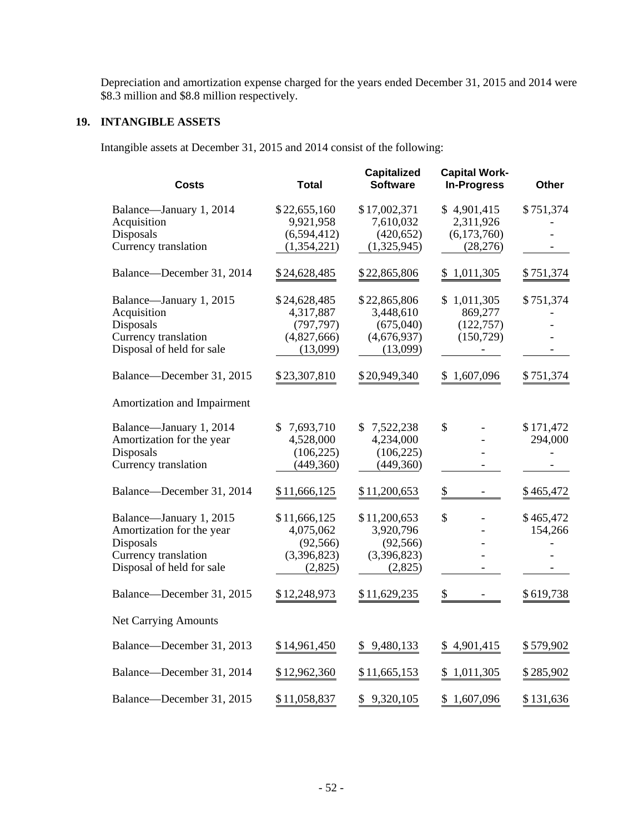Depreciation and amortization expense charged for the years ended December 31, 2015 and 2014 were \$8.3 million and \$8.8 million respectively.

### **19. INTANGIBLE ASSETS**

Intangible assets at December 31, 2015 and 2014 consist of the following:

| <b>Costs</b>                                                                                                           | <b>Total</b>                                                       | <b>Capitalized</b><br><b>Software</b>                             | <b>Capital Work-</b><br><b>In-Progress</b>           | Other                                            |
|------------------------------------------------------------------------------------------------------------------------|--------------------------------------------------------------------|-------------------------------------------------------------------|------------------------------------------------------|--------------------------------------------------|
| Balance—January 1, 2014<br>Acquisition<br>Disposals<br>Currency translation                                            | \$22,655,160<br>9,921,958<br>(6,594,412)<br>(1,354,221)            | \$17,002,371<br>7,610,032<br>(420, 652)<br>(1,325,945)            | \$4,901,415<br>2,311,926<br>(6,173,760)<br>(28, 276) | \$751,374<br>$\overline{a}$                      |
| Balance—December 31, 2014                                                                                              | \$24,628,485                                                       | \$22,865,806                                                      | \$1,011,305                                          | \$751,374                                        |
| Balance—January 1, 2015<br>Acquisition<br>Disposals<br>Currency translation<br>Disposal of held for sale               | \$24,628,485<br>4,317,887<br>(797, 797)<br>(4,827,666)<br>(13,099) | \$22,865,806<br>3,448,610<br>(675,040)<br>(4,676,937)<br>(13,099) | \$1,011,305<br>869,277<br>(122, 757)<br>(150, 729)   | \$751,374                                        |
| Balance—December 31, 2015                                                                                              | \$23,307,810                                                       | \$20,949,340                                                      | \$1,607,096                                          | \$751,374                                        |
| Amortization and Impairment                                                                                            |                                                                    |                                                                   |                                                      |                                                  |
| Balance—January 1, 2014<br>Amortization for the year<br>Disposals<br>Currency translation                              | \$7,693,710<br>4,528,000<br>(106, 225)<br>(449,360)                | \$7,522,238<br>4,234,000<br>(106, 225)<br>(449,360)               | \$                                                   | \$171,472<br>294,000<br>$\overline{a}$           |
| Balance—December 31, 2014                                                                                              | \$11,666,125                                                       | \$11,200,653                                                      | \$                                                   | \$465,472                                        |
| Balance—January 1, 2015<br>Amortization for the year<br>Disposals<br>Currency translation<br>Disposal of held for sale | \$11,666,125<br>4,075,062<br>(92, 566)<br>(3,396,823)<br>(2,825)   | \$11,200,653<br>3,920,796<br>(92, 566)<br>(3,396,823)<br>(2,825)  | \$<br>$\overline{\phantom{a}}$                       | \$465,472<br>154,266<br>$\overline{\phantom{0}}$ |
| Balance—December 31, 2015                                                                                              | \$12,248,973                                                       | \$11,629,235                                                      | \$                                                   | \$619,738                                        |
| Net Carrying Amounts                                                                                                   |                                                                    |                                                                   |                                                      |                                                  |
| Balance—December 31, 2013                                                                                              | \$14,961,450                                                       | 9,480,133<br>S.                                                   | \$4,901,415                                          | \$579,902                                        |
| Balance—December 31, 2014                                                                                              | \$12,962,360                                                       | \$11,665,153                                                      | \$1,011,305                                          | \$285,902                                        |
| Balance—December 31, 2015                                                                                              | \$11,058,837                                                       | \$9,320,105                                                       | \$1,607,096                                          | \$131,636                                        |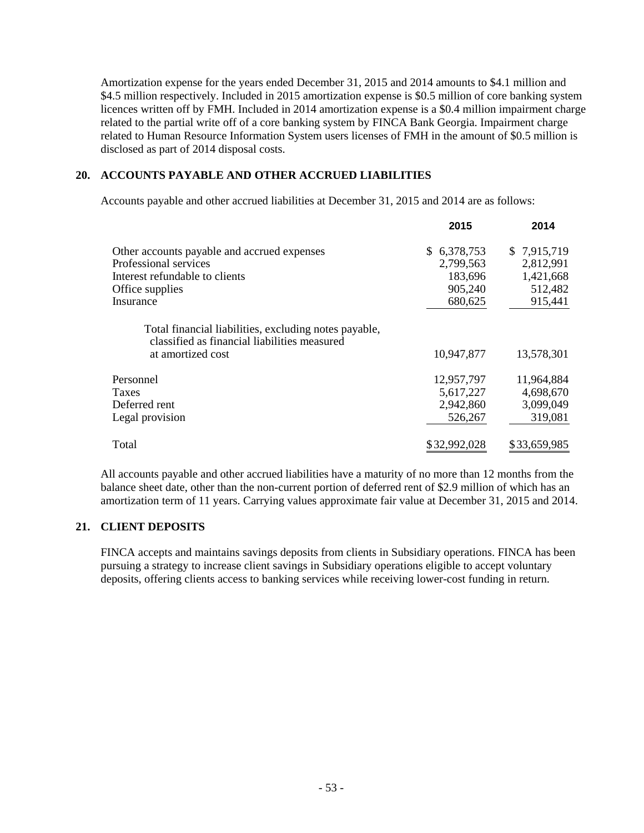Amortization expense for the years ended December 31, 2015 and 2014 amounts to \$4.1 million and \$4.5 million respectively. Included in 2015 amortization expense is \$0.5 million of core banking system licences written off by FMH. Included in 2014 amortization expense is a \$0.4 million impairment charge related to the partial write off of a core banking system by FINCA Bank Georgia. Impairment charge related to Human Resource Information System users licenses of FMH in the amount of \$0.5 million is disclosed as part of 2014 disposal costs.

## **20. ACCOUNTS PAYABLE AND OTHER ACCRUED LIABILITIES**

Accounts payable and other accrued liabilities at December 31, 2015 and 2014 are as follows:

|                                                                                                       | 2015         | 2014         |
|-------------------------------------------------------------------------------------------------------|--------------|--------------|
| Other accounts payable and accrued expenses                                                           | \$6,378,753  | \$7,915,719  |
| Professional services                                                                                 | 2,799,563    | 2,812,991    |
| Interest refundable to clients                                                                        | 183,696      | 1,421,668    |
| Office supplies                                                                                       | 905,240      | 512,482      |
| Insurance                                                                                             | 680,625      | 915,441      |
| Total financial liabilities, excluding notes payable,<br>classified as financial liabilities measured |              |              |
| at amortized cost                                                                                     | 10,947,877   | 13,578,301   |
| Personnel                                                                                             | 12,957,797   | 11,964,884   |
| Taxes                                                                                                 | 5,617,227    | 4,698,670    |
| Deferred rent                                                                                         | 2,942,860    | 3,099,049    |
| Legal provision                                                                                       | 526,267      | 319,081      |
| Total                                                                                                 | \$32,992,028 | \$33,659,985 |

All accounts payable and other accrued liabilities have a maturity of no more than 12 months from the balance sheet date, other than the non-current portion of deferred rent of \$2.9 million of which has an amortization term of 11 years. Carrying values approximate fair value at December 31, 2015 and 2014.

# **21. CLIENT DEPOSITS**

FINCA accepts and maintains savings deposits from clients in Subsidiary operations. FINCA has been pursuing a strategy to increase client savings in Subsidiary operations eligible to accept voluntary deposits, offering clients access to banking services while receiving lower-cost funding in return.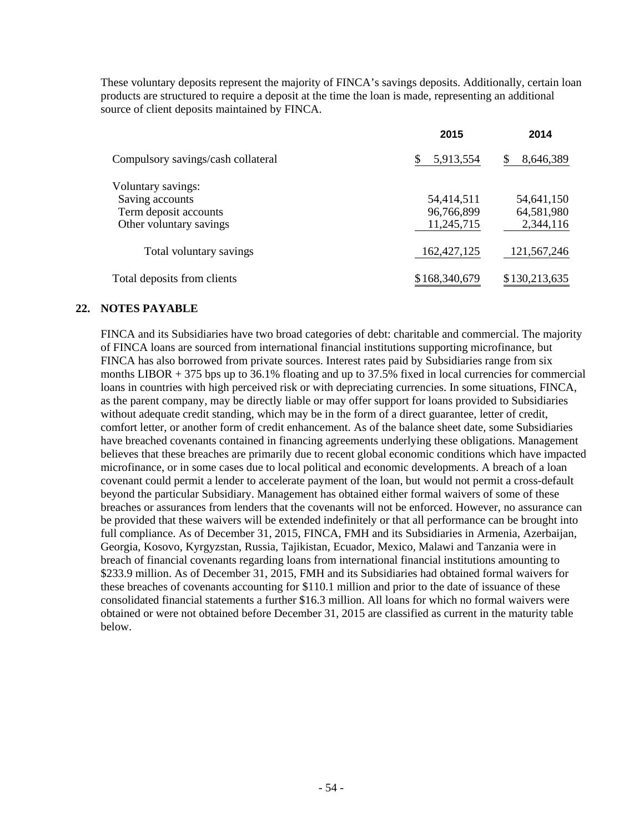These voluntary deposits represent the majority of FINCA's savings deposits. Additionally, certain loan products are structured to require a deposit at the time the loan is made, representing an additional source of client deposits maintained by FINCA.

|                                    | 2015          | 2014            |
|------------------------------------|---------------|-----------------|
| Compulsory savings/cash collateral | 5,913,554     | \$<br>8,646,389 |
| Voluntary savings:                 |               |                 |
| Saving accounts                    | 54,414,511    | 54,641,150      |
| Term deposit accounts              | 96,766,899    | 64,581,980      |
| Other voluntary savings            | 11,245,715    | 2,344,116       |
| Total voluntary savings            | 162, 427, 125 | 121,567,246     |
| Total deposits from clients        | \$168,340,679 | \$130,213,635   |

#### **22. NOTES PAYABLE**

FINCA and its Subsidiaries have two broad categories of debt: charitable and commercial. The majority of FINCA loans are sourced from international financial institutions supporting microfinance, but FINCA has also borrowed from private sources. Interest rates paid by Subsidiaries range from six months LIBOR  $+ 375$  bps up to 36.1% floating and up to 37.5% fixed in local currencies for commercial loans in countries with high perceived risk or with depreciating currencies. In some situations, FINCA, as the parent company, may be directly liable or may offer support for loans provided to Subsidiaries without adequate credit standing, which may be in the form of a direct guarantee, letter of credit, comfort letter, or another form of credit enhancement. As of the balance sheet date, some Subsidiaries have breached covenants contained in financing agreements underlying these obligations. Management believes that these breaches are primarily due to recent global economic conditions which have impacted microfinance, or in some cases due to local political and economic developments. A breach of a loan covenant could permit a lender to accelerate payment of the loan, but would not permit a cross-default beyond the particular Subsidiary. Management has obtained either formal waivers of some of these breaches or assurances from lenders that the covenants will not be enforced. However, no assurance can be provided that these waivers will be extended indefinitely or that all performance can be brought into full compliance. As of December 31, 2015, FINCA, FMH and its Subsidiaries in Armenia, Azerbaijan, Georgia, Kosovo, Kyrgyzstan, Russia, Tajikistan, Ecuador, Mexico, Malawi and Tanzania were in breach of financial covenants regarding loans from international financial institutions amounting to \$233.9 million. As of December 31, 2015, FMH and its Subsidiaries had obtained formal waivers for these breaches of covenants accounting for \$110.1 million and prior to the date of issuance of these consolidated financial statements a further \$16.3 million. All loans for which no formal waivers were obtained or were not obtained before December 31, 2015 are classified as current in the maturity table below.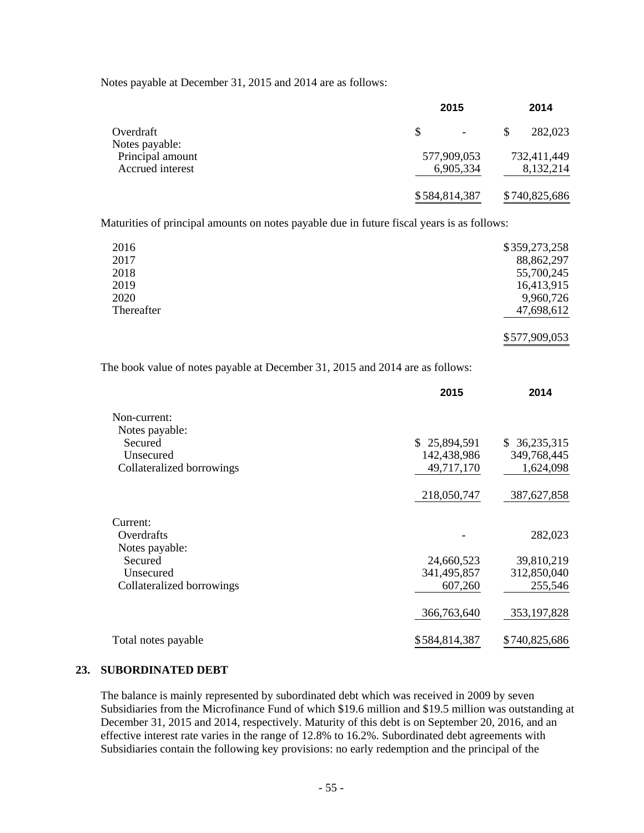Notes payable at December 31, 2015 and 2014 are as follows:

|                                                        | 2015                     | 2014                     |
|--------------------------------------------------------|--------------------------|--------------------------|
| Overdraft                                              | S                        | 282,023<br>\$            |
| Notes payable:<br>Principal amount<br>Accrued interest | 577,909,053<br>6,905,334 | 732,411,449<br>8,132,214 |
|                                                        | \$584,814,387            | \$740,825,686            |

Maturities of principal amounts on notes payable due in future fiscal years is as follows:

| 2016       | \$359,273,258 |
|------------|---------------|
| 2017       | 88, 862, 297  |
| 2018       | 55,700,245    |
| 2019       | 16,413,915    |
| 2020       | 9,960,726     |
| Thereafter | 47,698,612    |
|            | \$577,909,053 |

The book value of notes payable at December 31, 2015 and 2014 are as follows:

|                           | 2015          | 2014             |
|---------------------------|---------------|------------------|
| Non-current:              |               |                  |
| Notes payable:            |               |                  |
| Secured                   | \$25,894,591  | 36,235,315<br>S. |
| Unsecured                 | 142,438,986   | 349,768,445      |
| Collateralized borrowings | 49,717,170    | 1,624,098        |
|                           | 218,050,747   | 387,627,858      |
| Current:                  |               |                  |
| Overdrafts                |               | 282,023          |
| Notes payable:            |               |                  |
| Secured                   | 24,660,523    | 39,810,219       |
| Unsecured                 | 341,495,857   | 312,850,040      |
| Collateralized borrowings | 607,260       | 255,546          |
|                           | 366,763,640   | 353, 197, 828    |
| Total notes payable       | \$584,814,387 | \$740,825,686    |

#### **23. SUBORDINATED DEBT**

The balance is mainly represented by subordinated debt which was received in 2009 by seven Subsidiaries from the Microfinance Fund of which \$19.6 million and \$19.5 million was outstanding at December 31, 2015 and 2014, respectively. Maturity of this debt is on September 20, 2016, and an effective interest rate varies in the range of 12.8% to 16.2%. Subordinated debt agreements with Subsidiaries contain the following key provisions: no early redemption and the principal of the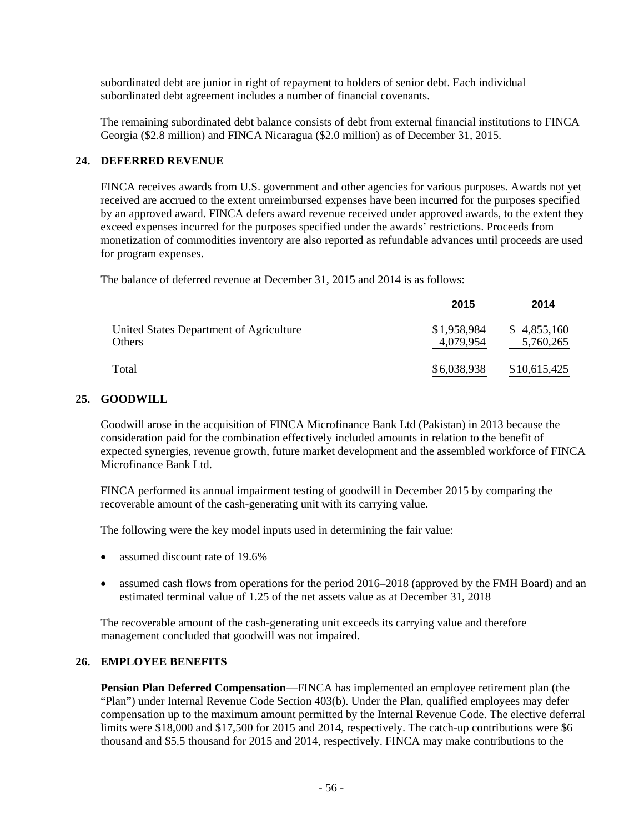subordinated debt are junior in right of repayment to holders of senior debt. Each individual subordinated debt agreement includes a number of financial covenants.

The remaining subordinated debt balance consists of debt from external financial institutions to FINCA Georgia (\$2.8 million) and FINCA Nicaragua (\$2.0 million) as of December 31, 2015.

### **24. DEFERRED REVENUE**

FINCA receives awards from U.S. government and other agencies for various purposes. Awards not yet received are accrued to the extent unreimbursed expenses have been incurred for the purposes specified by an approved award. FINCA defers award revenue received under approved awards, to the extent they exceed expenses incurred for the purposes specified under the awards' restrictions. Proceeds from monetization of commodities inventory are also reported as refundable advances until proceeds are used for program expenses.

The balance of deferred revenue at December 31, 2015 and 2014 is as follows:

|                                                   | 2015                     | 2014                     |
|---------------------------------------------------|--------------------------|--------------------------|
| United States Department of Agriculture<br>Others | \$1,958,984<br>4,079,954 | \$4,855,160<br>5,760,265 |
| Total                                             | \$6,038,938              | \$10,615,425             |

# **25. GOODWILL**

Goodwill arose in the acquisition of FINCA Microfinance Bank Ltd (Pakistan) in 2013 because the consideration paid for the combination effectively included amounts in relation to the benefit of expected synergies, revenue growth, future market development and the assembled workforce of FINCA Microfinance Bank Ltd.

FINCA performed its annual impairment testing of goodwill in December 2015 by comparing the recoverable amount of the cash-generating unit with its carrying value.

The following were the key model inputs used in determining the fair value:

- assumed discount rate of 19.6%
- assumed cash flows from operations for the period 2016–2018 (approved by the FMH Board) and an estimated terminal value of 1.25 of the net assets value as at December 31, 2018

The recoverable amount of the cash-generating unit exceeds its carrying value and therefore management concluded that goodwill was not impaired.

#### **26. EMPLOYEE BENEFITS**

**Pension Plan Deferred Compensation**—FINCA has implemented an employee retirement plan (the "Plan") under Internal Revenue Code Section 403(b). Under the Plan, qualified employees may defer compensation up to the maximum amount permitted by the Internal Revenue Code. The elective deferral limits were \$18,000 and \$17,500 for 2015 and 2014, respectively. The catch-up contributions were \$6 thousand and \$5.5 thousand for 2015 and 2014, respectively. FINCA may make contributions to the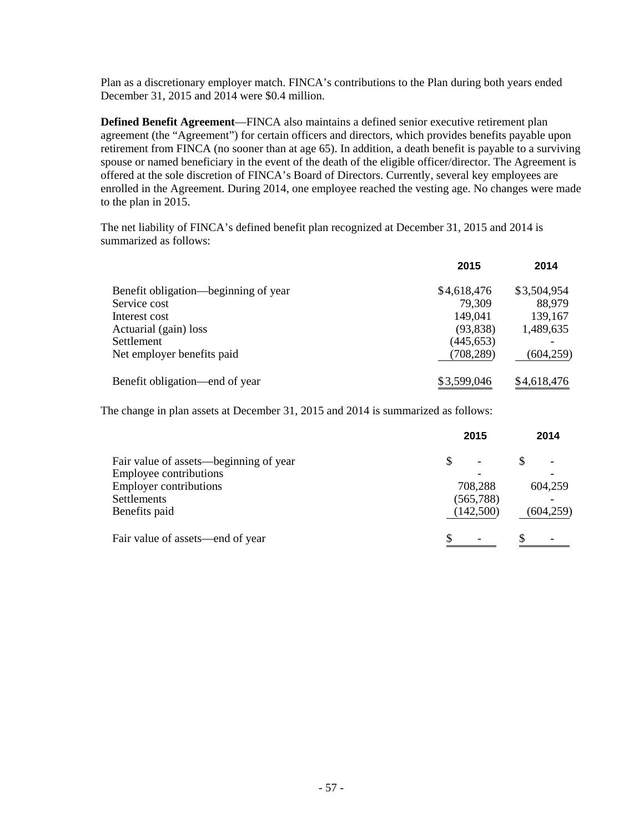Plan as a discretionary employer match. FINCA's contributions to the Plan during both years ended December 31, 2015 and 2014 were \$0.4 million.

**Defined Benefit Agreement**—FINCA also maintains a defined senior executive retirement plan agreement (the "Agreement") for certain officers and directors, which provides benefits payable upon retirement from FINCA (no sooner than at age 65). In addition, a death benefit is payable to a surviving spouse or named beneficiary in the event of the death of the eligible officer/director. The Agreement is offered at the sole discretion of FINCA's Board of Directors. Currently, several key employees are enrolled in the Agreement. During 2014, one employee reached the vesting age. No changes were made to the plan in 2015.

The net liability of FINCA's defined benefit plan recognized at December 31, 2015 and 2014 is summarized as follows:

|                                      | 2015        | 2014        |
|--------------------------------------|-------------|-------------|
| Benefit obligation—beginning of year | \$4,618,476 | \$3,504,954 |
| Service cost                         | 79,309      | 88,979      |
| Interest cost                        | 149,041     | 139,167     |
| Actuarial (gain) loss                | (93, 838)   | 1,489,635   |
| Settlement                           | (445, 653)  |             |
| Net employer benefits paid           | (708, 289)  | (604, 259)  |
| Benefit obligation—end of year       | \$3,599,046 | \$4,618,476 |

The change in plan assets at December 31, 2015 and 2014 is summarized as follows:

|                                        | 2015       | 2014       |
|----------------------------------------|------------|------------|
| Fair value of assets—beginning of year |            | S          |
| Employee contributions                 |            |            |
| <b>Employer contributions</b>          | 708,288    | 604,259    |
| <b>Settlements</b>                     | (565, 788) |            |
| Benefits paid                          | (142,500)  | (604, 259) |
| Fair value of assets—end of year       |            |            |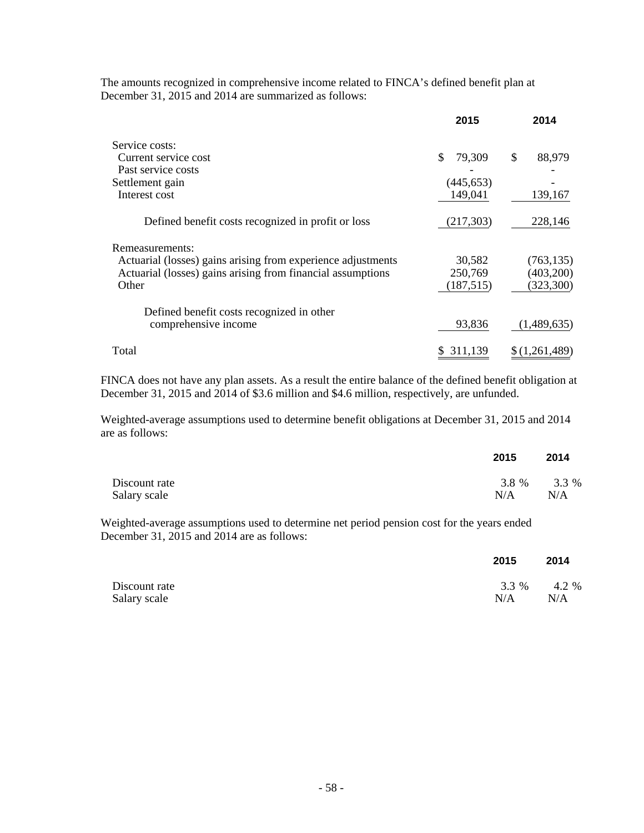The amounts recognized in comprehensive income related to FINCA's defined benefit plan at December 31, 2015 and 2014 are summarized as follows:

|                                                              | 2015         | 2014          |
|--------------------------------------------------------------|--------------|---------------|
| Service costs:                                               |              |               |
| Current service cost                                         | \$<br>79,309 | \$<br>88,979  |
| Past service costs                                           |              |               |
| Settlement gain                                              | (445, 653)   |               |
| Interest cost                                                | 149,041      | 139,167       |
| Defined benefit costs recognized in profit or loss           | (217, 303)   | 228,146       |
| Remeasurements:                                              |              |               |
| Actuarial (losses) gains arising from experience adjustments | 30,582       | (763, 135)    |
| Actuarial (losses) gains arising from financial assumptions  | 250,769      | (403,200)     |
| Other                                                        | (187, 515)   | (323, 300)    |
| Defined benefit costs recognized in other                    |              |               |
| comprehensive income                                         | 93,836       | (1,489,635)   |
| Total                                                        | 311,139      | \$(1,261,489) |

FINCA does not have any plan assets. As a result the entire balance of the defined benefit obligation at December 31, 2015 and 2014 of \$3.6 million and \$4.6 million, respectively, are unfunded.

Weighted-average assumptions used to determine benefit obligations at December 31, 2015 and 2014 are as follows:

|               | 2015 | 2014        |
|---------------|------|-------------|
| Discount rate |      | 3.8 % 3.3 % |
| Salary scale  | N/A  | N/A         |

Weighted-average assumptions used to determine net period pension cost for the years ended December 31, 2015 and 2014 are as follows:

|               | 2015 | 2014               |
|---------------|------|--------------------|
| Discount rate | N/A  | 3.3 % 4.2 %<br>N/A |
| Salary scale  |      |                    |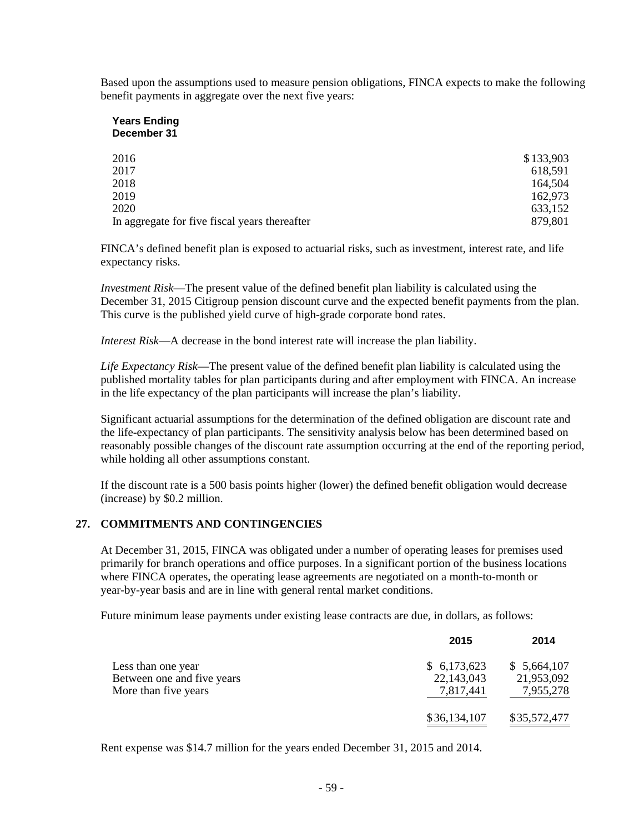Based upon the assumptions used to measure pension obligations, FINCA expects to make the following benefit payments in aggregate over the next five years:

#### **Years Ending December 31**

| 2016                                          | \$133,903 |
|-----------------------------------------------|-----------|
| 2017                                          | 618,591   |
| 2018                                          | 164,504   |
| 2019                                          | 162,973   |
| 2020                                          | 633,152   |
| In aggregate for five fiscal years thereafter | 879,801   |
|                                               |           |

FINCA's defined benefit plan is exposed to actuarial risks, such as investment, interest rate, and life expectancy risks.

*Investment Risk*—The present value of the defined benefit plan liability is calculated using the December 31, 2015 Citigroup pension discount curve and the expected benefit payments from the plan. This curve is the published yield curve of high-grade corporate bond rates.

*Interest Risk*—A decrease in the bond interest rate will increase the plan liability.

*Life Expectancy Risk*—The present value of the defined benefit plan liability is calculated using the published mortality tables for plan participants during and after employment with FINCA. An increase in the life expectancy of the plan participants will increase the plan's liability.

Significant actuarial assumptions for the determination of the defined obligation are discount rate and the life-expectancy of plan participants. The sensitivity analysis below has been determined based on reasonably possible changes of the discount rate assumption occurring at the end of the reporting period, while holding all other assumptions constant.

If the discount rate is a 500 basis points higher (lower) the defined benefit obligation would decrease (increase) by \$0.2 million.

#### **27. COMMITMENTS AND CONTINGENCIES**

At December 31, 2015, FINCA was obligated under a number of operating leases for premises used primarily for branch operations and office purposes. In a significant portion of the business locations where FINCA operates, the operating lease agreements are negotiated on a month-to-month or year-by-year basis and are in line with general rental market conditions.

Future minimum lease payments under existing lease contracts are due, in dollars, as follows:

|                            | 2015         | 2014         |
|----------------------------|--------------|--------------|
| Less than one year         | \$6,173,623  | \$5,664,107  |
| Between one and five years | 22,143,043   | 21,953,092   |
| More than five years       | 7,817,441    | 7,955,278    |
|                            | \$36,134,107 | \$35,572,477 |

Rent expense was \$14.7 million for the years ended December 31, 2015 and 2014.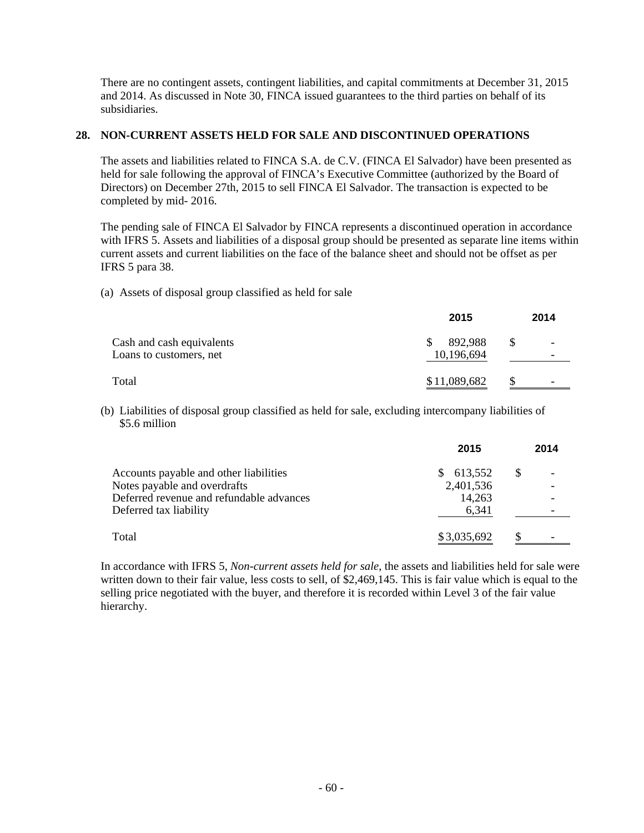There are no contingent assets, contingent liabilities, and capital commitments at December 31, 2015 and 2014. As discussed in Note 30, FINCA issued guarantees to the third parties on behalf of its subsidiaries.

#### **28. NON-CURRENT ASSETS HELD FOR SALE AND DISCONTINUED OPERATIONS**

The assets and liabilities related to FINCA S.A. de C.V. (FINCA El Salvador) have been presented as held for sale following the approval of FINCA's Executive Committee (authorized by the Board of Directors) on December 27th, 2015 to sell FINCA El Salvador. The transaction is expected to be completed by mid- 2016.

The pending sale of FINCA El Salvador by FINCA represents a discontinued operation in accordance with IFRS 5. Assets and liabilities of a disposal group should be presented as separate line items within current assets and current liabilities on the face of the balance sheet and should not be offset as per IFRS 5 para 38.

(a) Assets of disposal group classified as held for sale

|                                                      | 2015                  | 2014                          |
|------------------------------------------------------|-----------------------|-------------------------------|
| Cash and cash equivalents<br>Loans to customers, net | 892,988<br>10,196,694 | -<br>$\overline{\phantom{0}}$ |
| Total                                                | \$11,089,682          | $\overline{\phantom{a}}$      |

(b) Liabilities of disposal group classified as held for sale, excluding intercompany liabilities of \$5.6 million

|                                          | 2015        | 2014 |
|------------------------------------------|-------------|------|
| Accounts payable and other liabilities   | 613,552     |      |
| Notes payable and overdrafts             | 2,401,536   |      |
| Deferred revenue and refundable advances | 14,263      |      |
| Deferred tax liability                   | 6.341       |      |
| Total                                    | \$3,035,692 |      |

In accordance with IFRS 5, *Non-current assets held for sale*, the assets and liabilities held for sale were written down to their fair value, less costs to sell, of \$2,469,145. This is fair value which is equal to the selling price negotiated with the buyer, and therefore it is recorded within Level 3 of the fair value hierarchy.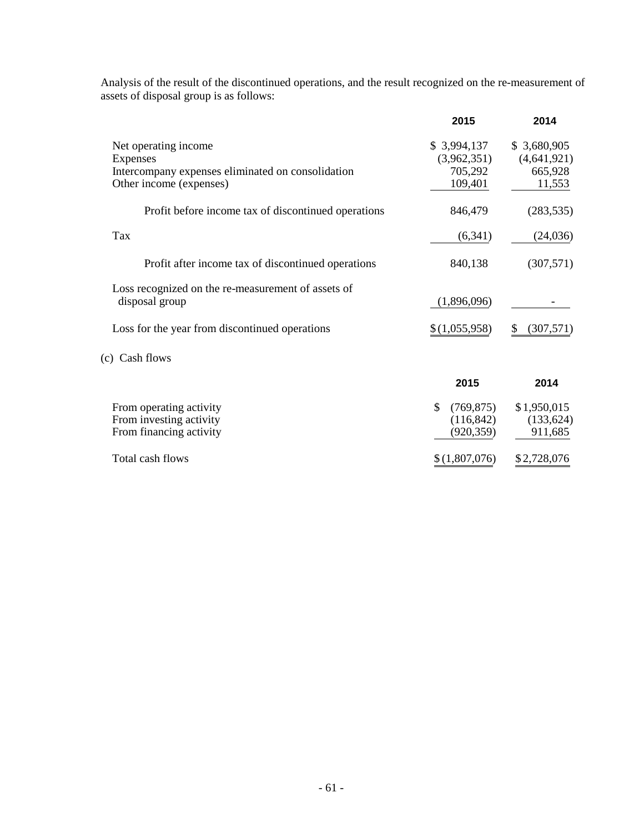Analysis of the result of the discontinued operations, and the result recognized on the re-measurement of assets of disposal group is as follows:

|                                                     | 2015             | 2014            |
|-----------------------------------------------------|------------------|-----------------|
| Net operating income                                | \$3,994,137      | \$ 3,680,905    |
| Expenses                                            | (3,962,351)      | (4, 641, 921)   |
| Intercompany expenses eliminated on consolidation   | 705,292          | 665,928         |
| Other income (expenses)                             | 109,401          | 11,553          |
| Profit before income tax of discontinued operations | 846,479          | (283, 535)      |
| Tax                                                 | (6,341)          | (24,036)        |
| Profit after income tax of discontinued operations  | 840,138          | (307,571)       |
| Loss recognized on the re-measurement of assets of  |                  |                 |
| disposal group                                      | (1,896,096)      |                 |
| Loss for the year from discontinued operations      | \$(1,055,958)    | (307, 571)<br>S |
| (c) Cash flows                                      |                  |                 |
|                                                     | 2015             | 2014            |
| From operating activity                             | \$<br>(769, 875) | \$1,950,015     |
| From investing activity                             | (116, 842)       | (133, 624)      |
| From financing activity                             | (920, 359)       | 911,685         |
| Total cash flows                                    | \$(1,807,076)    | \$2,728,076     |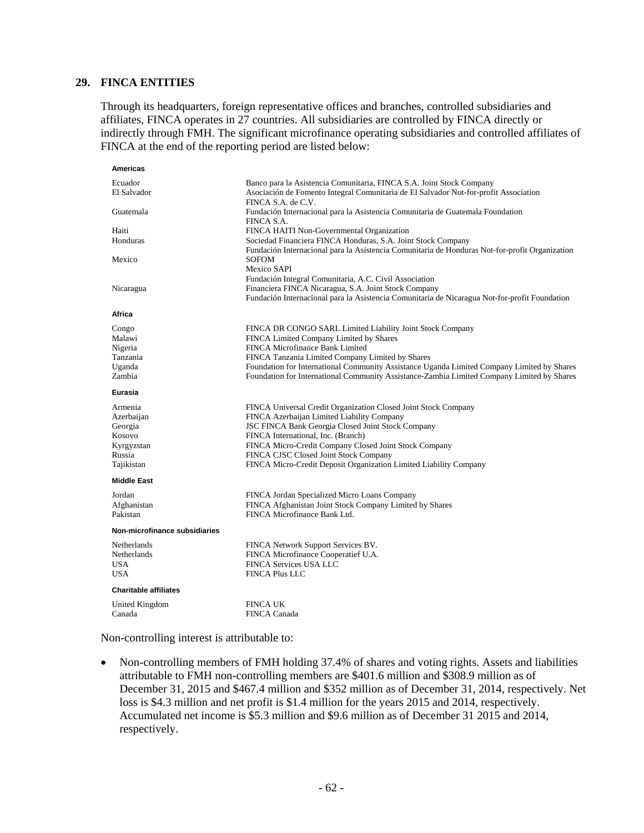#### **29. FINCA ENTITIES**

Through its headquarters, foreign representative offices and branches, controlled subsidiaries and affiliates, FINCA operates in 27 countries. All subsidiaries are controlled by FINCA directly or indirectly through FMH. The significant microfinance operating subsidiaries and controlled affiliates of FINCA at the end of the reporting period are listed below:

| Americas                      |                                                                                                                |
|-------------------------------|----------------------------------------------------------------------------------------------------------------|
| Ecuador                       | Banco para la Asistencia Comunitaria, FINCA S.A. Joint Stock Company                                           |
| El Salvador                   | Asociación de Fomento Integral Comunitaria de El Salvador Not-for-profit Association<br>FINCA S.A. de C.V.     |
| Guatemala                     | Fundación Internacional para la Asistencia Comunitaria de Guatemala Foundation<br>FINCA S.A.                   |
| Haiti                         | FINCA HAITI Non-Governmental Organization                                                                      |
| Honduras                      | Sociedad Financiera FINCA Honduras, S.A. Joint Stock Company                                                   |
| Mexico                        | Fundación Internacional para la Asistencia Comunitaria de Honduras Not-for-profit Organization<br><b>SOFOM</b> |
|                               | Mexico SAPI                                                                                                    |
|                               | Fundación Integral Comunitaria, A.C. Civil Association                                                         |
| Nicaragua                     | Financiera FINCA Nicaragua, S.A. Joint Stock Company                                                           |
|                               | Fundación Internacional para la Asistencia Comunitaria de Nicaragua Not-for-profit Foundation                  |
| Africa                        |                                                                                                                |
| Congo                         | FINCA DR CONGO SARL Limited Liability Joint Stock Company                                                      |
| Malawi                        | FINCA Limited Company Limited by Shares                                                                        |
| Nigeria                       | FINCA Microfinance Bank Limited                                                                                |
| Tanzania                      | FINCA Tanzania Limited Company Limited by Shares                                                               |
| Uganda                        | Foundation for International Community Assistance Uganda Limited Company Limited by Shares                     |
| Zambia                        | Foundation for International Community Assistance-Zambia Limited Company Limited by Shares                     |
| Eurasia                       |                                                                                                                |
| Armenia                       | FINCA Universal Credit Organization Closed Joint Stock Company                                                 |
| Azerbaijan                    | FINCA Azerbaijan Limited Liability Company                                                                     |
| Georgia                       | <b>JSC FINCA Bank Georgia Closed Joint Stock Company</b>                                                       |
| Kosovo                        | FINCA International, Inc. (Branch)                                                                             |
| Kyrgyzstan                    | FINCA Micro-Credit Company Closed Joint Stock Company                                                          |
| Russia                        | FINCA CJSC Closed Joint Stock Company                                                                          |
| Tajikistan                    | FINCA Micro-Credit Deposit Organization Limited Liability Company                                              |
| <b>Middle East</b>            |                                                                                                                |
| Jordan                        | FINCA Jordan Specialized Micro Loans Company                                                                   |
| Afghanistan                   | FINCA Afghanistan Joint Stock Company Limited by Shares                                                        |
| Pakistan                      | FINCA Microfinance Bank Ltd.                                                                                   |
| Non-microfinance subsidiaries |                                                                                                                |
| Netherlands                   | FINCA Network Support Services BV.                                                                             |
| Netherlands                   | FINCA Microfinance Cooperatief U.A.                                                                            |
| <b>USA</b>                    | <b>FINCA Services USA LLC</b>                                                                                  |
| USA                           | <b>FINCA Plus LLC</b>                                                                                          |
| <b>Charitable affiliates</b>  |                                                                                                                |
| United Kingdom                | <b>FINCA UK</b>                                                                                                |
| Canada                        | FINCA Canada                                                                                                   |
|                               |                                                                                                                |

Non-controlling interest is attributable to:

• Non-controlling members of FMH holding 37.4% of shares and voting rights. Assets and liabilities attributable to FMH non-controlling members are \$401.6 million and \$308.9 million as of December 31, 2015 and \$467.4 million and \$352 million as of December 31, 2014, respectively. Net loss is \$4.3 million and net profit is \$1.4 million for the years 2015 and 2014, respectively. Accumulated net income is \$5.3 million and \$9.6 million as of December 31 2015 and 2014, respectively.